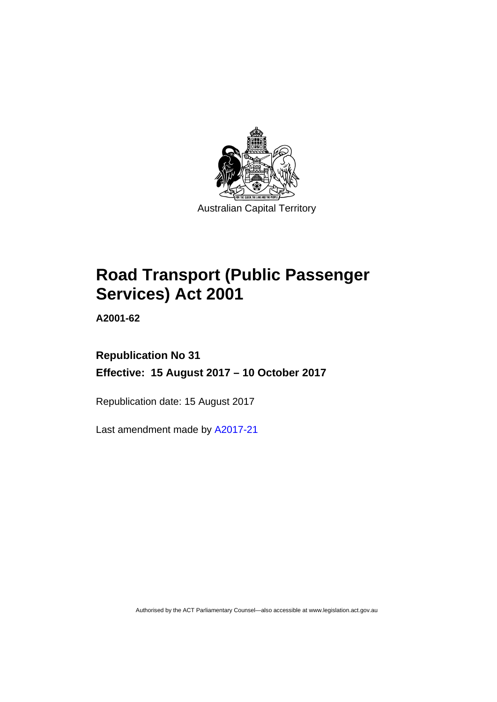

# **Road Transport (Public Passenger Services) Act 2001**

**A2001-62** 

# **Republication No 31 Effective: 15 August 2017 – 10 October 2017**

Republication date: 15 August 2017

Last amendment made by [A2017-21](http://www.legislation.act.gov.au/a/2017-21/default.asp)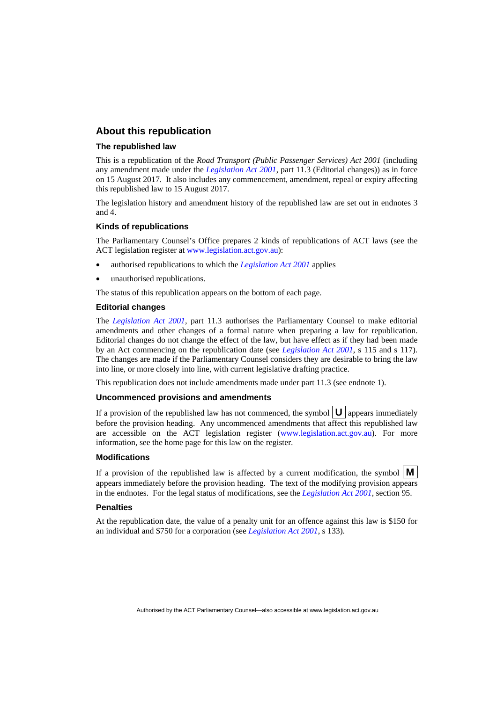### **About this republication**

#### **The republished law**

This is a republication of the *Road Transport (Public Passenger Services) Act 2001* (including any amendment made under the *[Legislation Act 2001](http://www.legislation.act.gov.au/a/2001-14)*, part 11.3 (Editorial changes)) as in force on 15 August 2017*.* It also includes any commencement, amendment, repeal or expiry affecting this republished law to 15 August 2017.

The legislation history and amendment history of the republished law are set out in endnotes 3 and 4.

#### **Kinds of republications**

The Parliamentary Counsel's Office prepares 2 kinds of republications of ACT laws (see the ACT legislation register at [www.legislation.act.gov.au](http://www.legislation.act.gov.au/)):

- authorised republications to which the *[Legislation Act 2001](http://www.legislation.act.gov.au/a/2001-14)* applies
- unauthorised republications.

The status of this republication appears on the bottom of each page.

#### **Editorial changes**

The *[Legislation Act 2001](http://www.legislation.act.gov.au/a/2001-14)*, part 11.3 authorises the Parliamentary Counsel to make editorial amendments and other changes of a formal nature when preparing a law for republication. Editorial changes do not change the effect of the law, but have effect as if they had been made by an Act commencing on the republication date (see *[Legislation Act 2001](http://www.legislation.act.gov.au/a/2001-14)*, s 115 and s 117). The changes are made if the Parliamentary Counsel considers they are desirable to bring the law into line, or more closely into line, with current legislative drafting practice.

This republication does not include amendments made under part 11.3 (see endnote 1).

#### **Uncommenced provisions and amendments**

If a provision of the republished law has not commenced, the symbol  $\mathbf{U}$  appears immediately before the provision heading. Any uncommenced amendments that affect this republished law are accessible on the ACT legislation register [\(www.legislation.act.gov.au\)](http://www.legislation.act.gov.au/). For more information, see the home page for this law on the register.

#### **Modifications**

If a provision of the republished law is affected by a current modification, the symbol  $\mathbf{M}$ appears immediately before the provision heading. The text of the modifying provision appears in the endnotes. For the legal status of modifications, see the *[Legislation Act 2001](http://www.legislation.act.gov.au/a/2001-14)*, section 95.

#### **Penalties**

At the republication date, the value of a penalty unit for an offence against this law is \$150 for an individual and \$750 for a corporation (see *[Legislation Act 2001](http://www.legislation.act.gov.au/a/2001-14)*, s 133).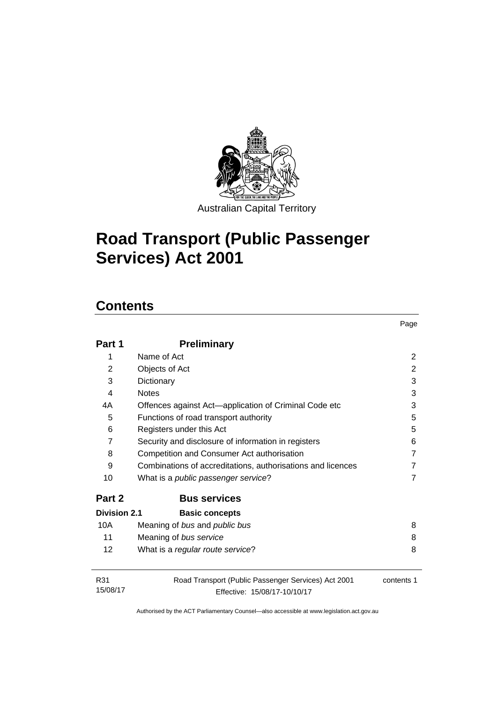

Australian Capital Territory

Page

# **Road Transport (Public Passenger Services) Act 2001**

# **Contents**

| Part 1              | <b>Preliminary</b>                                                                  |            |
|---------------------|-------------------------------------------------------------------------------------|------------|
| 1                   | Name of Act                                                                         | 2          |
| 2                   | Objects of Act                                                                      | 2          |
| 3                   | Dictionary                                                                          | 3          |
| 4                   | <b>Notes</b>                                                                        | 3          |
| 4A                  | Offences against Act-application of Criminal Code etc                               | 3          |
| 5                   | Functions of road transport authority                                               | 5          |
| 6                   | Registers under this Act                                                            | 5          |
| $\overline{7}$      | Security and disclosure of information in registers                                 | 6          |
| 8                   | Competition and Consumer Act authorisation                                          | 7          |
| 9                   | Combinations of accreditations, authorisations and licences                         | 7          |
| 10                  | What is a <i>public passenger service</i> ?                                         | 7          |
| Part 2              | <b>Bus services</b>                                                                 |            |
| <b>Division 2.1</b> | <b>Basic concepts</b>                                                               |            |
| 10A                 | Meaning of bus and public bus                                                       | 8          |
| 11                  | Meaning of bus service                                                              | 8          |
| 12                  | What is a regular route service?                                                    | 8          |
| R31<br>15/08/17     | Road Transport (Public Passenger Services) Act 2001<br>Effective: 15/08/17-10/10/17 | contents 1 |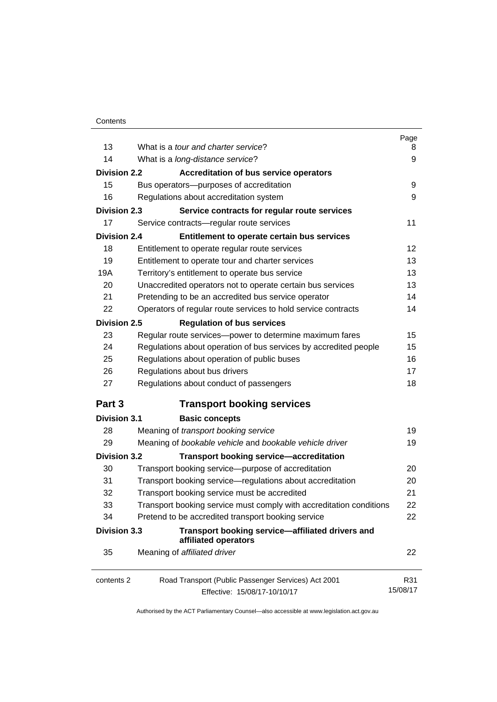| 13                  | What is a tour and charter service?                                      | Page<br>8 |
|---------------------|--------------------------------------------------------------------------|-----------|
| 14                  | What is a long-distance service?                                         | 9         |
|                     |                                                                          |           |
| <b>Division 2.2</b> | <b>Accreditation of bus service operators</b>                            |           |
| 15                  | Bus operators--- purposes of accreditation                               | 9         |
| 16                  | Regulations about accreditation system                                   | 9         |
| <b>Division 2.3</b> | Service contracts for regular route services                             |           |
| 17                  | Service contracts-regular route services                                 | 11        |
| <b>Division 2.4</b> | Entitlement to operate certain bus services                              |           |
| 18                  | Entitlement to operate regular route services                            | 12        |
| 19                  | Entitlement to operate tour and charter services                         | 13        |
| 19A                 | Territory's entitlement to operate bus service                           | 13        |
| 20                  | Unaccredited operators not to operate certain bus services               | 13        |
| 21                  | Pretending to be an accredited bus service operator                      | 14        |
| 22                  | Operators of regular route services to hold service contracts            | 14        |
| <b>Division 2.5</b> | <b>Regulation of bus services</b>                                        |           |
| 23                  | Regular route services-power to determine maximum fares                  | 15        |
| 24                  | Regulations about operation of bus services by accredited people         | 15        |
| 25                  | Regulations about operation of public buses                              | 16        |
| 26                  | Regulations about bus drivers                                            | 17        |
| 27                  | Regulations about conduct of passengers                                  | 18        |
| Part 3              | <b>Transport booking services</b>                                        |           |
| <b>Division 3.1</b> | <b>Basic concepts</b>                                                    |           |
| 28                  | Meaning of transport booking service                                     | 19        |
| 29                  | Meaning of bookable vehicle and bookable vehicle driver                  | 19        |
| <b>Division 3.2</b> | <b>Transport booking service-accreditation</b>                           |           |
| 30                  | Transport booking service-purpose of accreditation                       | 20        |
| 31                  | Transport booking service-regulations about accreditation                | 20        |
| 32                  | Transport booking service must be accredited                             | 21        |
| 33                  | Transport booking service must comply with accreditation conditions      | 22        |
| 34                  | Pretend to be accredited transport booking service                       | 22        |
| <b>Division 3.3</b> | Transport booking service-affiliated drivers and<br>affiliated operators |           |
| 35                  | Meaning of affiliated driver                                             | 22        |
| contents 2          | Road Transport (Public Passenger Services) Act 2001                      | R31       |
|                     | Effective: 15/08/17-10/10/17                                             | 15/08/17  |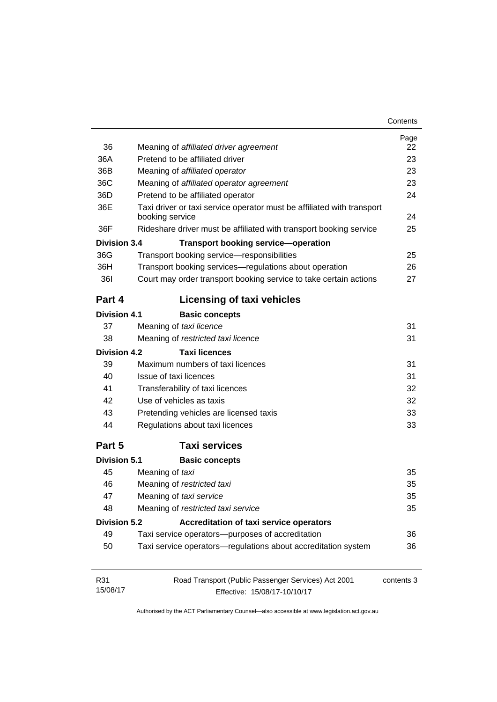| Contents |
|----------|
|----------|

|                     |                                                                                           | Page       |
|---------------------|-------------------------------------------------------------------------------------------|------------|
| 36                  | Meaning of affiliated driver agreement                                                    | 22         |
| 36A                 | Pretend to be affiliated driver                                                           | 23         |
| 36B                 | Meaning of affiliated operator                                                            | 23         |
| 36C                 | Meaning of affiliated operator agreement                                                  | 23         |
| 36D                 | Pretend to be affiliated operator                                                         | 24         |
| 36E                 | Taxi driver or taxi service operator must be affiliated with transport<br>booking service | 24         |
| 36F                 | Rideshare driver must be affiliated with transport booking service                        | 25         |
| Division 3.4        | <b>Transport booking service-operation</b>                                                |            |
| 36G                 | Transport booking service-responsibilities                                                | 25         |
| 36H                 | Transport booking services-regulations about operation                                    | 26         |
| <b>361</b>          | Court may order transport booking service to take certain actions                         | 27         |
| Part 4              | <b>Licensing of taxi vehicles</b>                                                         |            |
| <b>Division 4.1</b> | <b>Basic concepts</b>                                                                     |            |
| 37                  | Meaning of taxi licence                                                                   | 31         |
| 38                  | Meaning of restricted taxi licence                                                        | 31         |
| Division 4.2        | <b>Taxi licences</b>                                                                      |            |
| 39                  | Maximum numbers of taxi licences                                                          | 31         |
| 40                  | Issue of taxi licences                                                                    | 31         |
| 41                  | Transferability of taxi licences                                                          | 32         |
| 42                  | Use of vehicles as taxis                                                                  | 32         |
| 43                  | Pretending vehicles are licensed taxis                                                    | 33         |
| 44                  | Regulations about taxi licences                                                           | 33         |
| Part 5              | <b>Taxi services</b>                                                                      |            |
| <b>Division 5.1</b> | <b>Basic concepts</b>                                                                     |            |
| 45                  | Meaning of taxi                                                                           | 35         |
| 46                  | Meaning of restricted taxi                                                                | 35         |
| 47                  | Meaning of taxi service                                                                   | 35         |
| 48                  | Meaning of restricted taxi service                                                        | 35         |
| <b>Division 5.2</b> | Accreditation of taxi service operators                                                   |            |
| 49                  | Taxi service operators-purposes of accreditation                                          | 36         |
| 50                  | Taxi service operators-regulations about accreditation system                             | 36         |
| R31                 | Road Transport (Public Passenger Services) Act 2001                                       | contents 3 |
| 15/08/17            | Effective: 15/08/17-10/10/17                                                              |            |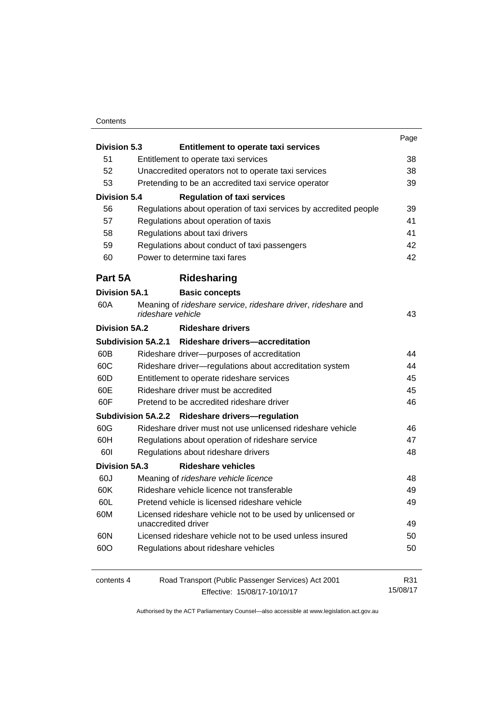#### **Contents**

|                      |                                                                                    | Page     |
|----------------------|------------------------------------------------------------------------------------|----------|
| <b>Division 5.3</b>  | Entitlement to operate taxi services                                               |          |
| 51                   | Entitlement to operate taxi services                                               | 38       |
| 52                   | Unaccredited operators not to operate taxi services                                | 38       |
| 53                   | Pretending to be an accredited taxi service operator                               | 39       |
| <b>Division 5.4</b>  | <b>Regulation of taxi services</b>                                                 |          |
| 56                   | Regulations about operation of taxi services by accredited people                  | 39       |
| 57                   | Regulations about operation of taxis                                               | 41       |
| 58                   | Regulations about taxi drivers                                                     | 41       |
| 59                   | Regulations about conduct of taxi passengers                                       | 42       |
| 60                   | Power to determine taxi fares                                                      | 42       |
| Part 5A              | Ridesharing                                                                        |          |
| <b>Division 5A.1</b> | <b>Basic concepts</b>                                                              |          |
| 60A                  | Meaning of rideshare service, rideshare driver, rideshare and<br>rideshare vehicle | 43       |
| Division 5A.2        | <b>Rideshare drivers</b>                                                           |          |
|                      | Subdivision 5A.2.1 Rideshare drivers-accreditation                                 |          |
| 60B                  | Rideshare driver-purposes of accreditation                                         | 44       |
| 60C                  | Rideshare driver-regulations about accreditation system                            | 44       |
| 60D                  | Entitlement to operate rideshare services                                          | 45       |
| 60E                  | Rideshare driver must be accredited                                                | 45       |
| 60F                  | Pretend to be accredited rideshare driver                                          | 46       |
|                      | Subdivision 5A.2.2 Rideshare drivers-regulation                                    |          |
| 60G                  | Rideshare driver must not use unlicensed rideshare vehicle                         | 46       |
| 60H                  | Regulations about operation of rideshare service                                   | 47       |
| 60I                  | Regulations about rideshare drivers                                                | 48       |
| <b>Division 5A.3</b> | <b>Rideshare vehicles</b>                                                          |          |
| 60J                  | Meaning of rideshare vehicle licence                                               | 48       |
| 60K                  | Rideshare vehicle licence not transferable                                         | 49       |
| 60L                  | Pretend vehicle is licensed rideshare vehicle                                      | 49       |
| 60M                  | Licensed rideshare vehicle not to be used by unlicensed or                         |          |
|                      | unaccredited driver                                                                | 49       |
| 60N                  | Licensed rideshare vehicle not to be used unless insured                           | 50       |
| 60O                  | Regulations about rideshare vehicles                                               | 50       |
| contents 4           | Road Transport (Public Passenger Services) Act 2001                                | R31      |
|                      | Effective: 15/08/17-10/10/17                                                       | 15/08/17 |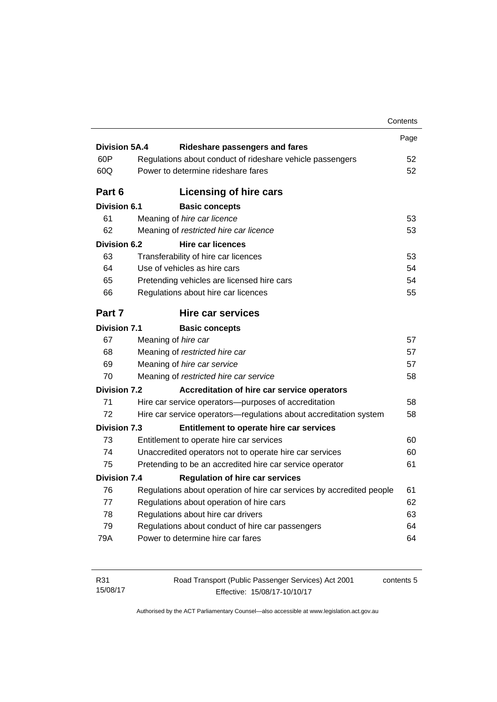|                      |                                                                       | Contents |
|----------------------|-----------------------------------------------------------------------|----------|
|                      |                                                                       | Page     |
| <b>Division 5A.4</b> | Rideshare passengers and fares                                        |          |
| 60P                  | Regulations about conduct of rideshare vehicle passengers             | 52       |
| 60Q                  | Power to determine rideshare fares                                    | 52       |
| Part 6               | Licensing of hire cars                                                |          |
| <b>Division 6.1</b>  | <b>Basic concepts</b>                                                 |          |
| 61                   | Meaning of hire car licence                                           | 53       |
| 62                   | Meaning of restricted hire car licence                                | 53       |
| <b>Division 6.2</b>  | Hire car licences                                                     |          |
| 63                   | Transferability of hire car licences                                  | 53       |
| 64                   | Use of vehicles as hire cars                                          | 54       |
| 65                   | Pretending vehicles are licensed hire cars                            | 54       |
| 66                   | Regulations about hire car licences                                   | 55       |
| Part 7               | <b>Hire car services</b>                                              |          |
| <b>Division 7.1</b>  | <b>Basic concepts</b>                                                 |          |
| 67                   | Meaning of hire car                                                   | 57       |
| 68                   | Meaning of restricted hire car                                        | 57       |
| 69                   | Meaning of hire car service                                           | 57       |
| 70                   | Meaning of restricted hire car service                                | 58       |
| <b>Division 7.2</b>  | Accreditation of hire car service operators                           |          |
| 71                   | Hire car service operators—purposes of accreditation                  | 58       |
| 72                   | Hire car service operators-regulations about accreditation system     | 58       |
| <b>Division 7.3</b>  | Entitlement to operate hire car services                              |          |
| 73                   | Entitlement to operate hire car services                              | 60       |
| 74                   | Unaccredited operators not to operate hire car services               | 60       |
| 75                   | Pretending to be an accredited hire car service operator              | 61       |
| <b>Division 7.4</b>  | <b>Regulation of hire car services</b>                                |          |
|                      | Regulations about operation of hire car services by accredited people | 61       |
| 76                   |                                                                       | 62       |
| 77                   | Regulations about operation of hire cars                              |          |
| 78                   | Regulations about hire car drivers                                    |          |
| 79                   | Regulations about conduct of hire car passengers                      | 63<br>64 |

| R31      | Road Transport (Public Passenger Services) Act 2001 | contents 5 |
|----------|-----------------------------------------------------|------------|
| 15/08/17 | Effective: 15/08/17-10/10/17                        |            |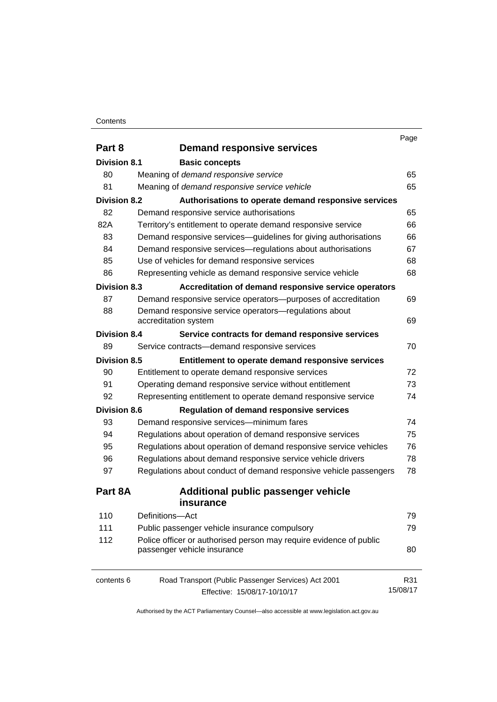#### **Contents**

|                     |                                                                    | Page     |
|---------------------|--------------------------------------------------------------------|----------|
| Part 8              | <b>Demand responsive services</b>                                  |          |
| Division 8.1        | <b>Basic concepts</b>                                              |          |
| 80                  | Meaning of demand responsive service                               | 65       |
| 81                  | Meaning of demand responsive service vehicle                       | 65       |
| <b>Division 8.2</b> | Authorisations to operate demand responsive services               |          |
| 82                  | Demand responsive service authorisations                           | 65       |
| 82A                 | Territory's entitlement to operate demand responsive service       | 66       |
| 83                  | Demand responsive services-guidelines for giving authorisations    | 66       |
| 84                  | Demand responsive services—regulations about authorisations        | 67       |
| 85                  | Use of vehicles for demand responsive services                     | 68       |
| 86                  | Representing vehicle as demand responsive service vehicle          | 68       |
| <b>Division 8.3</b> | Accreditation of demand responsive service operators               |          |
| 87                  | Demand responsive service operators-purposes of accreditation      | 69       |
| 88                  | Demand responsive service operators-regulations about              |          |
|                     | accreditation system                                               | 69       |
| <b>Division 8.4</b> | Service contracts for demand responsive services                   |          |
| 89                  | Service contracts-demand responsive services                       | 70       |
| <b>Division 8.5</b> | Entitlement to operate demand responsive services                  |          |
| 90                  | Entitlement to operate demand responsive services                  | 72       |
| 91                  | Operating demand responsive service without entitlement            | 73       |
| 92                  | Representing entitlement to operate demand responsive service      | 74       |
| <b>Division 8.6</b> | <b>Regulation of demand responsive services</b>                    |          |
| 93                  | Demand responsive services-minimum fares                           | 74       |
| 94                  | Regulations about operation of demand responsive services          | 75       |
| 95                  | Regulations about operation of demand responsive service vehicles  | 76       |
| 96                  | Regulations about demand responsive service vehicle drivers        | 78       |
| 97                  | Regulations about conduct of demand responsive vehicle passengers  | 78       |
| Part 8A             | <b>Additional public passenger vehicle</b>                         |          |
|                     | insurance                                                          |          |
| 110                 | Definitions-Act                                                    | 79       |
| 111                 | Public passenger vehicle insurance compulsory                      | 79       |
| 112                 | Police officer or authorised person may require evidence of public |          |
|                     | passenger vehicle insurance                                        | 80       |
| contents 6          | Road Transport (Public Passenger Services) Act 2001                | R31      |
|                     | Effective: 15/08/17-10/10/17                                       | 15/08/17 |
|                     |                                                                    |          |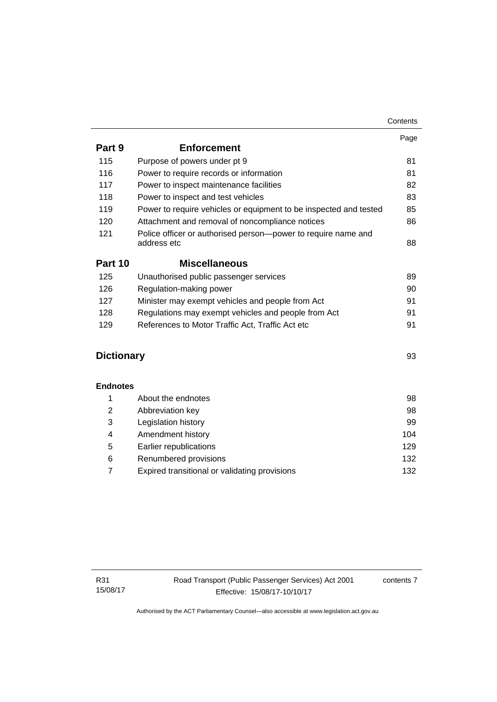|                   |                                                                              | Page |
|-------------------|------------------------------------------------------------------------------|------|
| Part 9            | <b>Enforcement</b>                                                           |      |
| 115               | Purpose of powers under pt 9                                                 | 81   |
| 116               | Power to require records or information                                      | 81   |
| 117               | Power to inspect maintenance facilities                                      | 82   |
| 118               | Power to inspect and test vehicles                                           | 83   |
| 119               | Power to require vehicles or equipment to be inspected and tested            | 85   |
| 120               | Attachment and removal of noncompliance notices                              | 86   |
| 121               | Police officer or authorised person-power to require name and<br>address etc | 88   |
| Part 10           | <b>Miscellaneous</b>                                                         |      |
| 125               | Unauthorised public passenger services                                       | 89   |
| 126               | Regulation-making power                                                      | 90   |
| 127               | Minister may exempt vehicles and people from Act                             | 91   |
| 128               | Regulations may exempt vehicles and people from Act                          | 91   |
| 129               | References to Motor Traffic Act, Traffic Act etc                             | 91   |
| <b>Dictionary</b> |                                                                              | 93   |
| <b>Endnotes</b>   |                                                                              |      |
| 1                 | About the endnotes                                                           | 98   |
| 2                 | Abbreviation key                                                             | 98   |
| 3                 | Legislation history                                                          | 99   |
| 4                 | Amendment history                                                            | 104  |
| 5                 | Earlier republications                                                       | 129  |
| 6                 | Renumbered provisions                                                        | 132  |

7 [Expired transitional or validating provisions 132](#page-141-1)

contents 7

**Contents**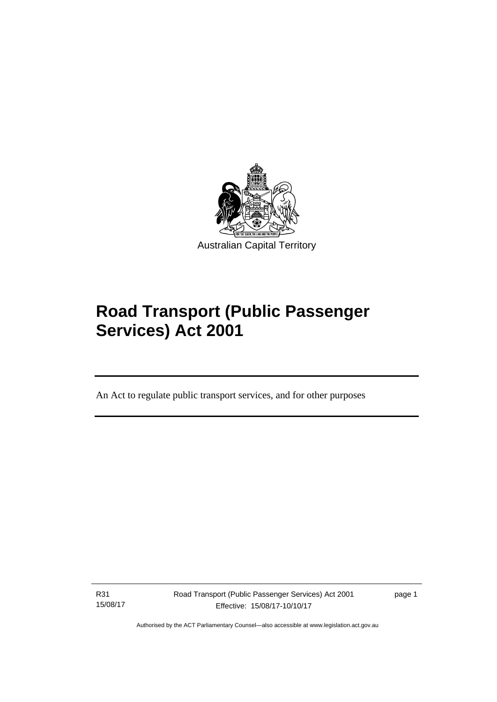

# **Road Transport (Public Passenger Services) Act 2001**

An Act to regulate public transport services, and for other purposes

R31 15/08/17

l

Road Transport (Public Passenger Services) Act 2001 Effective: 15/08/17-10/10/17

page 1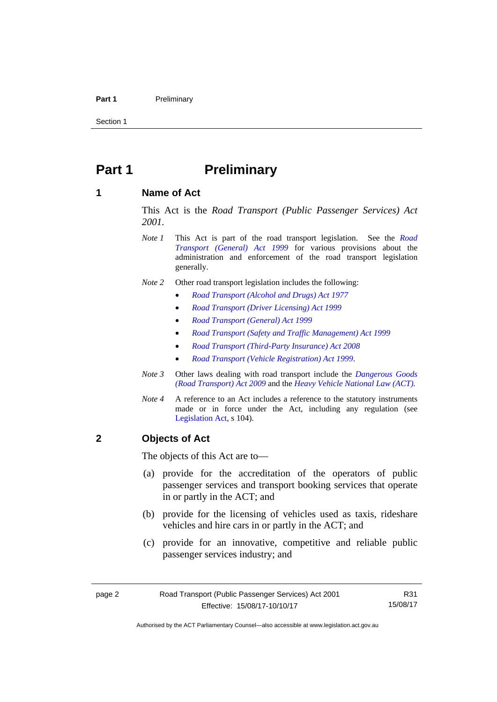#### Part 1 **Preliminary**

Section 1

# <span id="page-11-0"></span>**Part 1** Preliminary

### <span id="page-11-1"></span>**1 Name of Act**

This Act is the *Road Transport (Public Passenger Services) Act 2001.* 

- *Note 1* This Act is part of the road transport legislation. See the *[Road](http://www.legislation.act.gov.au/a/1999-77)  [Transport \(General\) Act 1999](http://www.legislation.act.gov.au/a/1999-77)* for various provisions about the administration and enforcement of the road transport legislation generally.
- *Note 2* Other road transport legislation includes the following:
	- *[Road Transport \(Alcohol and Drugs\) Act 1977](http://www.legislation.act.gov.au/a/1977-17)*
	- *[Road Transport \(Driver Licensing\) Act 1999](http://www.legislation.act.gov.au/a/1999-78)*
	- *[Road Transport \(General\) Act 1999](http://www.legislation.act.gov.au/a/1999-77)*
	- *[Road Transport \(Safety and Traffic Management\) Act 1999](http://www.legislation.act.gov.au/a/1999-80)*
	- *[Road Transport \(Third-Party Insurance\) Act 2008](http://www.legislation.act.gov.au/a/2008-1)*
	- *[Road Transport \(Vehicle Registration\) Act 1999](http://www.legislation.act.gov.au/a/1999-81)*.
- *Note 3* Other laws dealing with road transport include the *[Dangerous Goods](http://www.legislation.act.gov.au/a/2009-34)  [\(Road Transport\) Act 2009](http://www.legislation.act.gov.au/a/2009-34)* and the *[Heavy Vehicle National Law \(ACT\).](http://www.legislation.act.gov.au/a/db_49155/default.asp)*
- *Note 4* A reference to an Act includes a reference to the statutory instruments made or in force under the Act, including any regulation (see [Legislation Act,](http://www.legislation.act.gov.au/a/2001-14) s 104).

### <span id="page-11-2"></span>**2 Objects of Act**

The objects of this Act are to—

- (a) provide for the accreditation of the operators of public passenger services and transport booking services that operate in or partly in the ACT; and
- (b) provide for the licensing of vehicles used as taxis, rideshare vehicles and hire cars in or partly in the ACT; and
- (c) provide for an innovative, competitive and reliable public passenger services industry; and

R31 15/08/17

Authorised by the ACT Parliamentary Counsel—also accessible at www.legislation.act.gov.au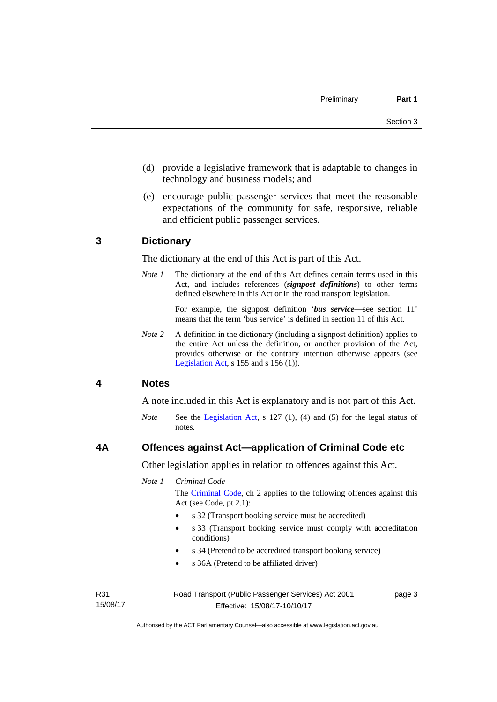- (d) provide a legislative framework that is adaptable to changes in technology and business models; and
- (e) encourage public passenger services that meet the reasonable expectations of the community for safe, responsive, reliable and efficient public passenger services.

### <span id="page-12-0"></span>**3 Dictionary**

The dictionary at the end of this Act is part of this Act.

*Note 1* The dictionary at the end of this Act defines certain terms used in this Act, and includes references (*signpost definitions*) to other terms defined elsewhere in this Act or in the road transport legislation.

> For example, the signpost definition '*bus service*—see section 11' means that the term 'bus service' is defined in section 11 of this Act.

*Note 2* A definition in the dictionary (including a signpost definition) applies to the entire Act unless the definition, or another provision of the Act, provides otherwise or the contrary intention otherwise appears (see [Legislation Act,](http://www.legislation.act.gov.au/a/2001-14) s  $155$  and s  $156$  (1)).

### <span id="page-12-1"></span>**4 Notes**

A note included in this Act is explanatory and is not part of this Act.

*Note* See the [Legislation Act](http://www.legislation.act.gov.au/a/2001-14), s 127 (1), (4) and (5) for the legal status of notes.

### <span id="page-12-2"></span>**4A Offences against Act—application of Criminal Code etc**

Other legislation applies in relation to offences against this Act.

*Note 1 Criminal Code*

The [Criminal Code](http://www.legislation.act.gov.au/a/2002-51), ch 2 applies to the following offences against this Act (see Code, pt 2.1):

- s 32 (Transport booking service must be accredited)
- s 33 (Transport booking service must comply with accreditation conditions)
- s 34 (Pretend to be accredited transport booking service)
- s 36A (Pretend to be affiliated driver)

R31 15/08/17 Road Transport (Public Passenger Services) Act 2001 Effective: 15/08/17-10/10/17

page 3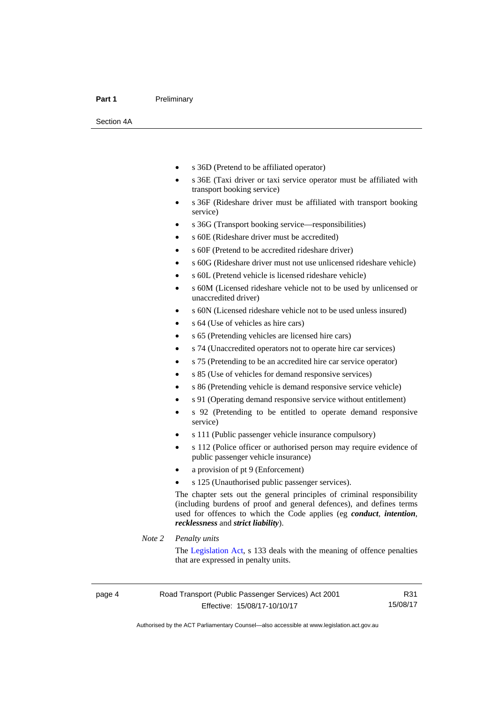#### Part 1 **Preliminary**

Section 4A

- s 36D (Pretend to be affiliated operator)
- s 36E (Taxi driver or taxi service operator must be affiliated with transport booking service)
- s 36F (Rideshare driver must be affiliated with transport booking service)
- s 36G (Transport booking service—responsibilities)
- s 60E (Rideshare driver must be accredited)
- s 60F (Pretend to be accredited rideshare driver)
- s 60G (Rideshare driver must not use unlicensed rideshare vehicle)
- s 60L (Pretend vehicle is licensed rideshare vehicle)
- s 60M (Licensed rideshare vehicle not to be used by unlicensed or unaccredited driver)
- s 60N (Licensed rideshare vehicle not to be used unless insured)
- s 64 (Use of vehicles as hire cars)
- s 65 (Pretending vehicles are licensed hire cars)
- s 74 (Unaccredited operators not to operate hire car services)
- s 75 (Pretending to be an accredited hire car service operator)
- s 85 (Use of vehicles for demand responsive services)
- s 86 (Pretending vehicle is demand responsive service vehicle)
- s 91 (Operating demand responsive service without entitlement)
- s 92 (Pretending to be entitled to operate demand responsive service)
- s 111 (Public passenger vehicle insurance compulsory)
- s 112 (Police officer or authorised person may require evidence of public passenger vehicle insurance)
- a provision of pt 9 (Enforcement)
- s 125 (Unauthorised public passenger services).

The chapter sets out the general principles of criminal responsibility (including burdens of proof and general defences), and defines terms used for offences to which the Code applies (eg *conduct*, *intention*, *recklessness* and *strict liability*).

#### *Note 2 Penalty units*

The [Legislation Act](http://www.legislation.act.gov.au/a/2001-14), s 133 deals with the meaning of offence penalties that are expressed in penalty units.

R31 15/08/17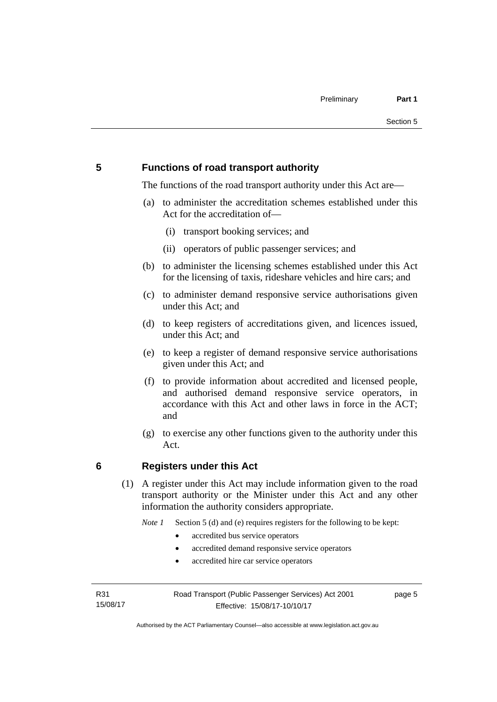### <span id="page-14-0"></span>**5 Functions of road transport authority**

The functions of the road transport authority under this Act are—

- (a) to administer the accreditation schemes established under this Act for the accreditation of—
	- (i) transport booking services; and
	- (ii) operators of public passenger services; and
- (b) to administer the licensing schemes established under this Act for the licensing of taxis, rideshare vehicles and hire cars; and
- (c) to administer demand responsive service authorisations given under this Act; and
- (d) to keep registers of accreditations given, and licences issued, under this Act; and
- (e) to keep a register of demand responsive service authorisations given under this Act; and
- (f) to provide information about accredited and licensed people, and authorised demand responsive service operators, in accordance with this Act and other laws in force in the ACT; and
- (g) to exercise any other functions given to the authority under this Act.

### <span id="page-14-1"></span>**6 Registers under this Act**

(1) A register under this Act may include information given to the road transport authority or the Minister under this Act and any other information the authority considers appropriate.

*Note 1* Section 5 (d) and (e) requires registers for the following to be kept:

- accredited bus service operators
- accredited demand responsive service operators
- accredited hire car service operators

R31 15/08/17 page 5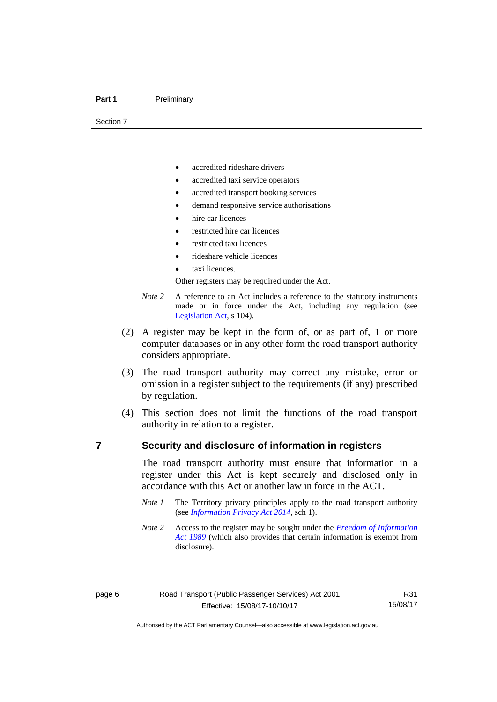#### Part 1 **Preliminary**

Section 7

- accredited rideshare drivers
- accredited taxi service operators
- accredited transport booking services
- demand responsive service authorisations
- hire car licences
- restricted hire car licences
- restricted taxi licences
- rideshare vehicle licences
- taxi licences.

Other registers may be required under the Act.

- *Note 2* A reference to an Act includes a reference to the statutory instruments made or in force under the Act, including any regulation (see [Legislation Act,](http://www.legislation.act.gov.au/a/2001-14) s 104).
- (2) A register may be kept in the form of, or as part of, 1 or more computer databases or in any other form the road transport authority considers appropriate.
- (3) The road transport authority may correct any mistake, error or omission in a register subject to the requirements (if any) prescribed by regulation.
- (4) This section does not limit the functions of the road transport authority in relation to a register.

### <span id="page-15-0"></span>**7 Security and disclosure of information in registers**

The road transport authority must ensure that information in a register under this Act is kept securely and disclosed only in accordance with this Act or another law in force in the ACT.

- *Note 1* The Territory privacy principles apply to the road transport authority (see *[Information Privacy Act 2014](http://www.legislation.act.gov.au/a/2014-24/default.asp)*, sch 1).
- *Note 2* Access to the register may be sought under the *[Freedom of Information](http://www.legislation.act.gov.au/a/alt_a1989-46co)  [Act 1989](http://www.legislation.act.gov.au/a/alt_a1989-46co)* (which also provides that certain information is exempt from disclosure).

R31 15/08/17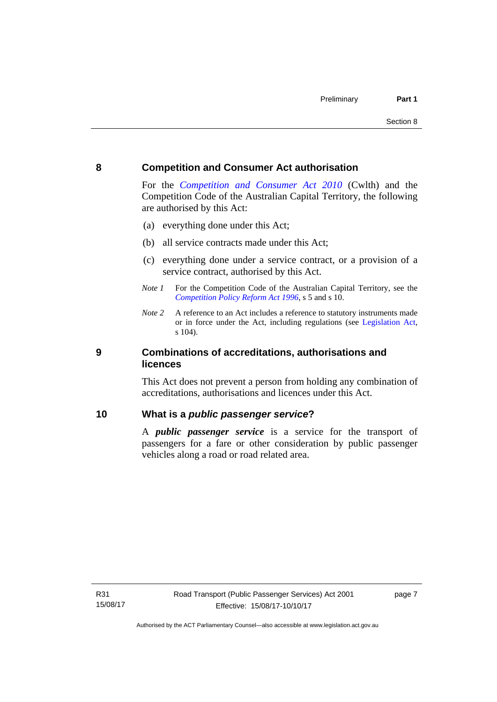### <span id="page-16-0"></span>**8 Competition and Consumer Act authorisation**

For the *[Competition and Consumer Act 2010](http://www.comlaw.gov.au/Details/C2013C00004)* (Cwlth) and the Competition Code of the Australian Capital Territory, the following are authorised by this Act:

- (a) everything done under this Act;
- (b) all service contracts made under this Act;
- (c) everything done under a service contract, or a provision of a service contract, authorised by this Act.
- *Note 1* For the Competition Code of the Australian Capital Territory, see the *[Competition Policy Reform Act 1996](http://www.legislation.act.gov.au/a/1996-21)*, s 5 and s 10.
- *Note 2* A reference to an Act includes a reference to statutory instruments made or in force under the Act, including regulations (see [Legislation Act,](http://www.legislation.act.gov.au/a/2001-14) s 104).

### <span id="page-16-1"></span>**9 Combinations of accreditations, authorisations and licences**

This Act does not prevent a person from holding any combination of accreditations, authorisations and licences under this Act.

### <span id="page-16-2"></span>**10 What is a** *public passenger service***?**

A *public passenger service* is a service for the transport of passengers for a fare or other consideration by public passenger vehicles along a road or road related area.

page 7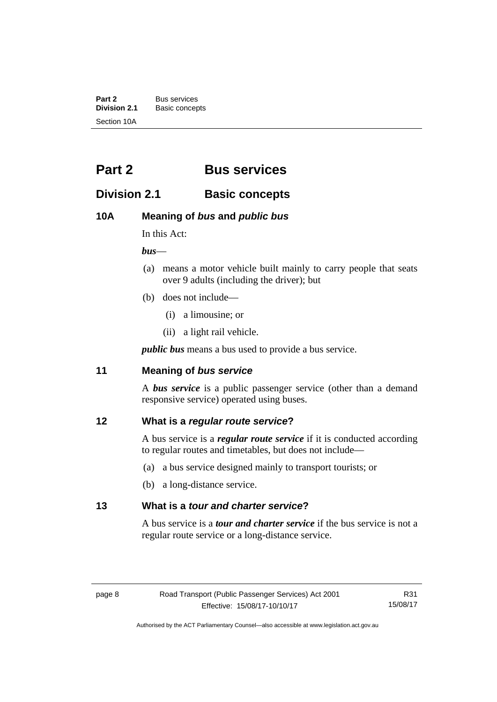**Part 2** Bus services<br> **Division 2.1** Basic concer **Division 2.1** Basic concepts Section 10A

# <span id="page-17-0"></span>**Part 2 Bus services**

## <span id="page-17-1"></span>**Division 2.1 Basic concepts**

### <span id="page-17-2"></span>**10A Meaning of** *bus* **and** *public bus*

In this Act:

*bus*—

- (a) means a motor vehicle built mainly to carry people that seats over 9 adults (including the driver); but
- (b) does not include—
	- (i) a limousine; or
	- (ii) a light rail vehicle.

*public bus* means a bus used to provide a bus service.

### <span id="page-17-3"></span>**11 Meaning of** *bus service*

A *bus service* is a public passenger service (other than a demand responsive service) operated using buses.

### <span id="page-17-4"></span>**12 What is a** *regular route service***?**

A bus service is a *regular route service* if it is conducted according to regular routes and timetables, but does not include—

- (a) a bus service designed mainly to transport tourists; or
- (b) a long-distance service.

### <span id="page-17-5"></span>**13 What is a** *tour and charter service***?**

A bus service is a *tour and charter service* if the bus service is not a regular route service or a long-distance service.

R31 15/08/17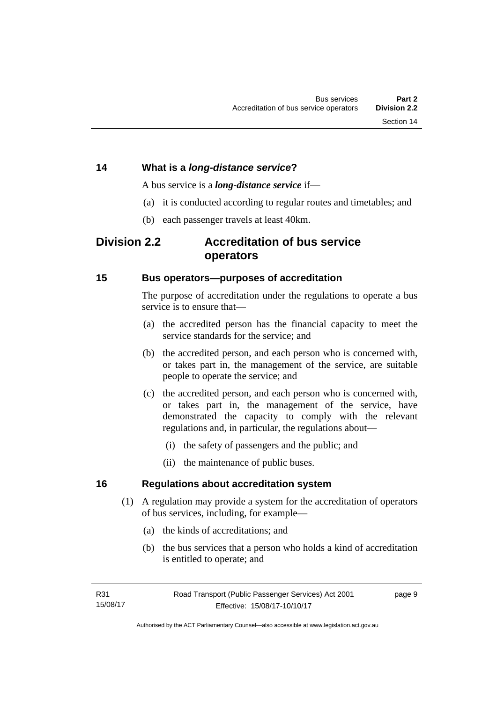### <span id="page-18-0"></span>**14 What is a** *long-distance service***?**

A bus service is a *long-distance service* if—

- (a) it is conducted according to regular routes and timetables; and
- (b) each passenger travels at least 40km.

## <span id="page-18-1"></span>**Division 2.2 Accreditation of bus service operators**

### <span id="page-18-2"></span>**15 Bus operators—purposes of accreditation**

The purpose of accreditation under the regulations to operate a bus service is to ensure that-

- (a) the accredited person has the financial capacity to meet the service standards for the service; and
- (b) the accredited person, and each person who is concerned with, or takes part in, the management of the service, are suitable people to operate the service; and
- (c) the accredited person, and each person who is concerned with, or takes part in, the management of the service, have demonstrated the capacity to comply with the relevant regulations and, in particular, the regulations about—
	- (i) the safety of passengers and the public; and
	- (ii) the maintenance of public buses.

### <span id="page-18-3"></span>**16 Regulations about accreditation system**

- (1) A regulation may provide a system for the accreditation of operators of bus services, including, for example—
	- (a) the kinds of accreditations; and
	- (b) the bus services that a person who holds a kind of accreditation is entitled to operate; and

page 9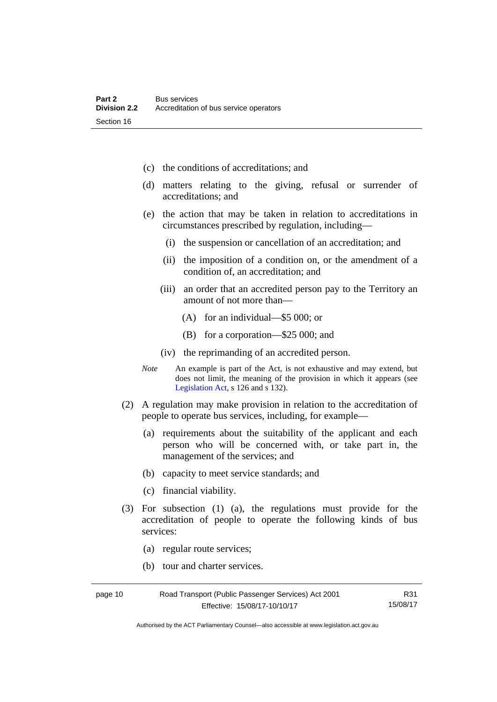- (c) the conditions of accreditations; and
- (d) matters relating to the giving, refusal or surrender of accreditations; and
- (e) the action that may be taken in relation to accreditations in circumstances prescribed by regulation, including—
	- (i) the suspension or cancellation of an accreditation; and
	- (ii) the imposition of a condition on, or the amendment of a condition of, an accreditation; and
	- (iii) an order that an accredited person pay to the Territory an amount of not more than—
		- (A) for an individual—\$5 000; or
		- (B) for a corporation—\$25 000; and
	- (iv) the reprimanding of an accredited person.
- *Note* An example is part of the Act, is not exhaustive and may extend, but does not limit, the meaning of the provision in which it appears (see [Legislation Act,](http://www.legislation.act.gov.au/a/2001-14) s 126 and s 132).
- (2) A regulation may make provision in relation to the accreditation of people to operate bus services, including, for example—
	- (a) requirements about the suitability of the applicant and each person who will be concerned with, or take part in, the management of the services; and
	- (b) capacity to meet service standards; and
	- (c) financial viability.
- (3) For subsection (1) (a), the regulations must provide for the accreditation of people to operate the following kinds of bus services:
	- (a) regular route services;
	- (b) tour and charter services.

| Road Transport (Public Passenger Services) Act 2001<br>page 10 |                              | R31      |
|----------------------------------------------------------------|------------------------------|----------|
|                                                                | Effective: 15/08/17-10/10/17 | 15/08/17 |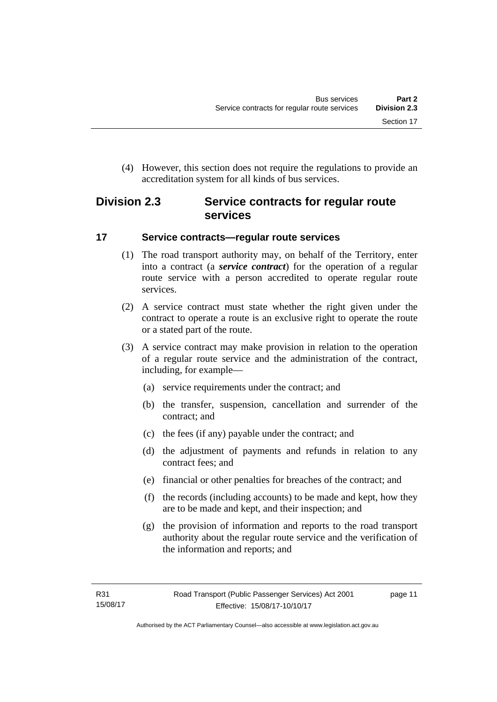(4) However, this section does not require the regulations to provide an accreditation system for all kinds of bus services.

# <span id="page-20-0"></span>**Division 2.3 Service contracts for regular route services**

### <span id="page-20-1"></span>**17 Service contracts—regular route services**

- (1) The road transport authority may, on behalf of the Territory, enter into a contract (a *service contract*) for the operation of a regular route service with a person accredited to operate regular route services.
- (2) A service contract must state whether the right given under the contract to operate a route is an exclusive right to operate the route or a stated part of the route.
- (3) A service contract may make provision in relation to the operation of a regular route service and the administration of the contract, including, for example—
	- (a) service requirements under the contract; and
	- (b) the transfer, suspension, cancellation and surrender of the contract; and
	- (c) the fees (if any) payable under the contract; and
	- (d) the adjustment of payments and refunds in relation to any contract fees; and
	- (e) financial or other penalties for breaches of the contract; and
	- (f) the records (including accounts) to be made and kept, how they are to be made and kept, and their inspection; and
	- (g) the provision of information and reports to the road transport authority about the regular route service and the verification of the information and reports; and

page 11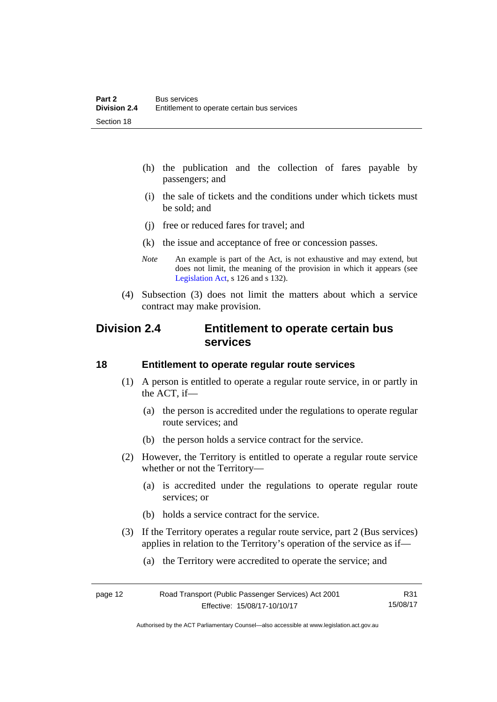- (h) the publication and the collection of fares payable by passengers; and
- (i) the sale of tickets and the conditions under which tickets must be sold; and
- (j) free or reduced fares for travel; and
- (k) the issue and acceptance of free or concession passes.
- *Note* An example is part of the Act, is not exhaustive and may extend, but does not limit, the meaning of the provision in which it appears (see [Legislation Act,](http://www.legislation.act.gov.au/a/2001-14) s 126 and s 132).
- (4) Subsection (3) does not limit the matters about which a service contract may make provision.

# <span id="page-21-0"></span>**Division 2.4 Entitlement to operate certain bus services**

### <span id="page-21-1"></span>**18 Entitlement to operate regular route services**

- (1) A person is entitled to operate a regular route service, in or partly in the ACT, if—
	- (a) the person is accredited under the regulations to operate regular route services; and
	- (b) the person holds a service contract for the service.
- (2) However, the Territory is entitled to operate a regular route service whether or not the Territory—
	- (a) is accredited under the regulations to operate regular route services; or
	- (b) holds a service contract for the service.
- (3) If the Territory operates a regular route service, part 2 (Bus services) applies in relation to the Territory's operation of the service as if—
	- (a) the Territory were accredited to operate the service; and

| page 12 | Road Transport (Public Passenger Services) Act 2001 | R31      |
|---------|-----------------------------------------------------|----------|
|         | Effective: 15/08/17-10/10/17                        | 15/08/17 |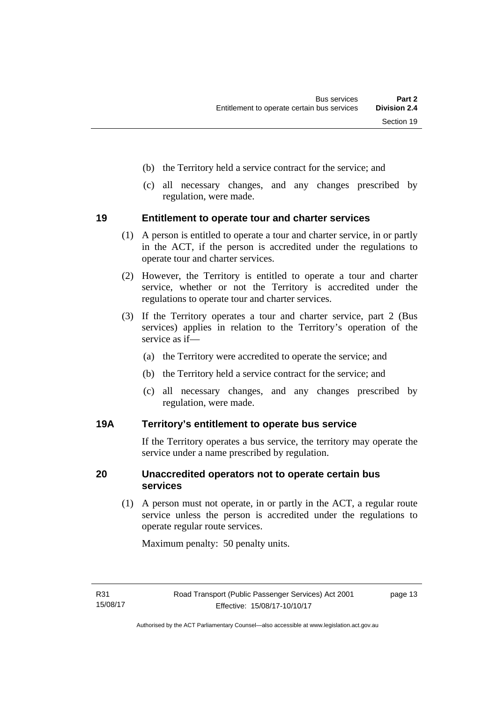- (b) the Territory held a service contract for the service; and
- (c) all necessary changes, and any changes prescribed by regulation, were made.

### <span id="page-22-0"></span>**19 Entitlement to operate tour and charter services**

- (1) A person is entitled to operate a tour and charter service, in or partly in the ACT, if the person is accredited under the regulations to operate tour and charter services.
- (2) However, the Territory is entitled to operate a tour and charter service, whether or not the Territory is accredited under the regulations to operate tour and charter services.
- (3) If the Territory operates a tour and charter service, part 2 (Bus services) applies in relation to the Territory's operation of the service as if—
	- (a) the Territory were accredited to operate the service; and
	- (b) the Territory held a service contract for the service; and
	- (c) all necessary changes, and any changes prescribed by regulation, were made.

### <span id="page-22-1"></span>**19A Territory's entitlement to operate bus service**

If the Territory operates a bus service, the territory may operate the service under a name prescribed by regulation.

### <span id="page-22-2"></span>**20 Unaccredited operators not to operate certain bus services**

(1) A person must not operate, in or partly in the ACT, a regular route service unless the person is accredited under the regulations to operate regular route services.

Maximum penalty: 50 penalty units.

page 13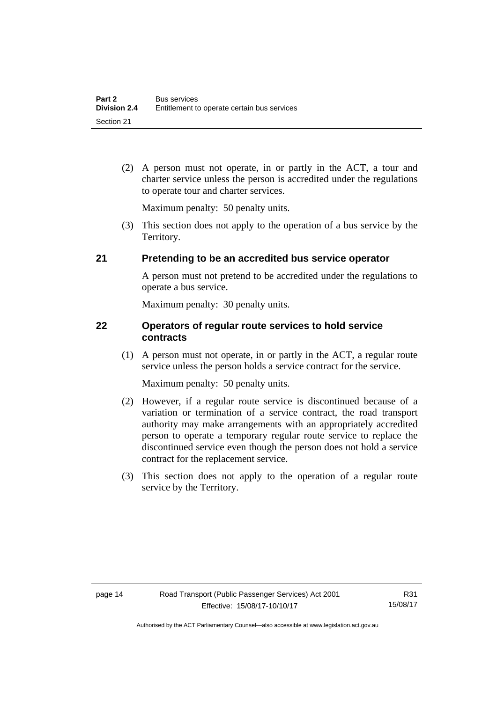(2) A person must not operate, in or partly in the ACT, a tour and charter service unless the person is accredited under the regulations to operate tour and charter services.

Maximum penalty: 50 penalty units.

 (3) This section does not apply to the operation of a bus service by the Territory.

### <span id="page-23-0"></span>**21 Pretending to be an accredited bus service operator**

A person must not pretend to be accredited under the regulations to operate a bus service.

Maximum penalty: 30 penalty units.

### <span id="page-23-1"></span>**22 Operators of regular route services to hold service contracts**

(1) A person must not operate, in or partly in the ACT, a regular route service unless the person holds a service contract for the service.

Maximum penalty: 50 penalty units.

- (2) However, if a regular route service is discontinued because of a variation or termination of a service contract, the road transport authority may make arrangements with an appropriately accredited person to operate a temporary regular route service to replace the discontinued service even though the person does not hold a service contract for the replacement service.
- (3) This section does not apply to the operation of a regular route service by the Territory.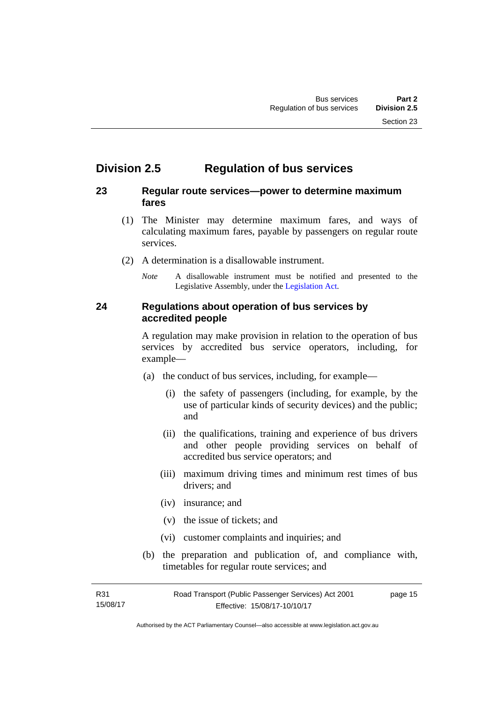# <span id="page-24-0"></span>**Division 2.5 Regulation of bus services**

### <span id="page-24-1"></span>**23 Regular route services—power to determine maximum fares**

- (1) The Minister may determine maximum fares, and ways of calculating maximum fares, payable by passengers on regular route services.
- (2) A determination is a disallowable instrument.
	- *Note* A disallowable instrument must be notified and presented to the Legislative Assembly, under the [Legislation Act.](http://www.legislation.act.gov.au/a/2001-14)

### <span id="page-24-2"></span>**24 Regulations about operation of bus services by accredited people**

A regulation may make provision in relation to the operation of bus services by accredited bus service operators, including, for example—

- (a) the conduct of bus services, including, for example—
	- (i) the safety of passengers (including, for example, by the use of particular kinds of security devices) and the public; and
	- (ii) the qualifications, training and experience of bus drivers and other people providing services on behalf of accredited bus service operators; and
	- (iii) maximum driving times and minimum rest times of bus drivers; and
	- (iv) insurance; and
	- (v) the issue of tickets; and
	- (vi) customer complaints and inquiries; and
- (b) the preparation and publication of, and compliance with, timetables for regular route services; and

R31 15/08/17 Road Transport (Public Passenger Services) Act 2001 Effective: 15/08/17-10/10/17 page 15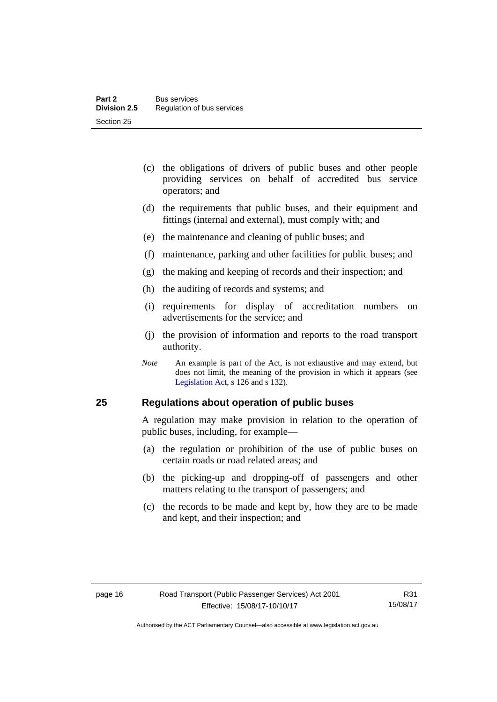- (c) the obligations of drivers of public buses and other people providing services on behalf of accredited bus service operators; and
- (d) the requirements that public buses, and their equipment and fittings (internal and external), must comply with; and
- (e) the maintenance and cleaning of public buses; and
- (f) maintenance, parking and other facilities for public buses; and
- (g) the making and keeping of records and their inspection; and
- (h) the auditing of records and systems; and
- (i) requirements for display of accreditation numbers on advertisements for the service; and
- (j) the provision of information and reports to the road transport authority.
- *Note* An example is part of the Act, is not exhaustive and may extend, but does not limit, the meaning of the provision in which it appears (see [Legislation Act,](http://www.legislation.act.gov.au/a/2001-14) s 126 and s 132).

### <span id="page-25-0"></span>**25 Regulations about operation of public buses**

A regulation may make provision in relation to the operation of public buses, including, for example—

- (a) the regulation or prohibition of the use of public buses on certain roads or road related areas; and
- (b) the picking-up and dropping-off of passengers and other matters relating to the transport of passengers; and
- (c) the records to be made and kept by, how they are to be made and kept, and their inspection; and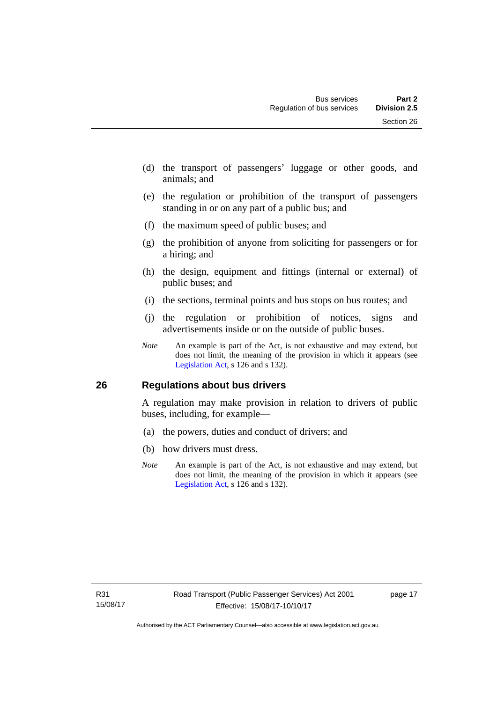- (d) the transport of passengers' luggage or other goods, and animals; and
- (e) the regulation or prohibition of the transport of passengers standing in or on any part of a public bus; and
- (f) the maximum speed of public buses; and
- (g) the prohibition of anyone from soliciting for passengers or for a hiring; and
- (h) the design, equipment and fittings (internal or external) of public buses; and
- (i) the sections, terminal points and bus stops on bus routes; and
- (j) the regulation or prohibition of notices, signs and advertisements inside or on the outside of public buses.
- *Note* An example is part of the Act, is not exhaustive and may extend, but does not limit, the meaning of the provision in which it appears (see [Legislation Act,](http://www.legislation.act.gov.au/a/2001-14) s 126 and s 132).

### <span id="page-26-0"></span>**26 Regulations about bus drivers**

A regulation may make provision in relation to drivers of public buses, including, for example—

- (a) the powers, duties and conduct of drivers; and
- (b) how drivers must dress.
- *Note* An example is part of the Act, is not exhaustive and may extend, but does not limit, the meaning of the provision in which it appears (see [Legislation Act,](http://www.legislation.act.gov.au/a/2001-14) s 126 and s 132).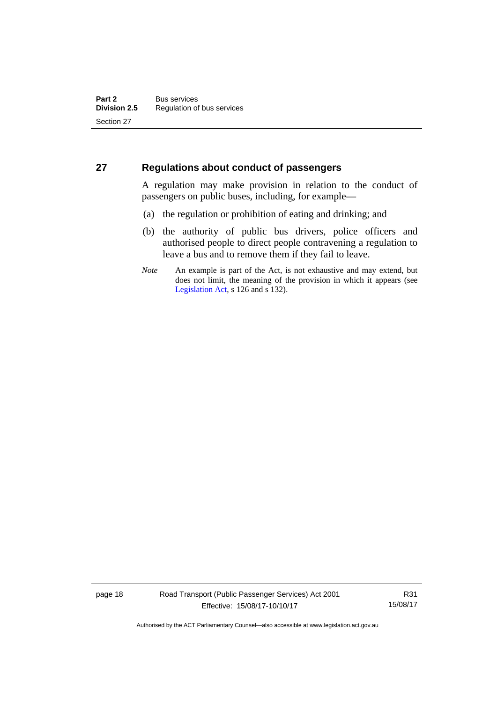### <span id="page-27-0"></span>**27 Regulations about conduct of passengers**

A regulation may make provision in relation to the conduct of passengers on public buses, including, for example—

- (a) the regulation or prohibition of eating and drinking; and
- (b) the authority of public bus drivers, police officers and authorised people to direct people contravening a regulation to leave a bus and to remove them if they fail to leave.
- *Note* An example is part of the Act, is not exhaustive and may extend, but does not limit, the meaning of the provision in which it appears (see [Legislation Act,](http://www.legislation.act.gov.au/a/2001-14) s 126 and s 132).

page 18 Road Transport (Public Passenger Services) Act 2001 Effective: 15/08/17-10/10/17

R31 15/08/17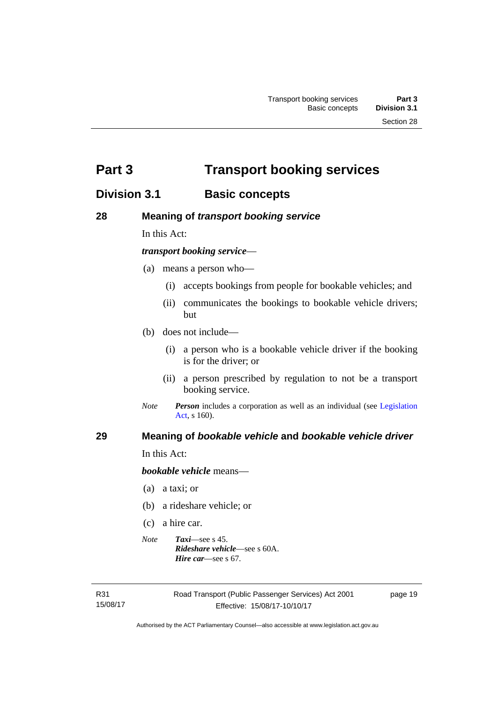<span id="page-28-0"></span>**Part 3 Transport booking services** 

# <span id="page-28-1"></span>**Division 3.1 Basic concepts**

<span id="page-28-2"></span>**28 Meaning of** *transport booking service*

In this Act:

### *transport booking service*—

- (a) means a person who—
	- (i) accepts bookings from people for bookable vehicles; and
	- (ii) communicates the bookings to bookable vehicle drivers; but
- (b) does not include—
	- (i) a person who is a bookable vehicle driver if the booking is for the driver; or
	- (ii) a person prescribed by regulation to not be a transport booking service.
- *Note Person* includes a corporation as well as an individual (see [Legislation](http://www.legislation.act.gov.au/a/2001-14)  [Act](http://www.legislation.act.gov.au/a/2001-14), s 160).

### <span id="page-28-3"></span>**29 Meaning of** *bookable vehicle* **and** *bookable vehicle driver*

In this Act:

*bookable vehicle* means—

- (a) a taxi; or
- (b) a rideshare vehicle; or
- (c) a hire car.
- *Note Taxi*—see s 45. *Rideshare vehicle*—see s 60A. *Hire car*—see s 67.

R31 15/08/17 page 19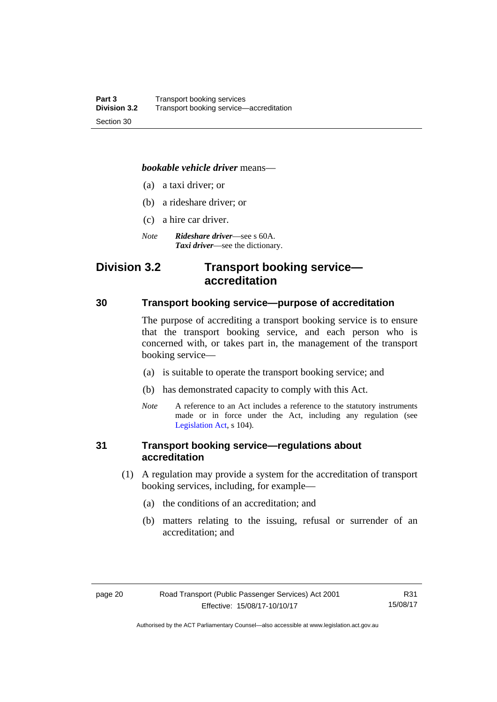#### *bookable vehicle driver* means—

- (a) a taxi driver; or
- (b) a rideshare driver; or
- (c) a hire car driver.
- *Note Rideshare driver*—see s 60A. *Taxi driver*—see the dictionary.

# <span id="page-29-0"></span>**Division 3.2 Transport booking service accreditation**

### <span id="page-29-1"></span>**30 Transport booking service—purpose of accreditation**

The purpose of accrediting a transport booking service is to ensure that the transport booking service, and each person who is concerned with, or takes part in, the management of the transport booking service—

- (a) is suitable to operate the transport booking service; and
- (b) has demonstrated capacity to comply with this Act.
- *Note* A reference to an Act includes a reference to the statutory instruments made or in force under the Act, including any regulation (see [Legislation Act,](http://www.legislation.act.gov.au/a/2001-14) s 104).

### <span id="page-29-2"></span>**31 Transport booking service—regulations about accreditation**

- (1) A regulation may provide a system for the accreditation of transport booking services, including, for example—
	- (a) the conditions of an accreditation; and
	- (b) matters relating to the issuing, refusal or surrender of an accreditation; and

R31 15/08/17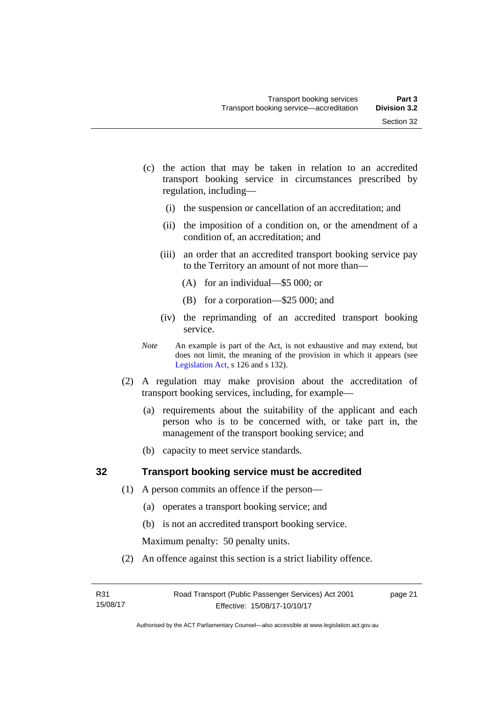- (c) the action that may be taken in relation to an accredited transport booking service in circumstances prescribed by regulation, including—
	- (i) the suspension or cancellation of an accreditation; and
	- (ii) the imposition of a condition on, or the amendment of a condition of, an accreditation; and
	- (iii) an order that an accredited transport booking service pay to the Territory an amount of not more than—
		- (A) for an individual—\$5 000; or
		- (B) for a corporation—\$25 000; and
	- (iv) the reprimanding of an accredited transport booking service.
- *Note* An example is part of the Act, is not exhaustive and may extend, but does not limit, the meaning of the provision in which it appears (see [Legislation Act,](http://www.legislation.act.gov.au/a/2001-14) s 126 and s 132).
- (2) A regulation may make provision about the accreditation of transport booking services, including, for example—
	- (a) requirements about the suitability of the applicant and each person who is to be concerned with, or take part in, the management of the transport booking service; and
	- (b) capacity to meet service standards.

### <span id="page-30-0"></span>**32 Transport booking service must be accredited**

- (1) A person commits an offence if the person—
	- (a) operates a transport booking service; and
	- (b) is not an accredited transport booking service.

Maximum penalty: 50 penalty units.

(2) An offence against this section is a strict liability offence.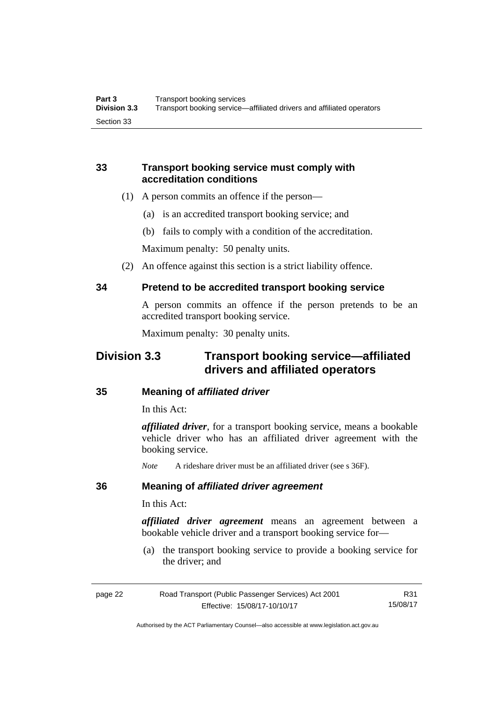### <span id="page-31-0"></span>**33 Transport booking service must comply with accreditation conditions**

- (1) A person commits an offence if the person—
	- (a) is an accredited transport booking service; and
	- (b) fails to comply with a condition of the accreditation.

Maximum penalty: 50 penalty units.

(2) An offence against this section is a strict liability offence.

### <span id="page-31-1"></span>**34 Pretend to be accredited transport booking service**

A person commits an offence if the person pretends to be an accredited transport booking service.

Maximum penalty: 30 penalty units.

# <span id="page-31-2"></span>**Division 3.3 Transport booking service—affiliated drivers and affiliated operators**

### <span id="page-31-3"></span>**35 Meaning of** *affiliated driver*

In this Act:

*affiliated driver*, for a transport booking service, means a bookable vehicle driver who has an affiliated driver agreement with the booking service.

*Note* A rideshare driver must be an affiliated driver (see s 36F).

### <span id="page-31-4"></span>**36 Meaning of** *affiliated driver agreement*

In this Act:

*affiliated driver agreement* means an agreement between a bookable vehicle driver and a transport booking service for—

 (a) the transport booking service to provide a booking service for the driver; and

| page 22 | Road Transport (Public Passenger Services) Act 2001 | R31      |
|---------|-----------------------------------------------------|----------|
|         | Effective: 15/08/17-10/10/17                        | 15/08/17 |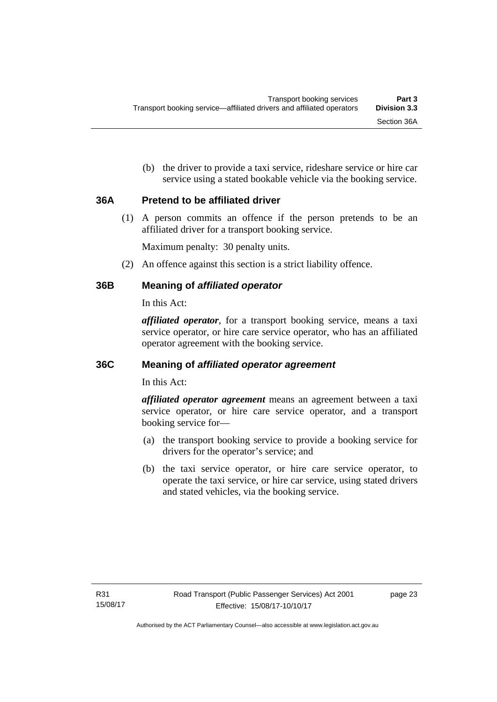(b) the driver to provide a taxi service, rideshare service or hire car service using a stated bookable vehicle via the booking service.

### <span id="page-32-0"></span>**36A Pretend to be affiliated driver**

(1) A person commits an offence if the person pretends to be an affiliated driver for a transport booking service.

Maximum penalty: 30 penalty units.

(2) An offence against this section is a strict liability offence.

### <span id="page-32-1"></span>**36B Meaning of** *affiliated operator*

In this Act:

*affiliated operator*, for a transport booking service, means a taxi service operator, or hire care service operator, who has an affiliated operator agreement with the booking service.

### <span id="page-32-2"></span>**36C Meaning of** *affiliated operator agreement*

In this Act:

*affiliated operator agreement* means an agreement between a taxi service operator, or hire care service operator, and a transport booking service for—

- (a) the transport booking service to provide a booking service for drivers for the operator's service; and
- (b) the taxi service operator, or hire care service operator, to operate the taxi service, or hire car service, using stated drivers and stated vehicles, via the booking service.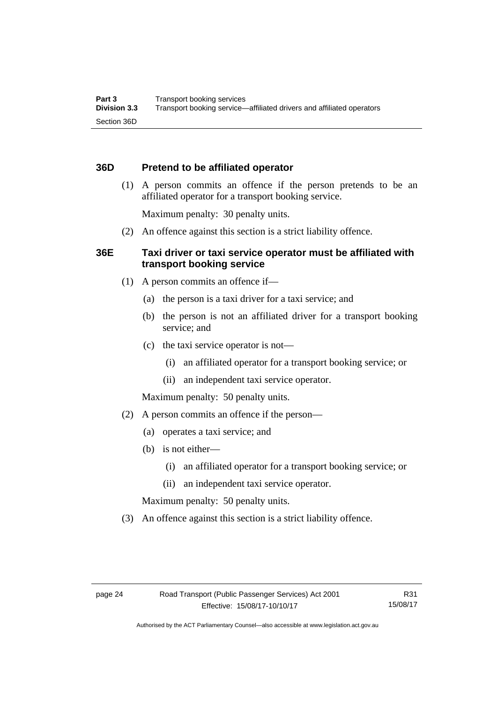### <span id="page-33-0"></span>**36D Pretend to be affiliated operator**

 (1) A person commits an offence if the person pretends to be an affiliated operator for a transport booking service.

Maximum penalty: 30 penalty units.

(2) An offence against this section is a strict liability offence.

### <span id="page-33-1"></span>**36E Taxi driver or taxi service operator must be affiliated with transport booking service**

- (1) A person commits an offence if—
	- (a) the person is a taxi driver for a taxi service; and
	- (b) the person is not an affiliated driver for a transport booking service; and
	- (c) the taxi service operator is not—
		- (i) an affiliated operator for a transport booking service; or
		- (ii) an independent taxi service operator.

Maximum penalty: 50 penalty units.

- (2) A person commits an offence if the person—
	- (a) operates a taxi service; and
	- (b) is not either—
		- (i) an affiliated operator for a transport booking service; or
		- (ii) an independent taxi service operator.

Maximum penalty: 50 penalty units.

(3) An offence against this section is a strict liability offence.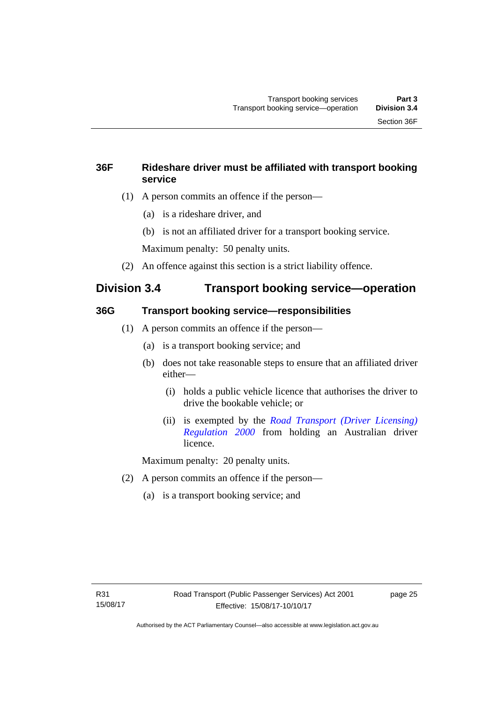### <span id="page-34-0"></span>**36F Rideshare driver must be affiliated with transport booking service**

- (1) A person commits an offence if the person—
	- (a) is a rideshare driver, and
	- (b) is not an affiliated driver for a transport booking service.

Maximum penalty: 50 penalty units.

(2) An offence against this section is a strict liability offence.

# <span id="page-34-1"></span>**Division 3.4 Transport booking service—operation**

### <span id="page-34-2"></span>**36G Transport booking service—responsibilities**

- (1) A person commits an offence if the person—
	- (a) is a transport booking service; and
	- (b) does not take reasonable steps to ensure that an affiliated driver either—
		- (i) holds a public vehicle licence that authorises the driver to drive the bookable vehicle; or
		- (ii) is exempted by the *[Road Transport \(Driver Licensing\)](http://www.legislation.act.gov.au/sl/2000-14)  [Regulation 2000](http://www.legislation.act.gov.au/sl/2000-14)* from holding an Australian driver licence.

Maximum penalty: 20 penalty units.

- (2) A person commits an offence if the person—
	- (a) is a transport booking service; and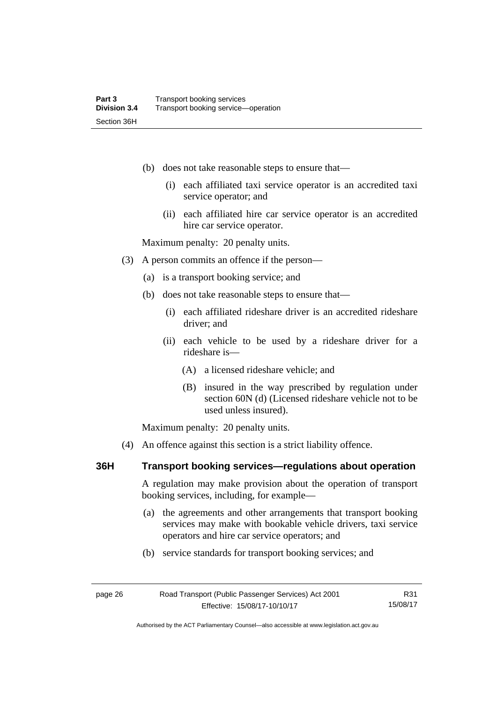- (b) does not take reasonable steps to ensure that—
	- (i) each affiliated taxi service operator is an accredited taxi service operator; and
	- (ii) each affiliated hire car service operator is an accredited hire car service operator.

Maximum penalty: 20 penalty units.

- (3) A person commits an offence if the person—
	- (a) is a transport booking service; and
	- (b) does not take reasonable steps to ensure that—
		- (i) each affiliated rideshare driver is an accredited rideshare driver; and
		- (ii) each vehicle to be used by a rideshare driver for a rideshare is—
			- (A) a licensed rideshare vehicle; and
			- (B) insured in the way prescribed by regulation under section 60N (d) (Licensed rideshare vehicle not to be used unless insured).

Maximum penalty: 20 penalty units.

(4) An offence against this section is a strict liability offence.

### <span id="page-35-0"></span>**36H Transport booking services—regulations about operation**

A regulation may make provision about the operation of transport booking services, including, for example—

- (a) the agreements and other arrangements that transport booking services may make with bookable vehicle drivers, taxi service operators and hire car service operators; and
- (b) service standards for transport booking services; and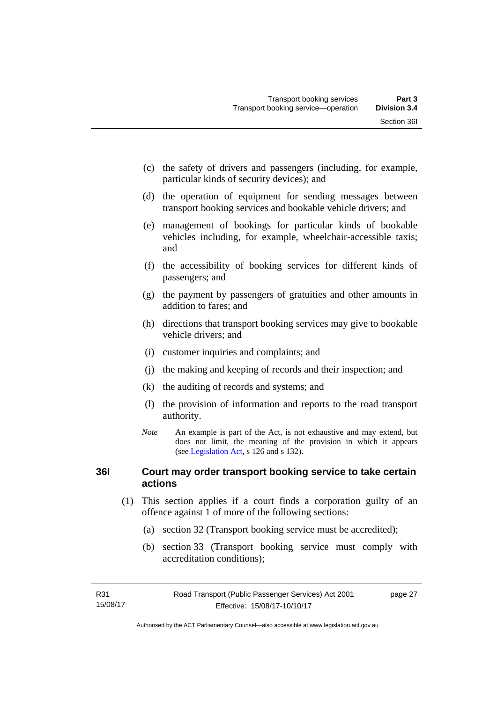- (c) the safety of drivers and passengers (including, for example, particular kinds of security devices); and
- (d) the operation of equipment for sending messages between transport booking services and bookable vehicle drivers; and
- (e) management of bookings for particular kinds of bookable vehicles including, for example, wheelchair-accessible taxis; and
- (f) the accessibility of booking services for different kinds of passengers; and
- (g) the payment by passengers of gratuities and other amounts in addition to fares; and
- (h) directions that transport booking services may give to bookable vehicle drivers; and
- (i) customer inquiries and complaints; and
- (j) the making and keeping of records and their inspection; and
- (k) the auditing of records and systems; and
- (l) the provision of information and reports to the road transport authority.
- *Note* An example is part of the Act, is not exhaustive and may extend, but does not limit, the meaning of the provision in which it appears (see [Legislation Act,](http://www.legislation.act.gov.au/a/2001-14) s 126 and s 132).

# **36I Court may order transport booking service to take certain actions**

- (1) This section applies if a court finds a corporation guilty of an offence against 1 of more of the following sections:
	- (a) section 32 (Transport booking service must be accredited);
	- (b) section 33 (Transport booking service must comply with accreditation conditions);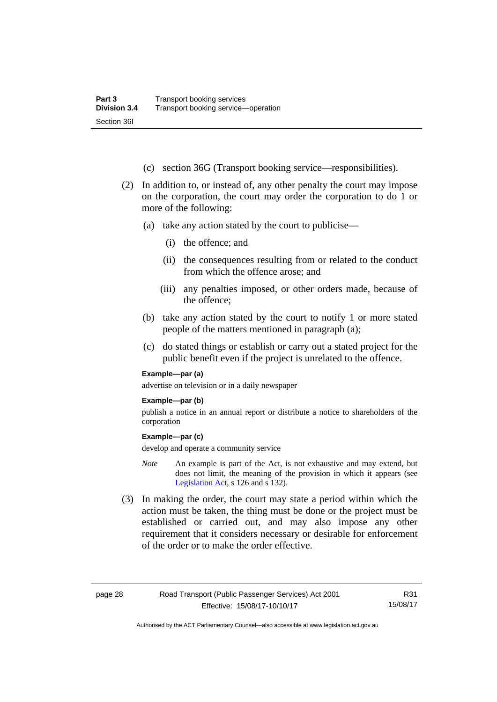- (c) section 36G (Transport booking service—responsibilities).
- (2) In addition to, or instead of, any other penalty the court may impose on the corporation, the court may order the corporation to do 1 or more of the following:
	- (a) take any action stated by the court to publicise—
		- (i) the offence; and
		- (ii) the consequences resulting from or related to the conduct from which the offence arose; and
		- (iii) any penalties imposed, or other orders made, because of the offence;
	- (b) take any action stated by the court to notify 1 or more stated people of the matters mentioned in paragraph (a);
	- (c) do stated things or establish or carry out a stated project for the public benefit even if the project is unrelated to the offence.

#### **Example—par (a)**

advertise on television or in a daily newspaper

#### **Example—par (b)**

publish a notice in an annual report or distribute a notice to shareholders of the corporation

#### **Example—par (c)**

develop and operate a community service

- *Note* An example is part of the Act, is not exhaustive and may extend, but does not limit, the meaning of the provision in which it appears (see [Legislation Act,](http://www.legislation.act.gov.au/a/2001-14) s 126 and s 132).
- (3) In making the order, the court may state a period within which the action must be taken, the thing must be done or the project must be established or carried out, and may also impose any other requirement that it considers necessary or desirable for enforcement of the order or to make the order effective.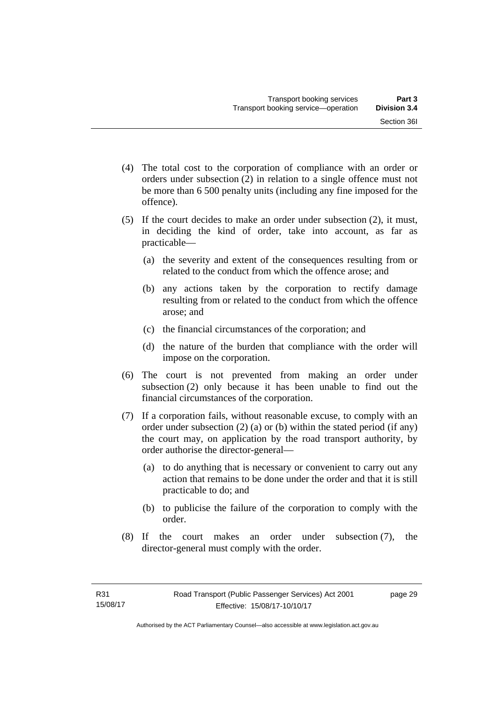- (4) The total cost to the corporation of compliance with an order or orders under subsection (2) in relation to a single offence must not be more than 6 500 penalty units (including any fine imposed for the offence).
- (5) If the court decides to make an order under subsection (2), it must, in deciding the kind of order, take into account, as far as practicable—
	- (a) the severity and extent of the consequences resulting from or related to the conduct from which the offence arose; and
	- (b) any actions taken by the corporation to rectify damage resulting from or related to the conduct from which the offence arose; and
	- (c) the financial circumstances of the corporation; and
	- (d) the nature of the burden that compliance with the order will impose on the corporation.
- (6) The court is not prevented from making an order under subsection (2) only because it has been unable to find out the financial circumstances of the corporation.
- (7) If a corporation fails, without reasonable excuse, to comply with an order under subsection (2) (a) or (b) within the stated period (if any) the court may, on application by the road transport authority, by order authorise the director-general—
	- (a) to do anything that is necessary or convenient to carry out any action that remains to be done under the order and that it is still practicable to do; and
	- (b) to publicise the failure of the corporation to comply with the order.
- (8) If the court makes an order under subsection (7), the director-general must comply with the order.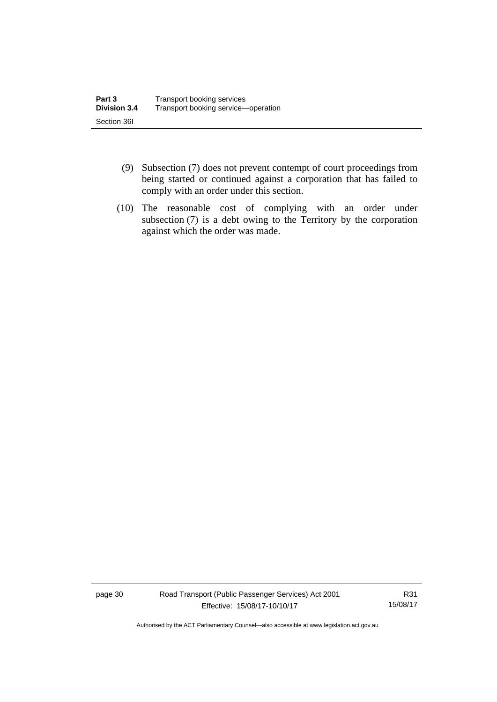- (9) Subsection (7) does not prevent contempt of court proceedings from being started or continued against a corporation that has failed to comply with an order under this section.
- (10) The reasonable cost of complying with an order under subsection (7) is a debt owing to the Territory by the corporation against which the order was made.

page 30 Road Transport (Public Passenger Services) Act 2001 Effective: 15/08/17-10/10/17

R31 15/08/17

Authorised by the ACT Parliamentary Counsel—also accessible at www.legislation.act.gov.au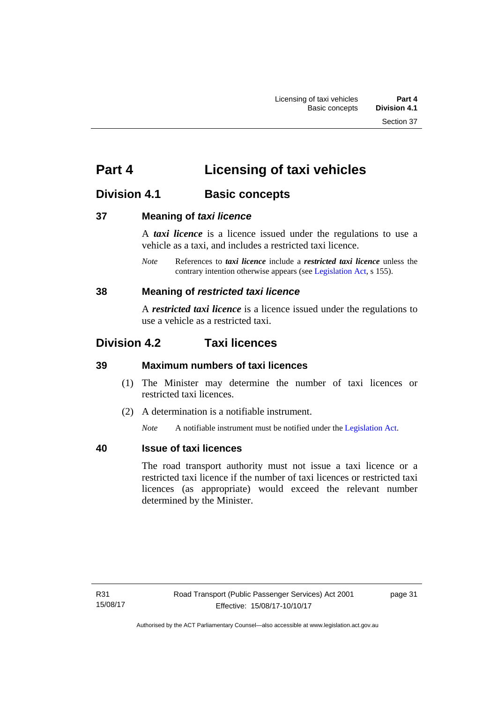# **Part 4 Licensing of taxi vehicles**

# **Division 4.1 Basic concepts**

# **37 Meaning of** *taxi licence*

A *taxi licence* is a licence issued under the regulations to use a vehicle as a taxi, and includes a restricted taxi licence.

*Note* References to *taxi licence* include a *restricted taxi licence* unless the contrary intention otherwise appears (see [Legislation Act,](http://www.legislation.act.gov.au/a/2001-14) s 155).

# **38 Meaning of** *restricted taxi licence*

A *restricted taxi licence* is a licence issued under the regulations to use a vehicle as a restricted taxi.

# **Division 4.2 Taxi licences**

# **39 Maximum numbers of taxi licences**

- (1) The Minister may determine the number of taxi licences or restricted taxi licences.
- (2) A determination is a notifiable instrument.

*Note* A notifiable instrument must be notified under the [Legislation Act](http://www.legislation.act.gov.au/a/2001-14).

# **40 Issue of taxi licences**

The road transport authority must not issue a taxi licence or a restricted taxi licence if the number of taxi licences or restricted taxi licences (as appropriate) would exceed the relevant number determined by the Minister.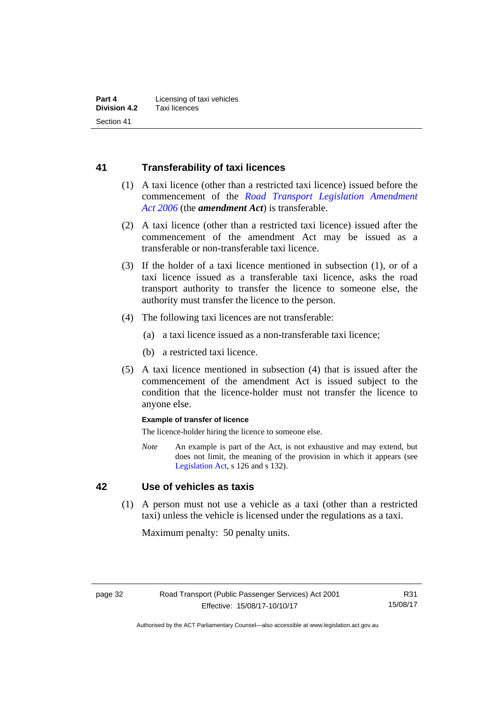# **41 Transferability of taxi licences**

- (1) A taxi licence (other than a restricted taxi licence) issued before the commencement of the *[Road Transport Legislation Amendment](http://www.legislation.act.gov.au/a/2006-26)  [Act 2006](http://www.legislation.act.gov.au/a/2006-26)* (the *amendment Act*) is transferable.
- (2) A taxi licence (other than a restricted taxi licence) issued after the commencement of the amendment Act may be issued as a transferable or non-transferable taxi licence.
- (3) If the holder of a taxi licence mentioned in subsection (1), or of a taxi licence issued as a transferable taxi licence, asks the road transport authority to transfer the licence to someone else, the authority must transfer the licence to the person.
- (4) The following taxi licences are not transferable:
	- (a) a taxi licence issued as a non-transferable taxi licence;
	- (b) a restricted taxi licence.
- (5) A taxi licence mentioned in subsection (4) that is issued after the commencement of the amendment Act is issued subject to the condition that the licence-holder must not transfer the licence to anyone else.

#### **Example of transfer of licence**

The licence-holder hiring the licence to someone else.

*Note* An example is part of the Act, is not exhaustive and may extend, but does not limit, the meaning of the provision in which it appears (see [Legislation Act,](http://www.legislation.act.gov.au/a/2001-14) s 126 and s 132).

# **42 Use of vehicles as taxis**

 (1) A person must not use a vehicle as a taxi (other than a restricted taxi) unless the vehicle is licensed under the regulations as a taxi.

Maximum penalty: 50 penalty units.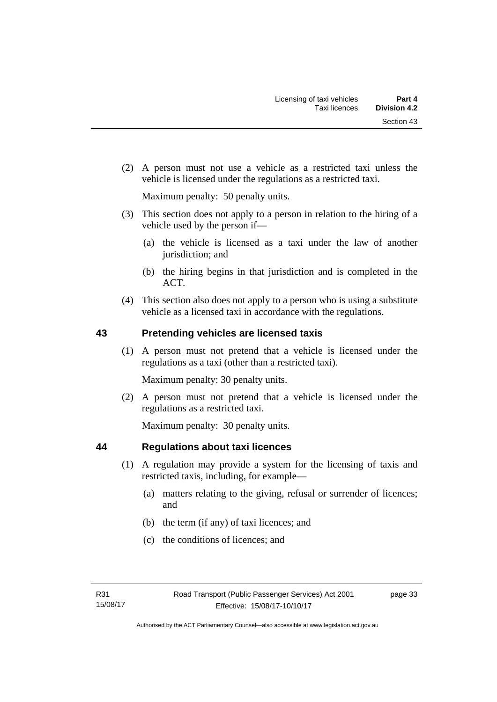(2) A person must not use a vehicle as a restricted taxi unless the vehicle is licensed under the regulations as a restricted taxi.

Maximum penalty: 50 penalty units.

- (3) This section does not apply to a person in relation to the hiring of a vehicle used by the person if—
	- (a) the vehicle is licensed as a taxi under the law of another jurisdiction; and
	- (b) the hiring begins in that jurisdiction and is completed in the ACT.
- (4) This section also does not apply to a person who is using a substitute vehicle as a licensed taxi in accordance with the regulations.

# **43 Pretending vehicles are licensed taxis**

(1) A person must not pretend that a vehicle is licensed under the regulations as a taxi (other than a restricted taxi).

Maximum penalty: 30 penalty units.

 (2) A person must not pretend that a vehicle is licensed under the regulations as a restricted taxi.

Maximum penalty: 30 penalty units.

# **44 Regulations about taxi licences**

- (1) A regulation may provide a system for the licensing of taxis and restricted taxis, including, for example—
	- (a) matters relating to the giving, refusal or surrender of licences; and
	- (b) the term (if any) of taxi licences; and
	- (c) the conditions of licences; and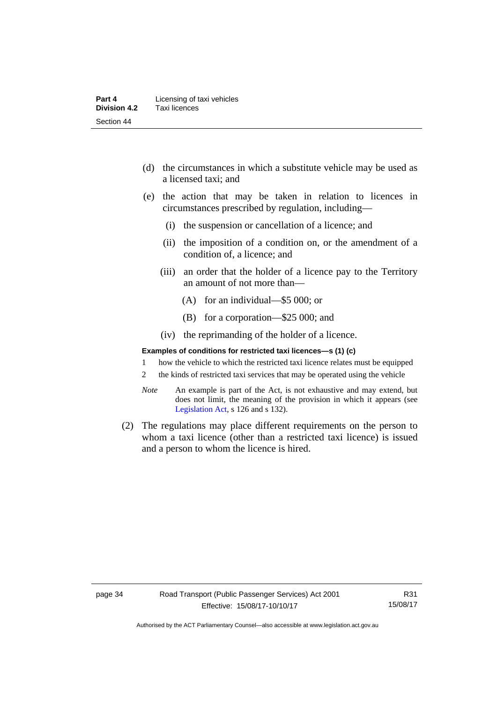- (d) the circumstances in which a substitute vehicle may be used as a licensed taxi; and
- (e) the action that may be taken in relation to licences in circumstances prescribed by regulation, including—
	- (i) the suspension or cancellation of a licence; and
	- (ii) the imposition of a condition on, or the amendment of a condition of, a licence; and
	- (iii) an order that the holder of a licence pay to the Territory an amount of not more than—
		- (A) for an individual—\$5 000; or
		- (B) for a corporation—\$25 000; and
	- (iv) the reprimanding of the holder of a licence.

#### **Examples of conditions for restricted taxi licences—s (1) (c)**

- 1 how the vehicle to which the restricted taxi licence relates must be equipped
- 2 the kinds of restricted taxi services that may be operated using the vehicle
- *Note* An example is part of the Act, is not exhaustive and may extend, but does not limit, the meaning of the provision in which it appears (see [Legislation Act,](http://www.legislation.act.gov.au/a/2001-14) s 126 and s 132).
- (2) The regulations may place different requirements on the person to whom a taxi licence (other than a restricted taxi licence) is issued and a person to whom the licence is hired.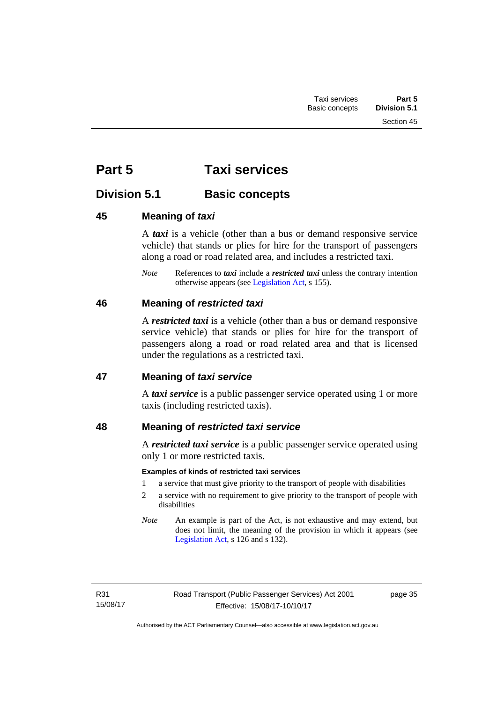# **Part 5 Taxi services**

# **Division 5.1 Basic concepts**

# **45 Meaning of** *taxi*

A *taxi* is a vehicle (other than a bus or demand responsive service vehicle) that stands or plies for hire for the transport of passengers along a road or road related area, and includes a restricted taxi.

*Note* References to *taxi* include a *restricted taxi* unless the contrary intention otherwise appears (see [Legislation Act,](http://www.legislation.act.gov.au/a/2001-14) s 155).

# **46 Meaning of** *restricted taxi*

A *restricted taxi* is a vehicle (other than a bus or demand responsive service vehicle) that stands or plies for hire for the transport of passengers along a road or road related area and that is licensed under the regulations as a restricted taxi.

# **47 Meaning of** *taxi service*

A *taxi service* is a public passenger service operated using 1 or more taxis (including restricted taxis).

# **48 Meaning of** *restricted taxi service*

A *restricted taxi service* is a public passenger service operated using only 1 or more restricted taxis.

# **Examples of kinds of restricted taxi services**

- 1 a service that must give priority to the transport of people with disabilities
- 2 a service with no requirement to give priority to the transport of people with disabilities
- *Note* An example is part of the Act, is not exhaustive and may extend, but does not limit, the meaning of the provision in which it appears (see [Legislation Act,](http://www.legislation.act.gov.au/a/2001-14) s 126 and s 132).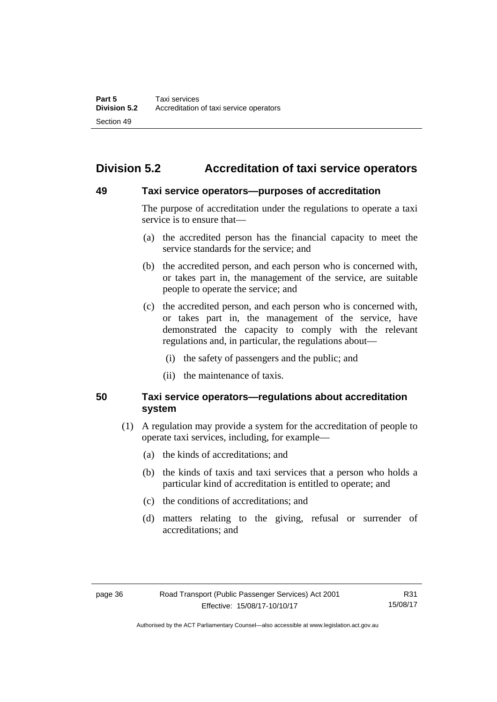# **Division 5.2 Accreditation of taxi service operators**

### **49 Taxi service operators—purposes of accreditation**

The purpose of accreditation under the regulations to operate a taxi service is to ensure that—

- (a) the accredited person has the financial capacity to meet the service standards for the service; and
- (b) the accredited person, and each person who is concerned with, or takes part in, the management of the service, are suitable people to operate the service; and
- (c) the accredited person, and each person who is concerned with, or takes part in, the management of the service, have demonstrated the capacity to comply with the relevant regulations and, in particular, the regulations about—
	- (i) the safety of passengers and the public; and
	- (ii) the maintenance of taxis.

# **50 Taxi service operators—regulations about accreditation system**

- (1) A regulation may provide a system for the accreditation of people to operate taxi services, including, for example—
	- (a) the kinds of accreditations; and
	- (b) the kinds of taxis and taxi services that a person who holds a particular kind of accreditation is entitled to operate; and
	- (c) the conditions of accreditations; and
	- (d) matters relating to the giving, refusal or surrender of accreditations; and

Authorised by the ACT Parliamentary Counsel—also accessible at www.legislation.act.gov.au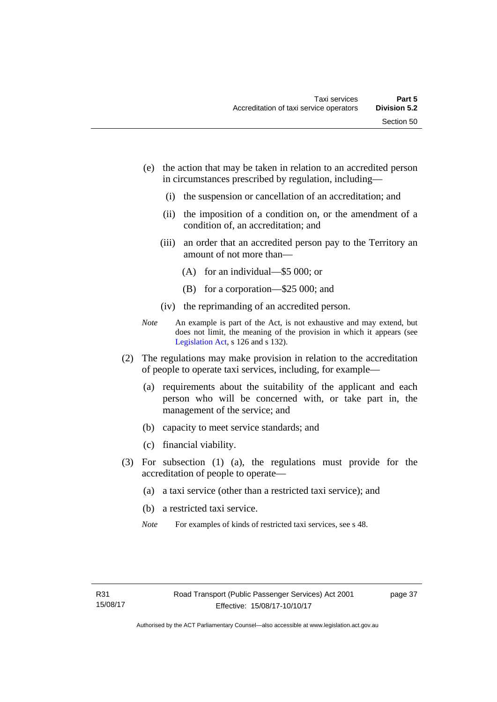- (e) the action that may be taken in relation to an accredited person in circumstances prescribed by regulation, including—
	- (i) the suspension or cancellation of an accreditation; and
	- (ii) the imposition of a condition on, or the amendment of a condition of, an accreditation; and
	- (iii) an order that an accredited person pay to the Territory an amount of not more than—
		- (A) for an individual—\$5 000; or
		- (B) for a corporation—\$25 000; and
	- (iv) the reprimanding of an accredited person.
- *Note* An example is part of the Act, is not exhaustive and may extend, but does not limit, the meaning of the provision in which it appears (see [Legislation Act,](http://www.legislation.act.gov.au/a/2001-14) s 126 and s 132).
- (2) The regulations may make provision in relation to the accreditation of people to operate taxi services, including, for example—
	- (a) requirements about the suitability of the applicant and each person who will be concerned with, or take part in, the management of the service; and
	- (b) capacity to meet service standards; and
	- (c) financial viability.
- (3) For subsection (1) (a), the regulations must provide for the accreditation of people to operate—
	- (a) a taxi service (other than a restricted taxi service); and
	- (b) a restricted taxi service.
	- *Note* For examples of kinds of restricted taxi services, see s 48.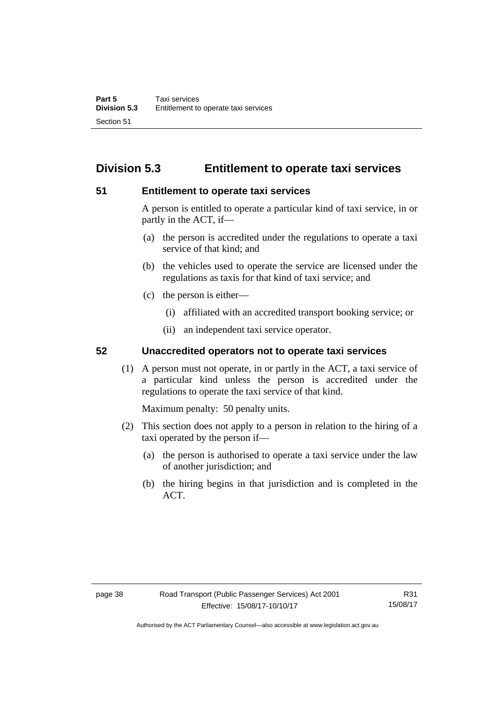# **Division 5.3 Entitlement to operate taxi services**

### **51 Entitlement to operate taxi services**

A person is entitled to operate a particular kind of taxi service, in or partly in the ACT, if—

- (a) the person is accredited under the regulations to operate a taxi service of that kind; and
- (b) the vehicles used to operate the service are licensed under the regulations as taxis for that kind of taxi service; and
- (c) the person is either—
	- (i) affiliated with an accredited transport booking service; or
	- (ii) an independent taxi service operator.

# **52 Unaccredited operators not to operate taxi services**

(1) A person must not operate, in or partly in the ACT, a taxi service of a particular kind unless the person is accredited under the regulations to operate the taxi service of that kind.

Maximum penalty: 50 penalty units.

- (2) This section does not apply to a person in relation to the hiring of a taxi operated by the person if—
	- (a) the person is authorised to operate a taxi service under the law of another jurisdiction; and
	- (b) the hiring begins in that jurisdiction and is completed in the ACT.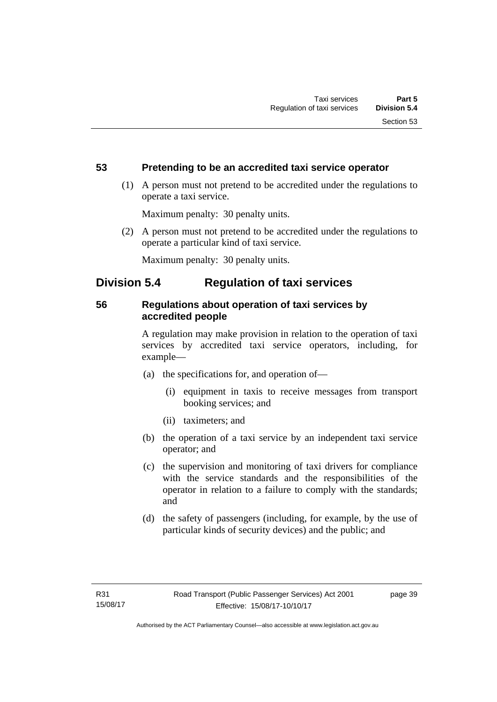# **53 Pretending to be an accredited taxi service operator**

 (1) A person must not pretend to be accredited under the regulations to operate a taxi service.

Maximum penalty: 30 penalty units.

 (2) A person must not pretend to be accredited under the regulations to operate a particular kind of taxi service.

Maximum penalty: 30 penalty units.

# **Division 5.4 Regulation of taxi services**

# **56 Regulations about operation of taxi services by accredited people**

A regulation may make provision in relation to the operation of taxi services by accredited taxi service operators, including, for example—

- (a) the specifications for, and operation of—
	- (i) equipment in taxis to receive messages from transport booking services; and
	- (ii) taximeters; and
- (b) the operation of a taxi service by an independent taxi service operator; and
- (c) the supervision and monitoring of taxi drivers for compliance with the service standards and the responsibilities of the operator in relation to a failure to comply with the standards; and
- (d) the safety of passengers (including, for example, by the use of particular kinds of security devices) and the public; and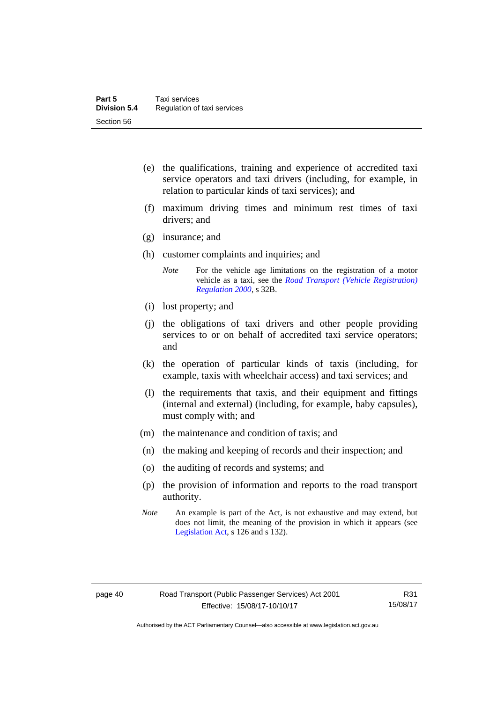- (e) the qualifications, training and experience of accredited taxi service operators and taxi drivers (including, for example, in relation to particular kinds of taxi services); and
- (f) maximum driving times and minimum rest times of taxi drivers; and
- (g) insurance; and
- (h) customer complaints and inquiries; and
	- *Note* For the vehicle age limitations on the registration of a motor vehicle as a taxi, see the *[Road Transport \(Vehicle Registration\)](http://www.legislation.act.gov.au/sl/2000-12)  [Regulation 2000](http://www.legislation.act.gov.au/sl/2000-12)*, s 32B.
- (i) lost property; and
- (j) the obligations of taxi drivers and other people providing services to or on behalf of accredited taxi service operators; and
- (k) the operation of particular kinds of taxis (including, for example, taxis with wheelchair access) and taxi services; and
- (l) the requirements that taxis, and their equipment and fittings (internal and external) (including, for example, baby capsules), must comply with; and
- (m) the maintenance and condition of taxis; and
- (n) the making and keeping of records and their inspection; and
- (o) the auditing of records and systems; and
- (p) the provision of information and reports to the road transport authority.
- *Note* An example is part of the Act, is not exhaustive and may extend, but does not limit, the meaning of the provision in which it appears (see [Legislation Act,](http://www.legislation.act.gov.au/a/2001-14) s 126 and s 132).

Authorised by the ACT Parliamentary Counsel—also accessible at www.legislation.act.gov.au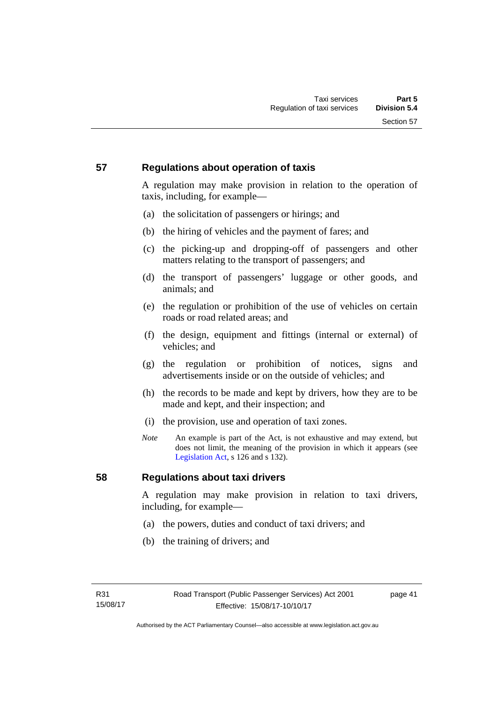# **57 Regulations about operation of taxis**

A regulation may make provision in relation to the operation of taxis, including, for example—

- (a) the solicitation of passengers or hirings; and
- (b) the hiring of vehicles and the payment of fares; and
- (c) the picking-up and dropping-off of passengers and other matters relating to the transport of passengers; and
- (d) the transport of passengers' luggage or other goods, and animals; and
- (e) the regulation or prohibition of the use of vehicles on certain roads or road related areas; and
- (f) the design, equipment and fittings (internal or external) of vehicles; and
- (g) the regulation or prohibition of notices, signs and advertisements inside or on the outside of vehicles; and
- (h) the records to be made and kept by drivers, how they are to be made and kept, and their inspection; and
- (i) the provision, use and operation of taxi zones.
- *Note* An example is part of the Act, is not exhaustive and may extend, but does not limit, the meaning of the provision in which it appears (see [Legislation Act,](http://www.legislation.act.gov.au/a/2001-14) s 126 and s 132).

# **58 Regulations about taxi drivers**

A regulation may make provision in relation to taxi drivers, including, for example—

- (a) the powers, duties and conduct of taxi drivers; and
- (b) the training of drivers; and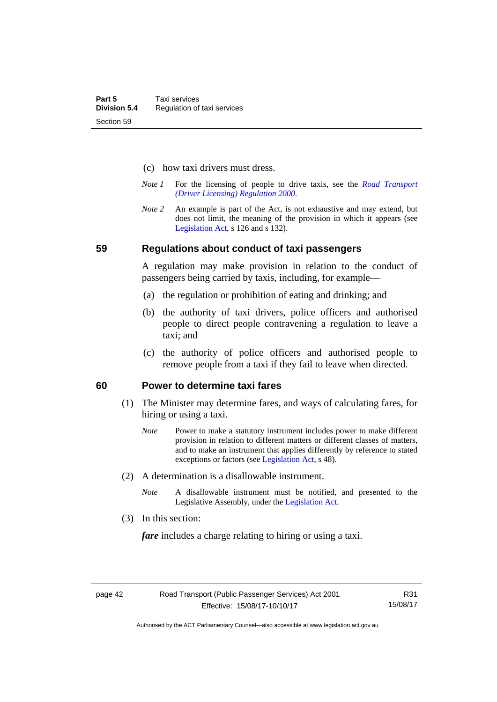- (c) how taxi drivers must dress.
- *Note 1* For the licensing of people to drive taxis, see the *[Road Transport](http://www.legislation.act.gov.au/sl/2000-14)  [\(Driver Licensing\) Regulation 2000](http://www.legislation.act.gov.au/sl/2000-14)*.
- *Note 2* An example is part of the Act, is not exhaustive and may extend, but does not limit, the meaning of the provision in which it appears (see [Legislation Act,](http://www.legislation.act.gov.au/a/2001-14) s 126 and s 132).

#### **59 Regulations about conduct of taxi passengers**

A regulation may make provision in relation to the conduct of passengers being carried by taxis, including, for example—

- (a) the regulation or prohibition of eating and drinking; and
- (b) the authority of taxi drivers, police officers and authorised people to direct people contravening a regulation to leave a taxi; and
- (c) the authority of police officers and authorised people to remove people from a taxi if they fail to leave when directed.

### **60 Power to determine taxi fares**

- (1) The Minister may determine fares, and ways of calculating fares, for hiring or using a taxi.
	- *Note* Power to make a statutory instrument includes power to make different provision in relation to different matters or different classes of matters, and to make an instrument that applies differently by reference to stated exceptions or factors (see [Legislation Act](http://www.legislation.act.gov.au/a/2001-14), s 48).
- (2) A determination is a disallowable instrument.
	- *Note* A disallowable instrument must be notified, and presented to the Legislative Assembly, under the [Legislation Act.](http://www.legislation.act.gov.au/a/2001-14)
- (3) In this section:

*fare* includes a charge relating to hiring or using a taxi.

Authorised by the ACT Parliamentary Counsel—also accessible at www.legislation.act.gov.au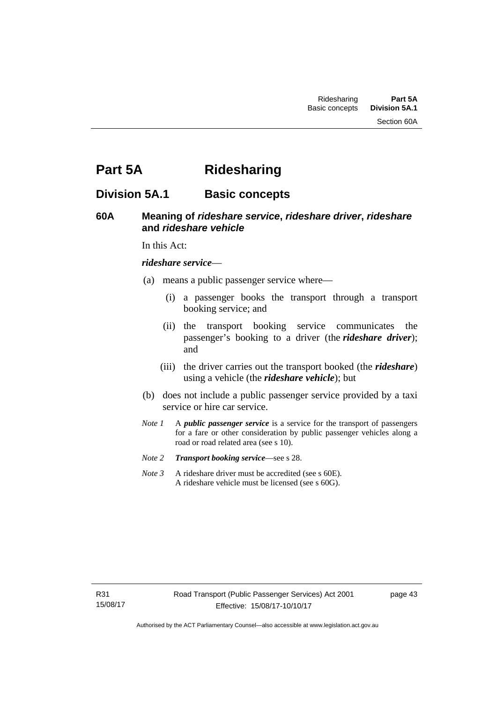Section 60A

# **Part 5A Ridesharing**

# **Division 5A.1 Basic concepts**

# **60A Meaning of** *rideshare service***,** *rideshare driver***,** *rideshare* **and** *rideshare vehicle*

In this Act:

#### *rideshare service*—

- (a) means a public passenger service where—
	- (i) a passenger books the transport through a transport booking service; and
	- (ii) the transport booking service communicates the passenger's booking to a driver (the *rideshare driver*); and
	- (iii) the driver carries out the transport booked (the *rideshare*) using a vehicle (the *rideshare vehicle*); but
- (b) does not include a public passenger service provided by a taxi service or hire car service.
- *Note 1* A *public passenger service* is a service for the transport of passengers for a fare or other consideration by public passenger vehicles along a road or road related area (see s 10).
- *Note 2 Transport booking service*—see s 28.
- *Note 3* A rideshare driver must be accredited (see s 60E). A rideshare vehicle must be licensed (see s 60G).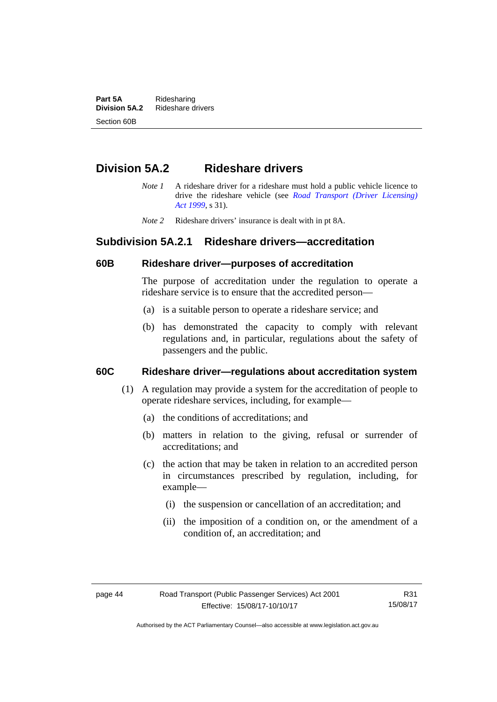**Part 5A** Ridesharing<br>**Division 5A.2** Rideshare d **Division 5A.2** Rideshare drivers Section 60B

# **Division 5A.2 Rideshare drivers**

- *Note 1* A rideshare driver for a rideshare must hold a public vehicle licence to drive the rideshare vehicle (see *[Road Transport \(Driver Licensing\)](http://www.legislation.act.gov.au/a/1999-78)  [Act 1999](http://www.legislation.act.gov.au/a/1999-78)*, s 31).
- *Note 2* Rideshare drivers' insurance is dealt with in pt 8A.

# **Subdivision 5A.2.1 Rideshare drivers—accreditation**

### **60B Rideshare driver—purposes of accreditation**

The purpose of accreditation under the regulation to operate a rideshare service is to ensure that the accredited person—

- (a) is a suitable person to operate a rideshare service; and
- (b) has demonstrated the capacity to comply with relevant regulations and, in particular, regulations about the safety of passengers and the public.

# **60C Rideshare driver—regulations about accreditation system**

- (1) A regulation may provide a system for the accreditation of people to operate rideshare services, including, for example—
	- (a) the conditions of accreditations; and
	- (b) matters in relation to the giving, refusal or surrender of accreditations; and
	- (c) the action that may be taken in relation to an accredited person in circumstances prescribed by regulation, including, for example—
		- (i) the suspension or cancellation of an accreditation; and
		- (ii) the imposition of a condition on, or the amendment of a condition of, an accreditation; and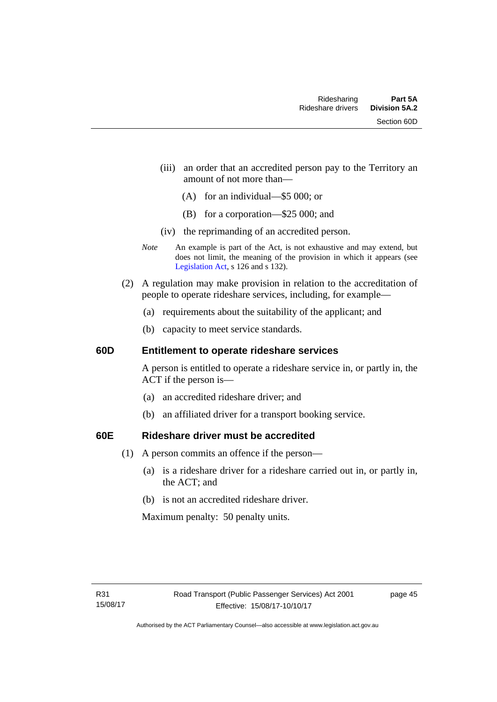- (iii) an order that an accredited person pay to the Territory an amount of not more than—
	- (A) for an individual—\$5 000; or
	- (B) for a corporation—\$25 000; and
- (iv) the reprimanding of an accredited person.
- *Note* An example is part of the Act, is not exhaustive and may extend, but does not limit, the meaning of the provision in which it appears (see [Legislation Act,](http://www.legislation.act.gov.au/a/2001-14) s 126 and s 132).
- (2) A regulation may make provision in relation to the accreditation of people to operate rideshare services, including, for example—
	- (a) requirements about the suitability of the applicant; and
	- (b) capacity to meet service standards.

### **60D Entitlement to operate rideshare services**

A person is entitled to operate a rideshare service in, or partly in, the ACT if the person is—

- (a) an accredited rideshare driver; and
- (b) an affiliated driver for a transport booking service.

# **60E Rideshare driver must be accredited**

- (1) A person commits an offence if the person—
	- (a) is a rideshare driver for a rideshare carried out in, or partly in, the ACT; and
	- (b) is not an accredited rideshare driver.

Maximum penalty: 50 penalty units.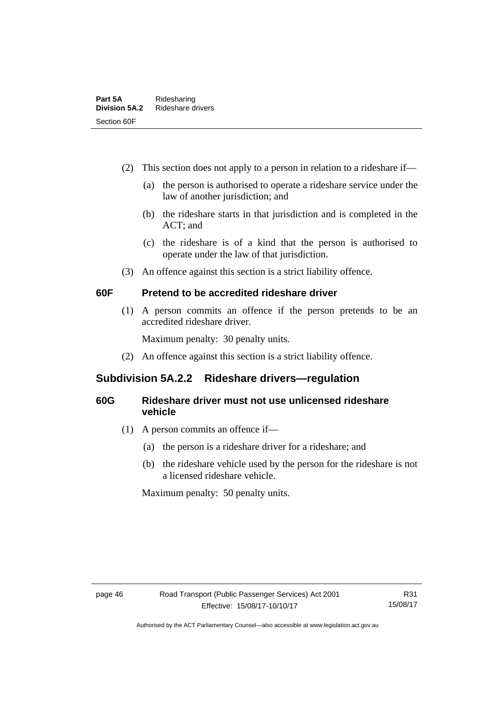- (2) This section does not apply to a person in relation to a rideshare if—
	- (a) the person is authorised to operate a rideshare service under the law of another jurisdiction; and
	- (b) the rideshare starts in that jurisdiction and is completed in the ACT; and
	- (c) the rideshare is of a kind that the person is authorised to operate under the law of that jurisdiction.
- (3) An offence against this section is a strict liability offence.

# **60F Pretend to be accredited rideshare driver**

(1) A person commits an offence if the person pretends to be an accredited rideshare driver.

Maximum penalty: 30 penalty units.

(2) An offence against this section is a strict liability offence.

# **Subdivision 5A.2.2 Rideshare drivers—regulation**

# **60G Rideshare driver must not use unlicensed rideshare vehicle**

- (1) A person commits an offence if—
	- (a) the person is a rideshare driver for a rideshare; and
	- (b) the rideshare vehicle used by the person for the rideshare is not a licensed rideshare vehicle.

Maximum penalty: 50 penalty units.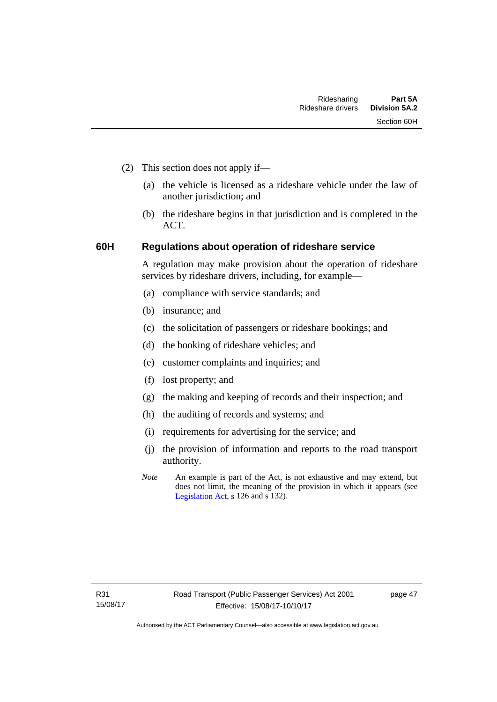- (2) This section does not apply if—
	- (a) the vehicle is licensed as a rideshare vehicle under the law of another jurisdiction; and
	- (b) the rideshare begins in that jurisdiction and is completed in the ACT.

# **60H Regulations about operation of rideshare service**

A regulation may make provision about the operation of rideshare services by rideshare drivers, including, for example—

- (a) compliance with service standards; and
- (b) insurance; and
- (c) the solicitation of passengers or rideshare bookings; and
- (d) the booking of rideshare vehicles; and
- (e) customer complaints and inquiries; and
- (f) lost property; and
- (g) the making and keeping of records and their inspection; and
- (h) the auditing of records and systems; and
- (i) requirements for advertising for the service; and
- (j) the provision of information and reports to the road transport authority.
- *Note* An example is part of the Act, is not exhaustive and may extend, but does not limit, the meaning of the provision in which it appears (see [Legislation Act,](http://www.legislation.act.gov.au/a/2001-14) s 126 and s 132).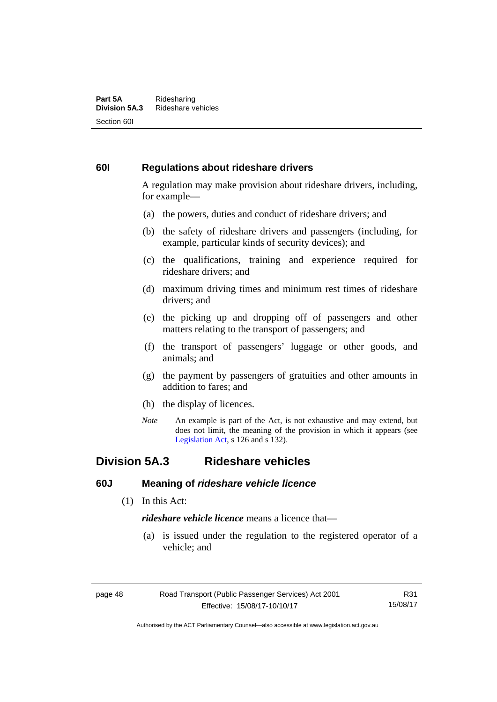#### **Part 5A** Ridesharing<br>**Division 5A.3** Rideshare ve **Division 5A.3** Rideshare vehicles Section 60I

# **60I Regulations about rideshare drivers**

A regulation may make provision about rideshare drivers, including, for example—

- (a) the powers, duties and conduct of rideshare drivers; and
- (b) the safety of rideshare drivers and passengers (including, for example, particular kinds of security devices); and
- (c) the qualifications, training and experience required for rideshare drivers; and
- (d) maximum driving times and minimum rest times of rideshare drivers; and
- (e) the picking up and dropping off of passengers and other matters relating to the transport of passengers; and
- (f) the transport of passengers' luggage or other goods, and animals; and
- (g) the payment by passengers of gratuities and other amounts in addition to fares; and
- (h) the display of licences.
- *Note* An example is part of the Act, is not exhaustive and may extend, but does not limit, the meaning of the provision in which it appears (see [Legislation Act,](http://www.legislation.act.gov.au/a/2001-14) s 126 and s 132).

# **Division 5A.3 Rideshare vehicles**

# **60J Meaning of** *rideshare vehicle licence*

(1) In this Act:

*rideshare vehicle licence* means a licence that—

 (a) is issued under the regulation to the registered operator of a vehicle; and

Authorised by the ACT Parliamentary Counsel—also accessible at www.legislation.act.gov.au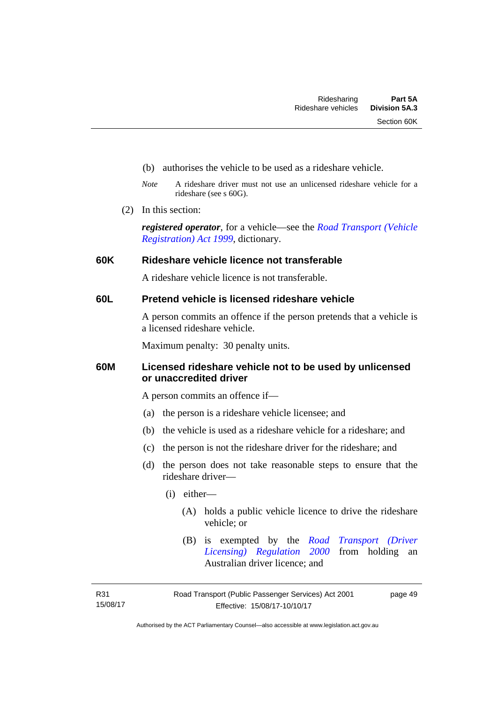- (b) authorises the vehicle to be used as a rideshare vehicle.
- *Note* A rideshare driver must not use an unlicensed rideshare vehicle for a rideshare (see s 60G).
- (2) In this section:

*registered operator*, for a vehicle—see the *[Road Transport \(Vehicle](http://www.legislation.act.gov.au/a/1999-81)  [Registration\) Act 1999](http://www.legislation.act.gov.au/a/1999-81)*, dictionary.

### **60K Rideshare vehicle licence not transferable**

A rideshare vehicle licence is not transferable.

# **60L Pretend vehicle is licensed rideshare vehicle**

A person commits an offence if the person pretends that a vehicle is a licensed rideshare vehicle.

Maximum penalty: 30 penalty units.

# **60M Licensed rideshare vehicle not to be used by unlicensed or unaccredited driver**

A person commits an offence if—

- (a) the person is a rideshare vehicle licensee; and
- (b) the vehicle is used as a rideshare vehicle for a rideshare; and
- (c) the person is not the rideshare driver for the rideshare; and
- (d) the person does not take reasonable steps to ensure that the rideshare driver—
	- (i) either—
		- (A) holds a public vehicle licence to drive the rideshare vehicle; or
		- (B) is exempted by the *[Road Transport \(Driver](http://www.legislation.act.gov.au/sl/2000-14/default.asp)  [Licensing\) Regulation 2000](http://www.legislation.act.gov.au/sl/2000-14/default.asp)* from holding an Australian driver licence; and

R31 15/08/17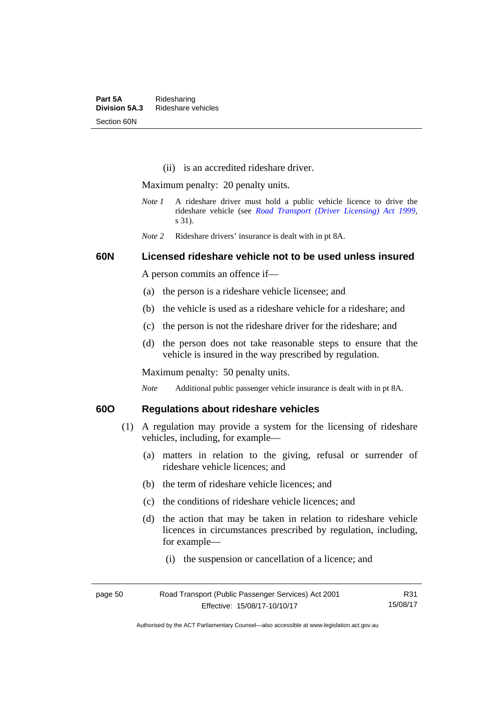(ii) is an accredited rideshare driver.

Maximum penalty: 20 penalty units.

- *Note 1* A rideshare driver must hold a public vehicle licence to drive the rideshare vehicle (see *[Road Transport \(Driver Licensing\) Act 1999](http://www.legislation.act.gov.au/a/1999-78)*, s 31).
- *Note 2* Rideshare drivers' insurance is dealt with in pt 8A.

### **60N Licensed rideshare vehicle not to be used unless insured**

A person commits an offence if—

- (a) the person is a rideshare vehicle licensee; and
- (b) the vehicle is used as a rideshare vehicle for a rideshare; and
- (c) the person is not the rideshare driver for the rideshare; and
- (d) the person does not take reasonable steps to ensure that the vehicle is insured in the way prescribed by regulation.

Maximum penalty: 50 penalty units.

*Note* Additional public passenger vehicle insurance is dealt with in pt 8A.

# **60O Regulations about rideshare vehicles**

- (1) A regulation may provide a system for the licensing of rideshare vehicles, including, for example—
	- (a) matters in relation to the giving, refusal or surrender of rideshare vehicle licences; and
	- (b) the term of rideshare vehicle licences; and
	- (c) the conditions of rideshare vehicle licences; and
	- (d) the action that may be taken in relation to rideshare vehicle licences in circumstances prescribed by regulation, including, for example—
		- (i) the suspension or cancellation of a licence; and

| page 50 | Road Transport (Public Passenger Services) Act 2001 | R31      |
|---------|-----------------------------------------------------|----------|
|         | Effective: 15/08/17-10/10/17                        | 15/08/17 |

Authorised by the ACT Parliamentary Counsel—also accessible at www.legislation.act.gov.au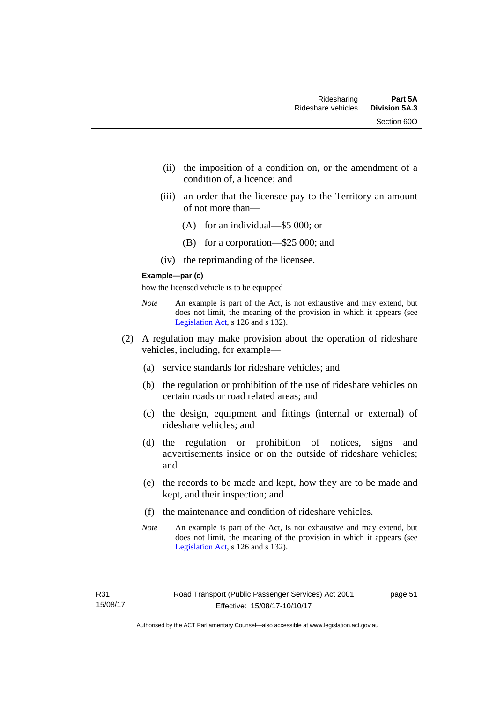- (ii) the imposition of a condition on, or the amendment of a condition of, a licence; and
- (iii) an order that the licensee pay to the Territory an amount of not more than—
	- (A) for an individual—\$5 000; or
	- (B) for a corporation—\$25 000; and
- (iv) the reprimanding of the licensee.

#### **Example—par (c)**

how the licensed vehicle is to be equipped

- *Note* An example is part of the Act, is not exhaustive and may extend, but does not limit, the meaning of the provision in which it appears (see [Legislation Act,](http://www.legislation.act.gov.au/a/2001-14) s 126 and s 132).
- (2) A regulation may make provision about the operation of rideshare vehicles, including, for example—
	- (a) service standards for rideshare vehicles; and
	- (b) the regulation or prohibition of the use of rideshare vehicles on certain roads or road related areas; and
	- (c) the design, equipment and fittings (internal or external) of rideshare vehicles; and
	- (d) the regulation or prohibition of notices, signs and advertisements inside or on the outside of rideshare vehicles; and
	- (e) the records to be made and kept, how they are to be made and kept, and their inspection; and
	- (f) the maintenance and condition of rideshare vehicles.
	- *Note* An example is part of the Act, is not exhaustive and may extend, but does not limit, the meaning of the provision in which it appears (see [Legislation Act,](http://www.legislation.act.gov.au/a/2001-14) s 126 and s 132).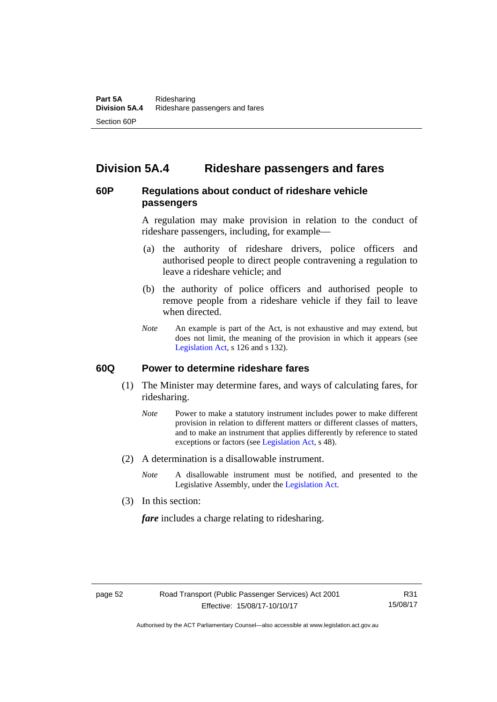# **Division 5A.4 Rideshare passengers and fares**

# **60P Regulations about conduct of rideshare vehicle passengers**

A regulation may make provision in relation to the conduct of rideshare passengers, including, for example—

- (a) the authority of rideshare drivers, police officers and authorised people to direct people contravening a regulation to leave a rideshare vehicle; and
- (b) the authority of police officers and authorised people to remove people from a rideshare vehicle if they fail to leave when directed.
- *Note* An example is part of the Act, is not exhaustive and may extend, but does not limit, the meaning of the provision in which it appears (see [Legislation Act,](http://www.legislation.act.gov.au/a/2001-14) s 126 and s 132).

#### **60Q Power to determine rideshare fares**

- (1) The Minister may determine fares, and ways of calculating fares, for ridesharing.
	- *Note* Power to make a statutory instrument includes power to make different provision in relation to different matters or different classes of matters, and to make an instrument that applies differently by reference to stated exceptions or factors (see [Legislation Act](http://www.legislation.act.gov.au/a/2001-14), s 48).
- (2) A determination is a disallowable instrument.
	- *Note* A disallowable instrument must be notified, and presented to the Legislative Assembly, under the [Legislation Act.](http://www.legislation.act.gov.au/a/2001-14)
- (3) In this section:

*fare* includes a charge relating to ridesharing.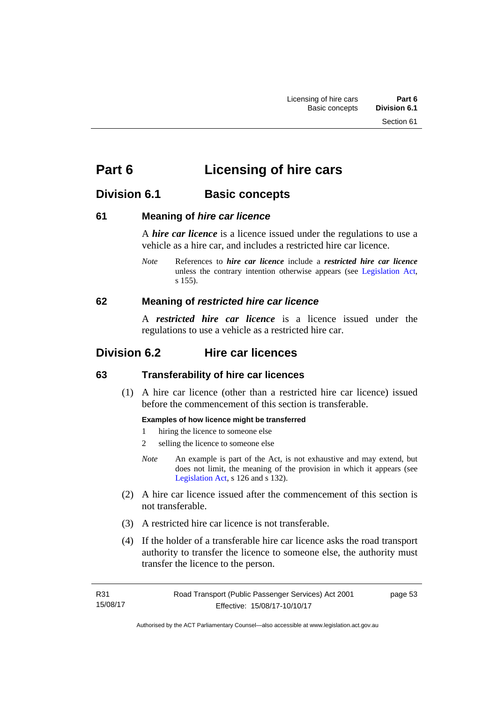# **Part 6 Licensing of hire cars**

# **Division 6.1 Basic concepts**

# **61 Meaning of** *hire car licence*

A *hire car licence* is a licence issued under the regulations to use a vehicle as a hire car, and includes a restricted hire car licence.

*Note* References to *hire car licence* include a *restricted hire car licence* unless the contrary intention otherwise appears (see [Legislation Act,](http://www.legislation.act.gov.au/a/2001-14) s 155).

# **62 Meaning of** *restricted hire car licence*

A *restricted hire car licence* is a licence issued under the regulations to use a vehicle as a restricted hire car.

# **Division 6.2 Hire car licences**

# **63 Transferability of hire car licences**

 (1) A hire car licence (other than a restricted hire car licence) issued before the commencement of this section is transferable.

# **Examples of how licence might be transferred**

- 1 hiring the licence to someone else
- 2 selling the licence to someone else
- *Note* An example is part of the Act, is not exhaustive and may extend, but does not limit, the meaning of the provision in which it appears (see [Legislation Act,](http://www.legislation.act.gov.au/a/2001-14) s 126 and s 132).
- (2) A hire car licence issued after the commencement of this section is not transferable.
- (3) A restricted hire car licence is not transferable.
- (4) If the holder of a transferable hire car licence asks the road transport authority to transfer the licence to someone else, the authority must transfer the licence to the person.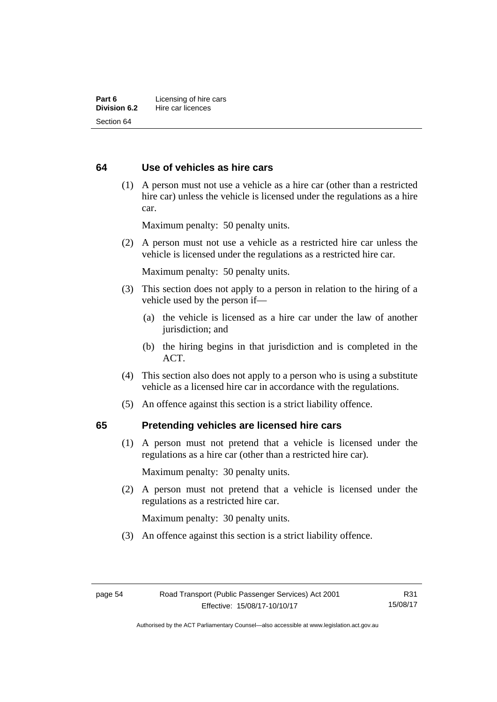# **64 Use of vehicles as hire cars**

 (1) A person must not use a vehicle as a hire car (other than a restricted hire car) unless the vehicle is licensed under the regulations as a hire car.

Maximum penalty: 50 penalty units.

 (2) A person must not use a vehicle as a restricted hire car unless the vehicle is licensed under the regulations as a restricted hire car.

Maximum penalty: 50 penalty units.

- (3) This section does not apply to a person in relation to the hiring of a vehicle used by the person if—
	- (a) the vehicle is licensed as a hire car under the law of another jurisdiction; and
	- (b) the hiring begins in that jurisdiction and is completed in the ACT.
- (4) This section also does not apply to a person who is using a substitute vehicle as a licensed hire car in accordance with the regulations.
- (5) An offence against this section is a strict liability offence.

#### **65 Pretending vehicles are licensed hire cars**

(1) A person must not pretend that a vehicle is licensed under the regulations as a hire car (other than a restricted hire car).

Maximum penalty: 30 penalty units.

 (2) A person must not pretend that a vehicle is licensed under the regulations as a restricted hire car.

Maximum penalty: 30 penalty units.

(3) An offence against this section is a strict liability offence.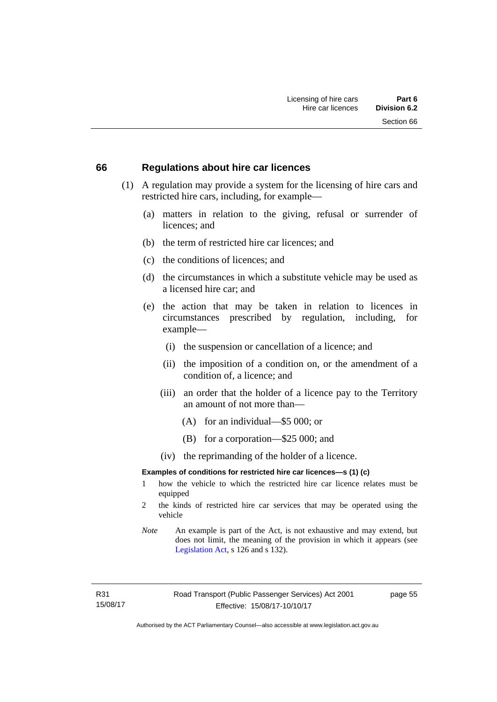#### **66 Regulations about hire car licences**

- (1) A regulation may provide a system for the licensing of hire cars and restricted hire cars, including, for example—
	- (a) matters in relation to the giving, refusal or surrender of licences; and
	- (b) the term of restricted hire car licences; and
	- (c) the conditions of licences; and
	- (d) the circumstances in which a substitute vehicle may be used as a licensed hire car; and
	- (e) the action that may be taken in relation to licences in circumstances prescribed by regulation, including, for example—
		- (i) the suspension or cancellation of a licence; and
		- (ii) the imposition of a condition on, or the amendment of a condition of, a licence; and
		- (iii) an order that the holder of a licence pay to the Territory an amount of not more than—
			- (A) for an individual—\$5 000; or
			- (B) for a corporation—\$25 000; and
		- (iv) the reprimanding of the holder of a licence.

#### **Examples of conditions for restricted hire car licences—s (1) (c)**

- 1 how the vehicle to which the restricted hire car licence relates must be equipped
- 2 the kinds of restricted hire car services that may be operated using the vehicle
- *Note* An example is part of the Act, is not exhaustive and may extend, but does not limit, the meaning of the provision in which it appears (see [Legislation Act,](http://www.legislation.act.gov.au/a/2001-14) s 126 and s 132).

R31 15/08/17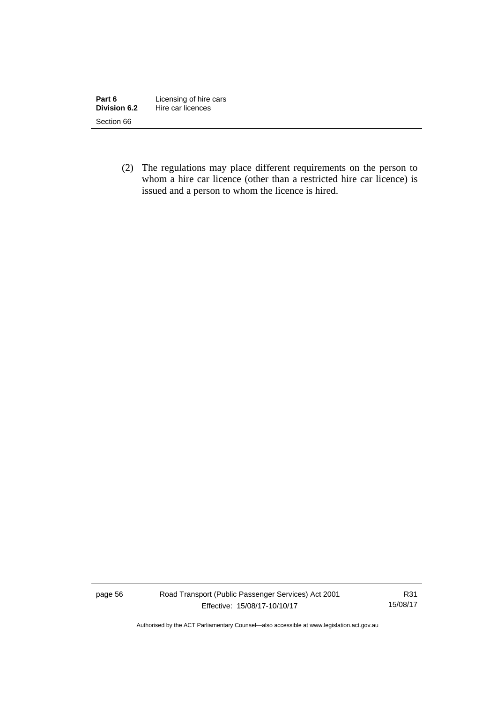| Part 6       | Licensing of hire cars |
|--------------|------------------------|
| Division 6.2 | Hire car licences      |
| Section 66   |                        |

 (2) The regulations may place different requirements on the person to whom a hire car licence (other than a restricted hire car licence) is issued and a person to whom the licence is hired.

page 56 Road Transport (Public Passenger Services) Act 2001 Effective: 15/08/17-10/10/17

R31 15/08/17

Authorised by the ACT Parliamentary Counsel—also accessible at www.legislation.act.gov.au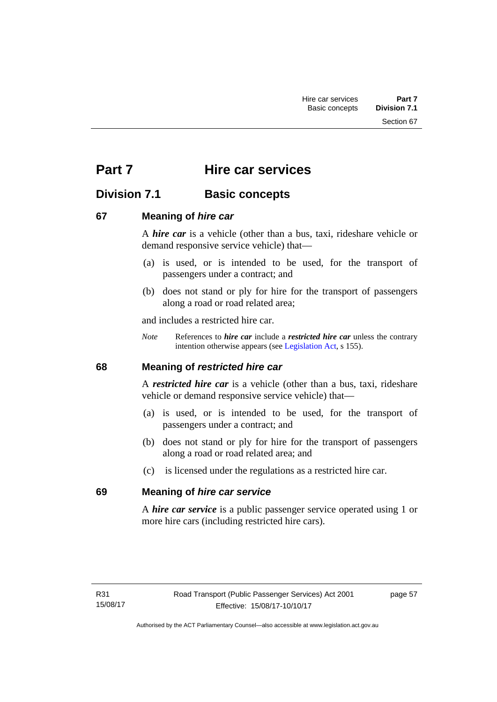Section 67

# **Part 7 Hire car services**

# **Division 7.1 Basic concepts**

# **67 Meaning of** *hire car*

A *hire car* is a vehicle (other than a bus, taxi, rideshare vehicle or demand responsive service vehicle) that—

- (a) is used, or is intended to be used, for the transport of passengers under a contract; and
- (b) does not stand or ply for hire for the transport of passengers along a road or road related area;

and includes a restricted hire car.

*Note* References to *hire car* include a *restricted hire car* unless the contrary intention otherwise appears (see [Legislation Act](http://www.legislation.act.gov.au/a/2001-14), s 155).

# **68 Meaning of** *restricted hire car*

A *restricted hire car* is a vehicle (other than a bus, taxi, rideshare vehicle or demand responsive service vehicle) that—

- (a) is used, or is intended to be used, for the transport of passengers under a contract; and
- (b) does not stand or ply for hire for the transport of passengers along a road or road related area; and
- (c) is licensed under the regulations as a restricted hire car.

# **69 Meaning of** *hire car service*

A *hire car service* is a public passenger service operated using 1 or more hire cars (including restricted hire cars).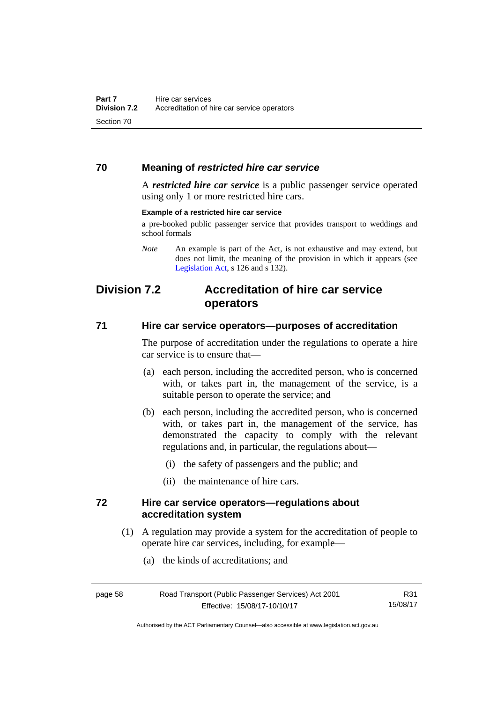# **70 Meaning of** *restricted hire car service*

A *restricted hire car service* is a public passenger service operated using only 1 or more restricted hire cars.

#### **Example of a restricted hire car service**

a pre-booked public passenger service that provides transport to weddings and school formals

# **Division 7.2 Accreditation of hire car service operators**

### **71 Hire car service operators—purposes of accreditation**

The purpose of accreditation under the regulations to operate a hire car service is to ensure that—

- (a) each person, including the accredited person, who is concerned with, or takes part in, the management of the service, is a suitable person to operate the service; and
- (b) each person, including the accredited person, who is concerned with, or takes part in, the management of the service, has demonstrated the capacity to comply with the relevant regulations and, in particular, the regulations about—
	- (i) the safety of passengers and the public; and
	- (ii) the maintenance of hire cars.

### **72 Hire car service operators—regulations about accreditation system**

- (1) A regulation may provide a system for the accreditation of people to operate hire car services, including, for example—
	- (a) the kinds of accreditations; and

| page 58 | Road Transport (Public Passenger Services) Act 2001 |  |
|---------|-----------------------------------------------------|--|
|         | Effective: 15/08/17-10/10/17                        |  |

*Note* An example is part of the Act, is not exhaustive and may extend, but does not limit, the meaning of the provision in which it appears (see [Legislation Act,](http://www.legislation.act.gov.au/a/2001-14) s 126 and s 132).

Authorised by the ACT Parliamentary Counsel—also accessible at www.legislation.act.gov.au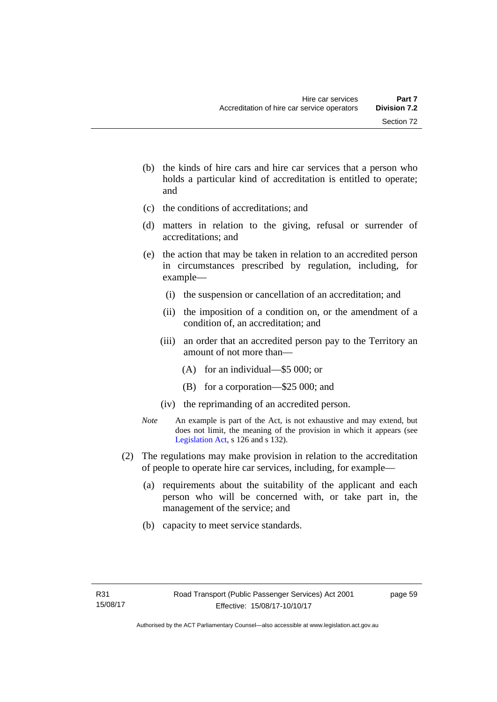- (b) the kinds of hire cars and hire car services that a person who holds a particular kind of accreditation is entitled to operate; and
- (c) the conditions of accreditations; and
- (d) matters in relation to the giving, refusal or surrender of accreditations; and
- (e) the action that may be taken in relation to an accredited person in circumstances prescribed by regulation, including, for example—
	- (i) the suspension or cancellation of an accreditation; and
	- (ii) the imposition of a condition on, or the amendment of a condition of, an accreditation; and
	- (iii) an order that an accredited person pay to the Territory an amount of not more than—
		- (A) for an individual—\$5 000; or
		- (B) for a corporation—\$25 000; and
	- (iv) the reprimanding of an accredited person.
- *Note* An example is part of the Act, is not exhaustive and may extend, but does not limit, the meaning of the provision in which it appears (see [Legislation Act,](http://www.legislation.act.gov.au/a/2001-14) s 126 and s 132).
- (2) The regulations may make provision in relation to the accreditation of people to operate hire car services, including, for example—
	- (a) requirements about the suitability of the applicant and each person who will be concerned with, or take part in, the management of the service; and
	- (b) capacity to meet service standards.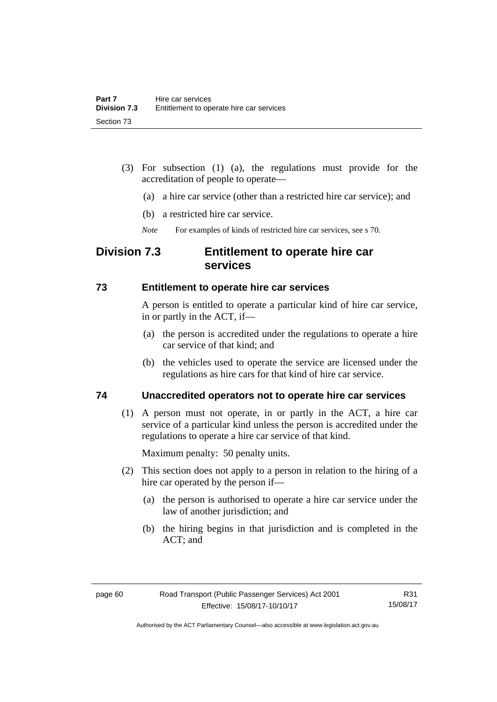- (3) For subsection (1) (a), the regulations must provide for the accreditation of people to operate—
	- (a) a hire car service (other than a restricted hire car service); and
	- (b) a restricted hire car service.
	- *Note* For examples of kinds of restricted hire car services, see s 70.

# **Division 7.3 Entitlement to operate hire car services**

### **73 Entitlement to operate hire car services**

A person is entitled to operate a particular kind of hire car service, in or partly in the ACT, if—

- (a) the person is accredited under the regulations to operate a hire car service of that kind; and
- (b) the vehicles used to operate the service are licensed under the regulations as hire cars for that kind of hire car service.

# **74 Unaccredited operators not to operate hire car services**

(1) A person must not operate, in or partly in the ACT, a hire car service of a particular kind unless the person is accredited under the regulations to operate a hire car service of that kind.

Maximum penalty: 50 penalty units.

- (2) This section does not apply to a person in relation to the hiring of a hire car operated by the person if—
	- (a) the person is authorised to operate a hire car service under the law of another jurisdiction; and
	- (b) the hiring begins in that jurisdiction and is completed in the ACT; and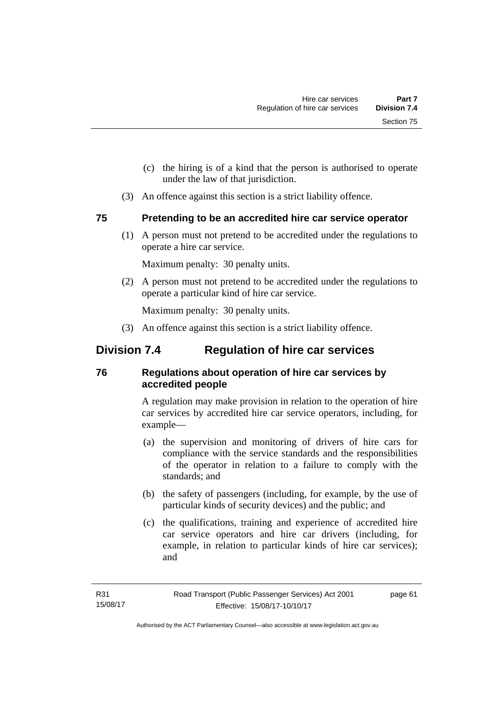- (c) the hiring is of a kind that the person is authorised to operate under the law of that jurisdiction.
- (3) An offence against this section is a strict liability offence.

# **75 Pretending to be an accredited hire car service operator**

(1) A person must not pretend to be accredited under the regulations to operate a hire car service.

Maximum penalty: 30 penalty units.

 (2) A person must not pretend to be accredited under the regulations to operate a particular kind of hire car service.

Maximum penalty: 30 penalty units.

(3) An offence against this section is a strict liability offence.

# **Division 7.4 Regulation of hire car services**

# **76 Regulations about operation of hire car services by accredited people**

A regulation may make provision in relation to the operation of hire car services by accredited hire car service operators, including, for example—

- (a) the supervision and monitoring of drivers of hire cars for compliance with the service standards and the responsibilities of the operator in relation to a failure to comply with the standards; and
- (b) the safety of passengers (including, for example, by the use of particular kinds of security devices) and the public; and
- (c) the qualifications, training and experience of accredited hire car service operators and hire car drivers (including, for example, in relation to particular kinds of hire car services); and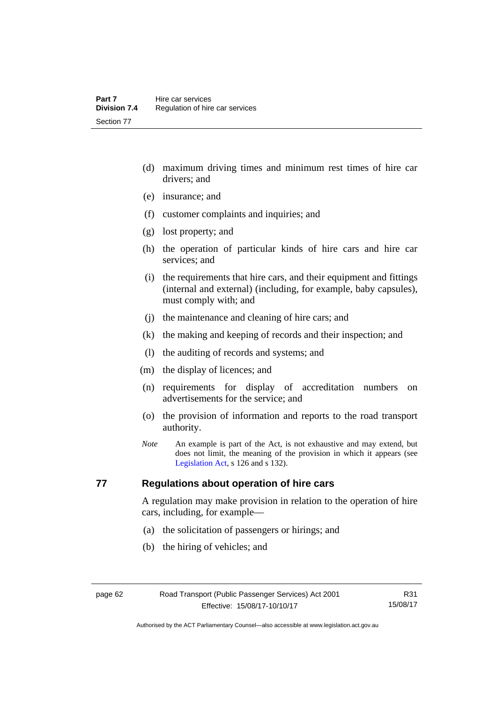- (d) maximum driving times and minimum rest times of hire car drivers; and
- (e) insurance; and
- (f) customer complaints and inquiries; and
- (g) lost property; and
- (h) the operation of particular kinds of hire cars and hire car services; and
- (i) the requirements that hire cars, and their equipment and fittings (internal and external) (including, for example, baby capsules), must comply with; and
- (j) the maintenance and cleaning of hire cars; and
- (k) the making and keeping of records and their inspection; and
- (l) the auditing of records and systems; and
- (m) the display of licences; and
- (n) requirements for display of accreditation numbers on advertisements for the service; and
- (o) the provision of information and reports to the road transport authority.
- *Note* An example is part of the Act, is not exhaustive and may extend, but does not limit, the meaning of the provision in which it appears (see [Legislation Act,](http://www.legislation.act.gov.au/a/2001-14) s 126 and s 132).

# **77 Regulations about operation of hire cars**

A regulation may make provision in relation to the operation of hire cars, including, for example—

- (a) the solicitation of passengers or hirings; and
- (b) the hiring of vehicles; and

Authorised by the ACT Parliamentary Counsel—also accessible at www.legislation.act.gov.au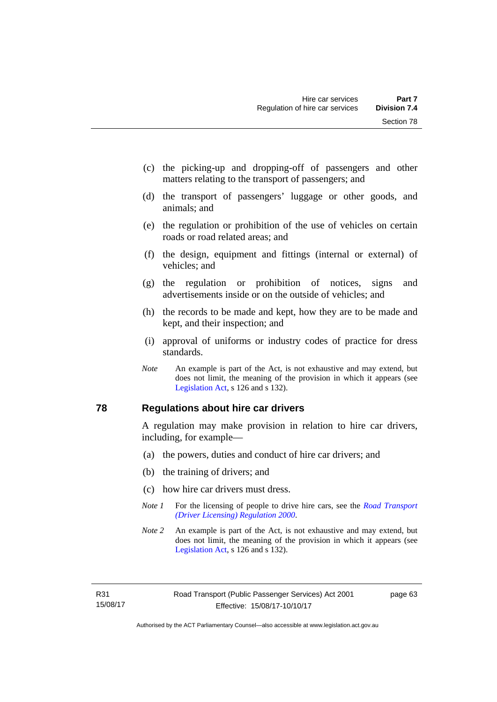- (c) the picking-up and dropping-off of passengers and other matters relating to the transport of passengers; and
- (d) the transport of passengers' luggage or other goods, and animals; and
- (e) the regulation or prohibition of the use of vehicles on certain roads or road related areas; and
- (f) the design, equipment and fittings (internal or external) of vehicles; and
- (g) the regulation or prohibition of notices, signs and advertisements inside or on the outside of vehicles; and
- (h) the records to be made and kept, how they are to be made and kept, and their inspection; and
- (i) approval of uniforms or industry codes of practice for dress standards.
- *Note* An example is part of the Act, is not exhaustive and may extend, but does not limit, the meaning of the provision in which it appears (see [Legislation Act,](http://www.legislation.act.gov.au/a/2001-14) s 126 and s 132).

### **78 Regulations about hire car drivers**

A regulation may make provision in relation to hire car drivers, including, for example—

- (a) the powers, duties and conduct of hire car drivers; and
- (b) the training of drivers; and
- (c) how hire car drivers must dress.
- *Note 1* For the licensing of people to drive hire cars, see the *Road Transport [\(Driver Licensing\) Regulation 2000](http://www.legislation.act.gov.au/sl/2000-14)*.
- *Note 2* An example is part of the Act, is not exhaustive and may extend, but does not limit, the meaning of the provision in which it appears (see [Legislation Act,](http://www.legislation.act.gov.au/a/2001-14) s 126 and s 132).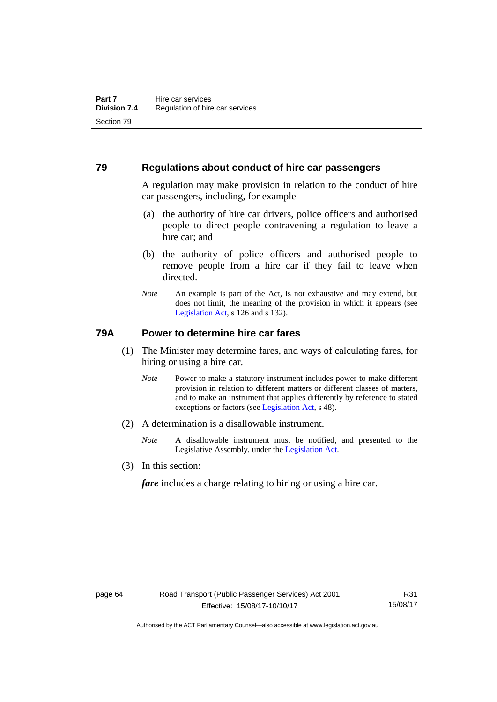#### **79 Regulations about conduct of hire car passengers**

A regulation may make provision in relation to the conduct of hire car passengers, including, for example—

- (a) the authority of hire car drivers, police officers and authorised people to direct people contravening a regulation to leave a hire car; and
- (b) the authority of police officers and authorised people to remove people from a hire car if they fail to leave when directed.
- *Note* An example is part of the Act, is not exhaustive and may extend, but does not limit, the meaning of the provision in which it appears (see [Legislation Act,](http://www.legislation.act.gov.au/a/2001-14) s 126 and s 132).

# **79A Power to determine hire car fares**

- (1) The Minister may determine fares, and ways of calculating fares, for hiring or using a hire car.
	- *Note* Power to make a statutory instrument includes power to make different provision in relation to different matters or different classes of matters, and to make an instrument that applies differently by reference to stated exceptions or factors (see [Legislation Act](http://www.legislation.act.gov.au/a/2001-14), s 48).
- (2) A determination is a disallowable instrument.
	- *Note* A disallowable instrument must be notified, and presented to the Legislative Assembly, under the [Legislation Act.](http://www.legislation.act.gov.au/a/2001-14)
- (3) In this section:

*fare* includes a charge relating to hiring or using a hire car.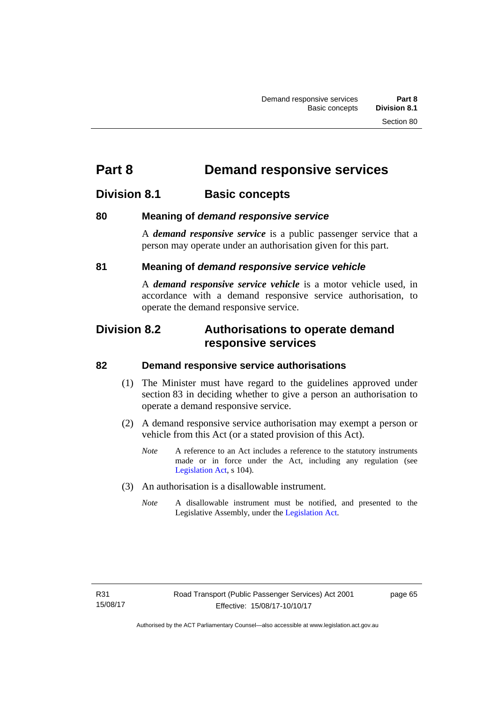# **Part 8 Demand responsive services**

# **Division 8.1 Basic concepts**

## **80 Meaning of** *demand responsive service*

A *demand responsive service* is a public passenger service that a person may operate under an authorisation given for this part.

## **81 Meaning of** *demand responsive service vehicle*

A *demand responsive service vehicle* is a motor vehicle used, in accordance with a demand responsive service authorisation, to operate the demand responsive service.

# **Division 8.2 Authorisations to operate demand responsive services**

### **82 Demand responsive service authorisations**

- (1) The Minister must have regard to the guidelines approved under section 83 in deciding whether to give a person an authorisation to operate a demand responsive service.
- (2) A demand responsive service authorisation may exempt a person or vehicle from this Act (or a stated provision of this Act).
	- *Note* A reference to an Act includes a reference to the statutory instruments made or in force under the Act, including any regulation (see [Legislation Act,](http://www.legislation.act.gov.au/a/2001-14) s 104).
- (3) An authorisation is a disallowable instrument.
	- *Note* A disallowable instrument must be notified, and presented to the Legislative Assembly, under the [Legislation Act.](http://www.legislation.act.gov.au/a/2001-14)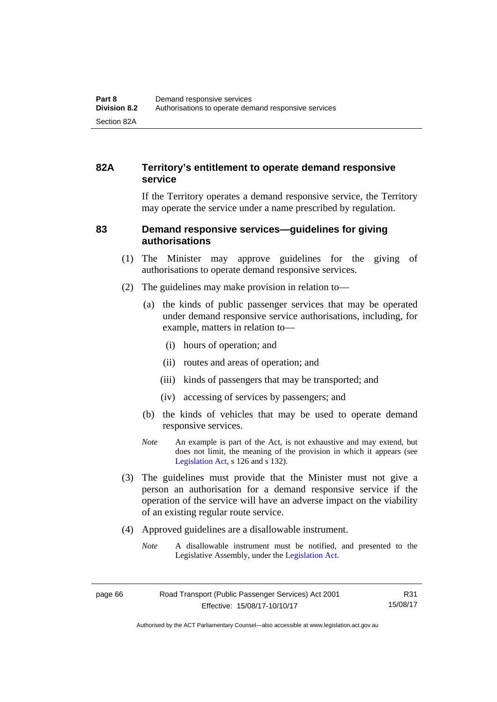# **82A Territory's entitlement to operate demand responsive service**

If the Territory operates a demand responsive service, the Territory may operate the service under a name prescribed by regulation.

### **83 Demand responsive services—guidelines for giving authorisations**

- (1) The Minister may approve guidelines for the giving of authorisations to operate demand responsive services.
- (2) The guidelines may make provision in relation to—
	- (a) the kinds of public passenger services that may be operated under demand responsive service authorisations, including, for example, matters in relation to—
		- (i) hours of operation; and
		- (ii) routes and areas of operation; and
		- (iii) kinds of passengers that may be transported; and
		- (iv) accessing of services by passengers; and
	- (b) the kinds of vehicles that may be used to operate demand responsive services.
	- *Note* An example is part of the Act, is not exhaustive and may extend, but does not limit, the meaning of the provision in which it appears (see [Legislation Act,](http://www.legislation.act.gov.au/a/2001-14) s 126 and s 132).
- (3) The guidelines must provide that the Minister must not give a person an authorisation for a demand responsive service if the operation of the service will have an adverse impact on the viability of an existing regular route service.
- (4) Approved guidelines are a disallowable instrument.
	- *Note* A disallowable instrument must be notified, and presented to the Legislative Assembly, under the [Legislation Act.](http://www.legislation.act.gov.au/a/2001-14)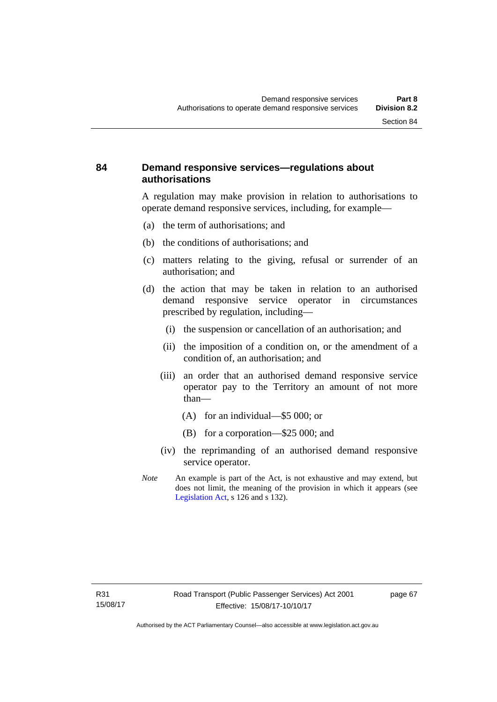### **84 Demand responsive services—regulations about authorisations**

A regulation may make provision in relation to authorisations to operate demand responsive services, including, for example—

- (a) the term of authorisations; and
- (b) the conditions of authorisations; and
- (c) matters relating to the giving, refusal or surrender of an authorisation; and
- (d) the action that may be taken in relation to an authorised demand responsive service operator in circumstances prescribed by regulation, including—
	- (i) the suspension or cancellation of an authorisation; and
	- (ii) the imposition of a condition on, or the amendment of a condition of, an authorisation; and
	- (iii) an order that an authorised demand responsive service operator pay to the Territory an amount of not more than—
		- (A) for an individual—\$5 000; or
		- (B) for a corporation—\$25 000; and
	- (iv) the reprimanding of an authorised demand responsive service operator.
- *Note* An example is part of the Act, is not exhaustive and may extend, but does not limit, the meaning of the provision in which it appears (see [Legislation Act,](http://www.legislation.act.gov.au/a/2001-14) s 126 and s 132).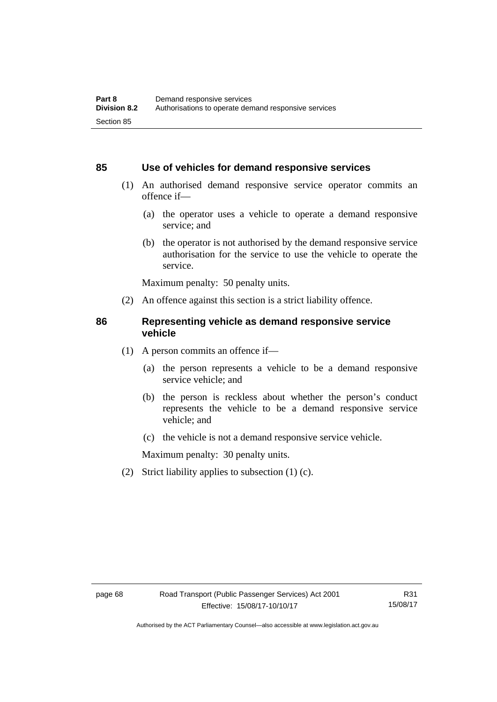#### **85 Use of vehicles for demand responsive services**

- (1) An authorised demand responsive service operator commits an offence if—
	- (a) the operator uses a vehicle to operate a demand responsive service; and
	- (b) the operator is not authorised by the demand responsive service authorisation for the service to use the vehicle to operate the service.

Maximum penalty: 50 penalty units.

(2) An offence against this section is a strict liability offence.

#### **86 Representing vehicle as demand responsive service vehicle**

- (1) A person commits an offence if—
	- (a) the person represents a vehicle to be a demand responsive service vehicle; and
	- (b) the person is reckless about whether the person's conduct represents the vehicle to be a demand responsive service vehicle; and
	- (c) the vehicle is not a demand responsive service vehicle.

Maximum penalty: 30 penalty units.

(2) Strict liability applies to subsection (1) (c).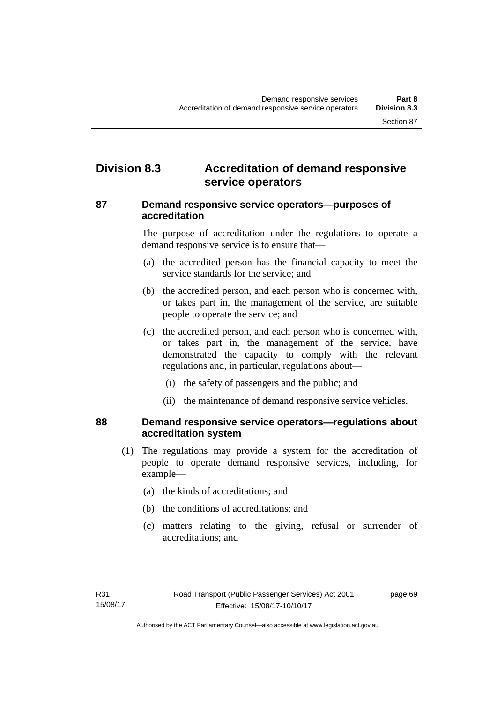# **Division 8.3 Accreditation of demand responsive service operators**

### **87 Demand responsive service operators—purposes of accreditation**

The purpose of accreditation under the regulations to operate a demand responsive service is to ensure that—

- (a) the accredited person has the financial capacity to meet the service standards for the service; and
- (b) the accredited person, and each person who is concerned with, or takes part in, the management of the service, are suitable people to operate the service; and
- (c) the accredited person, and each person who is concerned with, or takes part in, the management of the service, have demonstrated the capacity to comply with the relevant regulations and, in particular, regulations about—
	- (i) the safety of passengers and the public; and
	- (ii) the maintenance of demand responsive service vehicles.

### **88 Demand responsive service operators—regulations about accreditation system**

- (1) The regulations may provide a system for the accreditation of people to operate demand responsive services, including, for example—
	- (a) the kinds of accreditations; and
	- (b) the conditions of accreditations; and
	- (c) matters relating to the giving, refusal or surrender of accreditations; and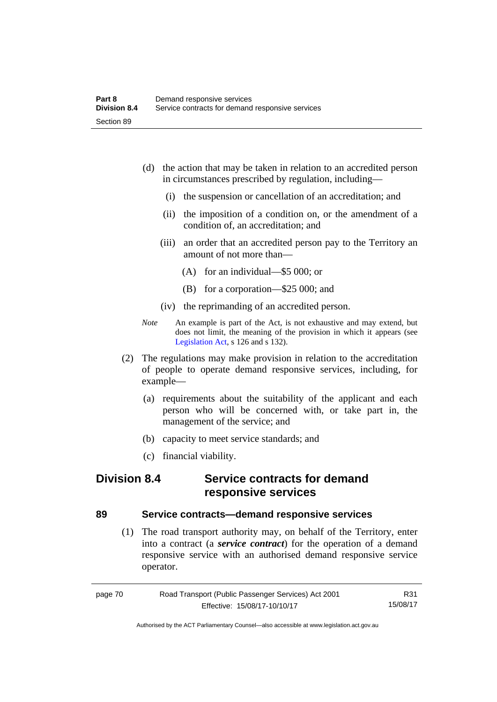- (d) the action that may be taken in relation to an accredited person in circumstances prescribed by regulation, including—
	- (i) the suspension or cancellation of an accreditation; and
	- (ii) the imposition of a condition on, or the amendment of a condition of, an accreditation; and
	- (iii) an order that an accredited person pay to the Territory an amount of not more than—
		- (A) for an individual—\$5 000; or
		- (B) for a corporation—\$25 000; and
	- (iv) the reprimanding of an accredited person.
- *Note* An example is part of the Act, is not exhaustive and may extend, but does not limit, the meaning of the provision in which it appears (see [Legislation Act,](http://www.legislation.act.gov.au/a/2001-14) s 126 and s 132).
- (2) The regulations may make provision in relation to the accreditation of people to operate demand responsive services, including, for example—
	- (a) requirements about the suitability of the applicant and each person who will be concerned with, or take part in, the management of the service; and
	- (b) capacity to meet service standards; and
	- (c) financial viability.

# **Division 8.4 Service contracts for demand responsive services**

### **89 Service contracts—demand responsive services**

 (1) The road transport authority may, on behalf of the Territory, enter into a contract (a *service contract*) for the operation of a demand responsive service with an authorised demand responsive service operator.

| page 70 | Road Transport (Public Passenger Services) Act 2001 | R31      |
|---------|-----------------------------------------------------|----------|
|         | Effective: 15/08/17-10/10/17                        | 15/08/17 |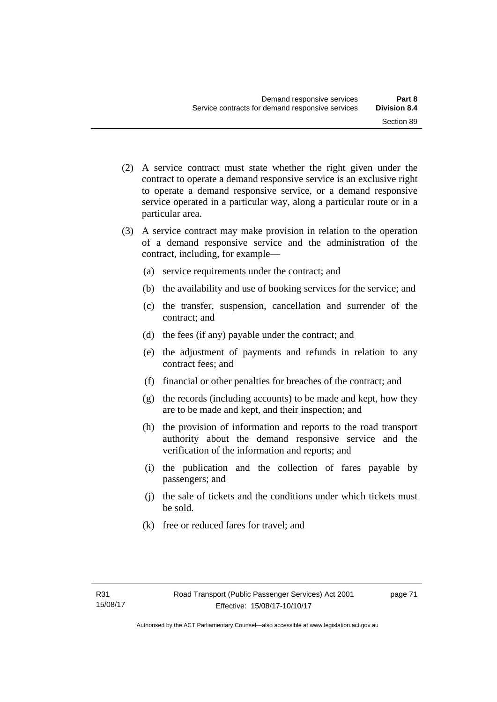- (2) A service contract must state whether the right given under the contract to operate a demand responsive service is an exclusive right to operate a demand responsive service, or a demand responsive service operated in a particular way, along a particular route or in a particular area.
- (3) A service contract may make provision in relation to the operation of a demand responsive service and the administration of the contract, including, for example—
	- (a) service requirements under the contract; and
	- (b) the availability and use of booking services for the service; and
	- (c) the transfer, suspension, cancellation and surrender of the contract; and
	- (d) the fees (if any) payable under the contract; and
	- (e) the adjustment of payments and refunds in relation to any contract fees; and
	- (f) financial or other penalties for breaches of the contract; and
	- (g) the records (including accounts) to be made and kept, how they are to be made and kept, and their inspection; and
	- (h) the provision of information and reports to the road transport authority about the demand responsive service and the verification of the information and reports; and
	- (i) the publication and the collection of fares payable by passengers; and
	- (j) the sale of tickets and the conditions under which tickets must be sold.
	- (k) free or reduced fares for travel; and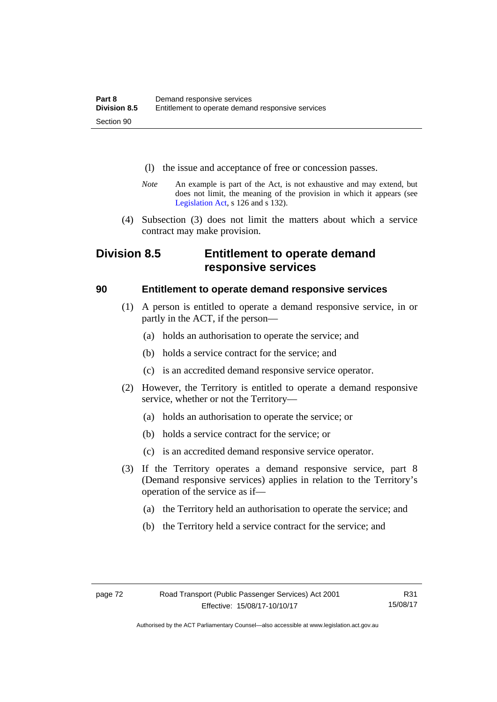- (l) the issue and acceptance of free or concession passes.
- *Note* An example is part of the Act, is not exhaustive and may extend, but does not limit, the meaning of the provision in which it appears (see [Legislation Act,](http://www.legislation.act.gov.au/a/2001-14) s 126 and s 132).
- (4) Subsection (3) does not limit the matters about which a service contract may make provision.

# **Division 8.5 Entitlement to operate demand responsive services**

### **90 Entitlement to operate demand responsive services**

- (1) A person is entitled to operate a demand responsive service, in or partly in the ACT, if the person—
	- (a) holds an authorisation to operate the service; and
	- (b) holds a service contract for the service; and
	- (c) is an accredited demand responsive service operator.
- (2) However, the Territory is entitled to operate a demand responsive service, whether or not the Territory—
	- (a) holds an authorisation to operate the service; or
	- (b) holds a service contract for the service; or
	- (c) is an accredited demand responsive service operator.
- (3) If the Territory operates a demand responsive service, part 8 (Demand responsive services) applies in relation to the Territory's operation of the service as if—
	- (a) the Territory held an authorisation to operate the service; and
	- (b) the Territory held a service contract for the service; and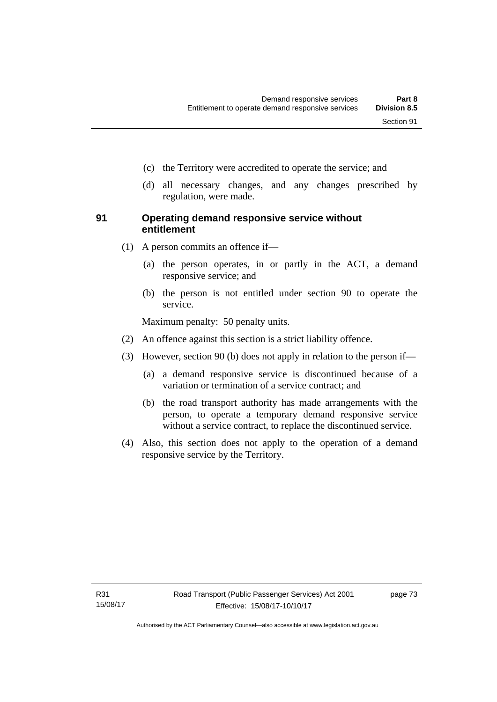- (c) the Territory were accredited to operate the service; and
- (d) all necessary changes, and any changes prescribed by regulation, were made.

#### **91 Operating demand responsive service without entitlement**

- (1) A person commits an offence if—
	- (a) the person operates, in or partly in the ACT, a demand responsive service; and
	- (b) the person is not entitled under section 90 to operate the service.

Maximum penalty: 50 penalty units.

- (2) An offence against this section is a strict liability offence.
- (3) However, section 90 (b) does not apply in relation to the person if—
	- (a) a demand responsive service is discontinued because of a variation or termination of a service contract; and
	- (b) the road transport authority has made arrangements with the person, to operate a temporary demand responsive service without a service contract, to replace the discontinued service.
- (4) Also, this section does not apply to the operation of a demand responsive service by the Territory.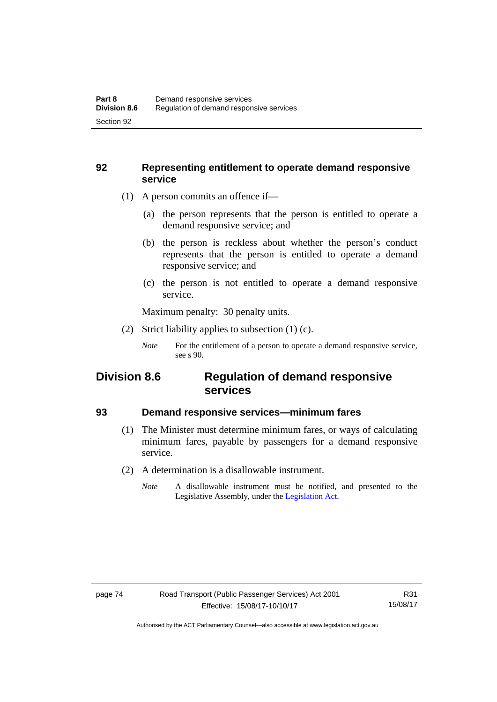### **92 Representing entitlement to operate demand responsive service**

- (1) A person commits an offence if—
	- (a) the person represents that the person is entitled to operate a demand responsive service; and
	- (b) the person is reckless about whether the person's conduct represents that the person is entitled to operate a demand responsive service; and
	- (c) the person is not entitled to operate a demand responsive service.

Maximum penalty: 30 penalty units.

(2) Strict liability applies to subsection (1) (c).

# **Division 8.6 Regulation of demand responsive services**

### **93 Demand responsive services—minimum fares**

- (1) The Minister must determine minimum fares, or ways of calculating minimum fares, payable by passengers for a demand responsive service.
- (2) A determination is a disallowable instrument.
	- *Note* A disallowable instrument must be notified, and presented to the Legislative Assembly, under the [Legislation Act.](http://www.legislation.act.gov.au/a/2001-14)

*Note* For the entitlement of a person to operate a demand responsive service, see s 90.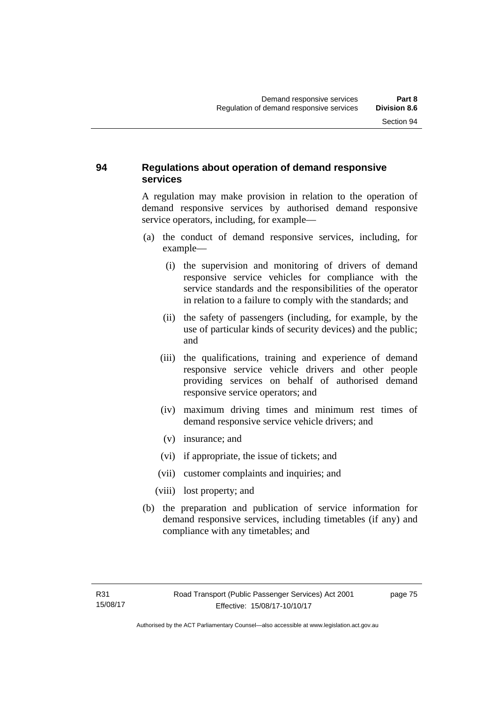# **94 Regulations about operation of demand responsive services**

A regulation may make provision in relation to the operation of demand responsive services by authorised demand responsive service operators, including, for example—

- (a) the conduct of demand responsive services, including, for example—
	- (i) the supervision and monitoring of drivers of demand responsive service vehicles for compliance with the service standards and the responsibilities of the operator in relation to a failure to comply with the standards; and
	- (ii) the safety of passengers (including, for example, by the use of particular kinds of security devices) and the public; and
	- (iii) the qualifications, training and experience of demand responsive service vehicle drivers and other people providing services on behalf of authorised demand responsive service operators; and
	- (iv) maximum driving times and minimum rest times of demand responsive service vehicle drivers; and
	- (v) insurance; and
	- (vi) if appropriate, the issue of tickets; and
	- (vii) customer complaints and inquiries; and
	- (viii) lost property; and
- (b) the preparation and publication of service information for demand responsive services, including timetables (if any) and compliance with any timetables; and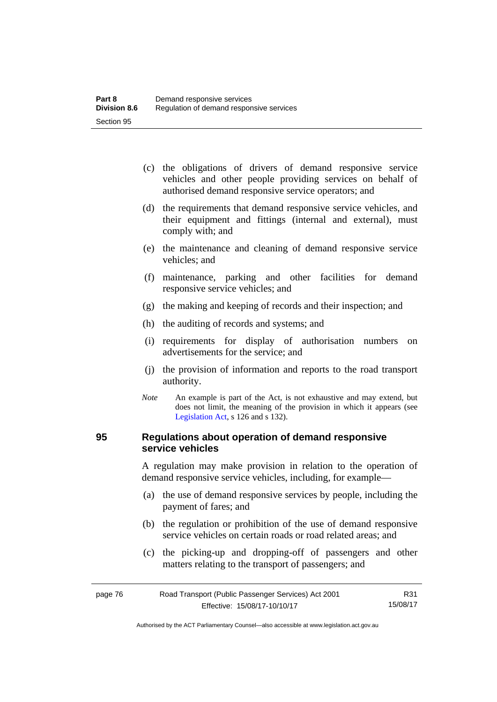- (c) the obligations of drivers of demand responsive service vehicles and other people providing services on behalf of authorised demand responsive service operators; and
- (d) the requirements that demand responsive service vehicles, and their equipment and fittings (internal and external), must comply with; and
- (e) the maintenance and cleaning of demand responsive service vehicles; and
- (f) maintenance, parking and other facilities for demand responsive service vehicles; and
- (g) the making and keeping of records and their inspection; and
- (h) the auditing of records and systems; and
- (i) requirements for display of authorisation numbers on advertisements for the service; and
- (j) the provision of information and reports to the road transport authority.
- *Note* An example is part of the Act, is not exhaustive and may extend, but does not limit, the meaning of the provision in which it appears (see [Legislation Act,](http://www.legislation.act.gov.au/a/2001-14) s 126 and s 132).

### **95 Regulations about operation of demand responsive service vehicles**

A regulation may make provision in relation to the operation of demand responsive service vehicles, including, for example—

- (a) the use of demand responsive services by people, including the payment of fares; and
- (b) the regulation or prohibition of the use of demand responsive service vehicles on certain roads or road related areas; and
- (c) the picking-up and dropping-off of passengers and other matters relating to the transport of passengers; and

| page 76 | Road Transport (Public Passenger Services) Act 2001 |          |
|---------|-----------------------------------------------------|----------|
|         | Effective: 15/08/17-10/10/17                        | 15/08/17 |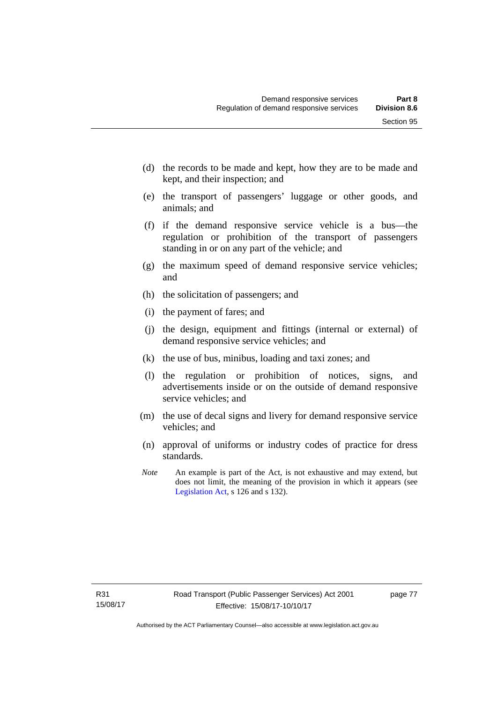- (d) the records to be made and kept, how they are to be made and kept, and their inspection; and
- (e) the transport of passengers' luggage or other goods, and animals; and
- (f) if the demand responsive service vehicle is a bus—the regulation or prohibition of the transport of passengers standing in or on any part of the vehicle; and
- (g) the maximum speed of demand responsive service vehicles; and
- (h) the solicitation of passengers; and
- (i) the payment of fares; and
- (j) the design, equipment and fittings (internal or external) of demand responsive service vehicles; and
- (k) the use of bus, minibus, loading and taxi zones; and
- (l) the regulation or prohibition of notices, signs, and advertisements inside or on the outside of demand responsive service vehicles; and
- (m) the use of decal signs and livery for demand responsive service vehicles; and
- (n) approval of uniforms or industry codes of practice for dress standards.
- *Note* An example is part of the Act, is not exhaustive and may extend, but does not limit, the meaning of the provision in which it appears (see [Legislation Act,](http://www.legislation.act.gov.au/a/2001-14) s 126 and s 132).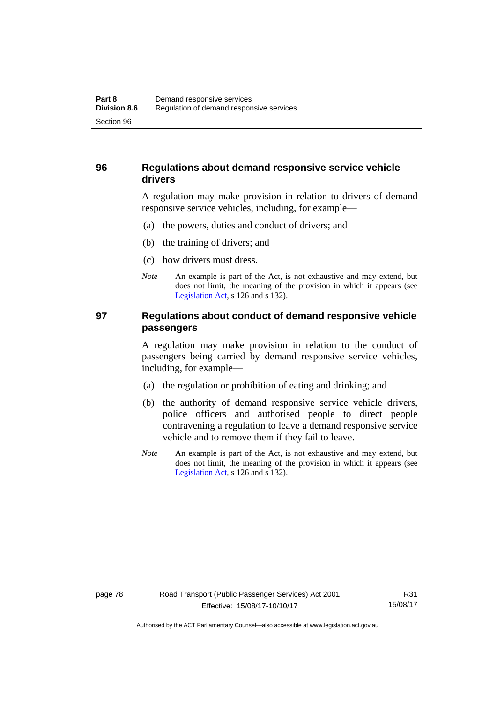## **96 Regulations about demand responsive service vehicle drivers**

A regulation may make provision in relation to drivers of demand responsive service vehicles, including, for example—

- (a) the powers, duties and conduct of drivers; and
- (b) the training of drivers; and
- (c) how drivers must dress.
- *Note* An example is part of the Act, is not exhaustive and may extend, but does not limit, the meaning of the provision in which it appears (see [Legislation Act,](http://www.legislation.act.gov.au/a/2001-14) s 126 and s 132).

### **97 Regulations about conduct of demand responsive vehicle passengers**

A regulation may make provision in relation to the conduct of passengers being carried by demand responsive service vehicles, including, for example—

- (a) the regulation or prohibition of eating and drinking; and
- (b) the authority of demand responsive service vehicle drivers, police officers and authorised people to direct people contravening a regulation to leave a demand responsive service vehicle and to remove them if they fail to leave.
- *Note* An example is part of the Act, is not exhaustive and may extend, but does not limit, the meaning of the provision in which it appears (see [Legislation Act,](http://www.legislation.act.gov.au/a/2001-14) s 126 and s 132).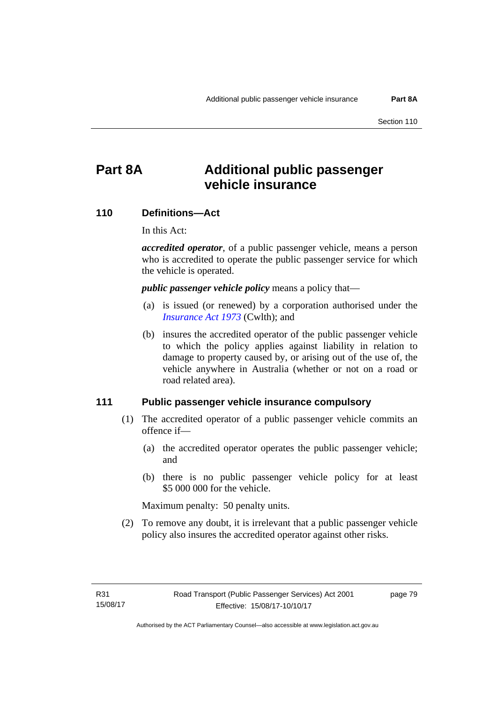# **Part 8A Additional public passenger vehicle insurance**

#### **110 Definitions—Act**

In this Act:

*accredited operator*, of a public passenger vehicle, means a person who is accredited to operate the public passenger service for which the vehicle is operated.

*public passenger vehicle policy* means a policy that—

- (a) is issued (or renewed) by a corporation authorised under the *[Insurance Act 1973](http://www.comlaw.gov.au/Details/C2013C00019)* (Cwlth); and
- (b) insures the accredited operator of the public passenger vehicle to which the policy applies against liability in relation to damage to property caused by, or arising out of the use of, the vehicle anywhere in Australia (whether or not on a road or road related area).

#### **111 Public passenger vehicle insurance compulsory**

- (1) The accredited operator of a public passenger vehicle commits an offence if—
	- (a) the accredited operator operates the public passenger vehicle; and
	- (b) there is no public passenger vehicle policy for at least \$5 000 000 for the vehicle.

Maximum penalty: 50 penalty units.

 (2) To remove any doubt, it is irrelevant that a public passenger vehicle policy also insures the accredited operator against other risks.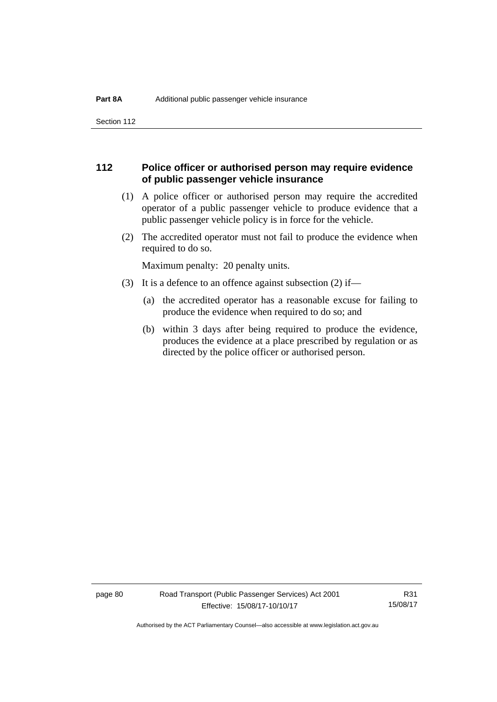Section 112

## **112 Police officer or authorised person may require evidence of public passenger vehicle insurance**

- (1) A police officer or authorised person may require the accredited operator of a public passenger vehicle to produce evidence that a public passenger vehicle policy is in force for the vehicle.
- (2) The accredited operator must not fail to produce the evidence when required to do so.

Maximum penalty: 20 penalty units.

- (3) It is a defence to an offence against subsection (2) if—
	- (a) the accredited operator has a reasonable excuse for failing to produce the evidence when required to do so; and
	- (b) within 3 days after being required to produce the evidence, produces the evidence at a place prescribed by regulation or as directed by the police officer or authorised person.

page 80 Road Transport (Public Passenger Services) Act 2001 Effective: 15/08/17-10/10/17

R31 15/08/17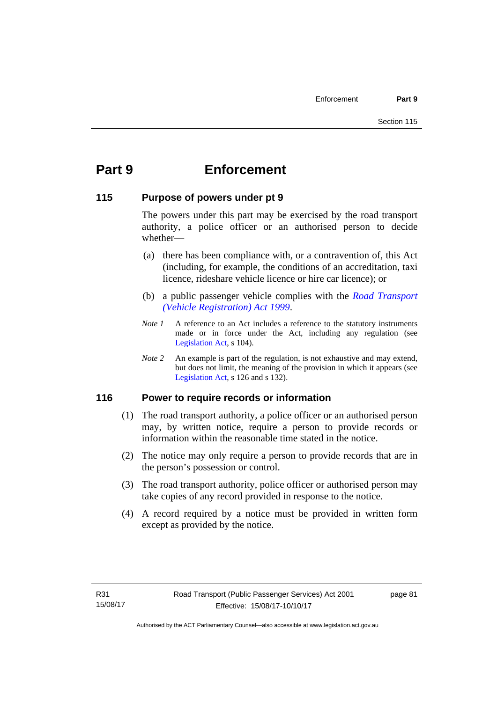# **Part 9 Enforcement**

#### **115 Purpose of powers under pt 9**

The powers under this part may be exercised by the road transport authority, a police officer or an authorised person to decide whether—

- (a) there has been compliance with, or a contravention of, this Act (including, for example, the conditions of an accreditation, taxi licence, rideshare vehicle licence or hire car licence); or
- (b) a public passenger vehicle complies with the *[Road Transport](http://www.legislation.act.gov.au/a/1999-81)  [\(Vehicle Registration\) Act 1999](http://www.legislation.act.gov.au/a/1999-81)*.
- *Note 1* A reference to an Act includes a reference to the statutory instruments made or in force under the Act, including any regulation (see [Legislation Act,](http://www.legislation.act.gov.au/a/2001-14) s 104).
- *Note 2* An example is part of the regulation, is not exhaustive and may extend, but does not limit, the meaning of the provision in which it appears (see [Legislation Act,](http://www.legislation.act.gov.au/a/2001-14) s 126 and s 132).

# **116 Power to require records or information**

- (1) The road transport authority, a police officer or an authorised person may, by written notice, require a person to provide records or information within the reasonable time stated in the notice.
- (2) The notice may only require a person to provide records that are in the person's possession or control.
- (3) The road transport authority, police officer or authorised person may take copies of any record provided in response to the notice.
- (4) A record required by a notice must be provided in written form except as provided by the notice.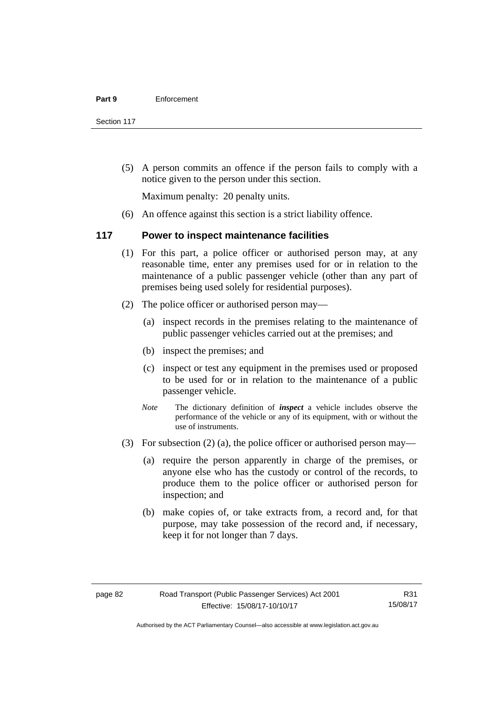Section 117

 (5) A person commits an offence if the person fails to comply with a notice given to the person under this section.

Maximum penalty: 20 penalty units.

(6) An offence against this section is a strict liability offence.

#### **117 Power to inspect maintenance facilities**

- (1) For this part, a police officer or authorised person may, at any reasonable time, enter any premises used for or in relation to the maintenance of a public passenger vehicle (other than any part of premises being used solely for residential purposes).
- (2) The police officer or authorised person may—
	- (a) inspect records in the premises relating to the maintenance of public passenger vehicles carried out at the premises; and
	- (b) inspect the premises; and
	- (c) inspect or test any equipment in the premises used or proposed to be used for or in relation to the maintenance of a public passenger vehicle.
	- *Note* The dictionary definition of *inspect* a vehicle includes observe the performance of the vehicle or any of its equipment, with or without the use of instruments.
- (3) For subsection (2) (a), the police officer or authorised person may—
	- (a) require the person apparently in charge of the premises, or anyone else who has the custody or control of the records, to produce them to the police officer or authorised person for inspection; and
	- (b) make copies of, or take extracts from, a record and, for that purpose, may take possession of the record and, if necessary, keep it for not longer than 7 days.

R31 15/08/17

Authorised by the ACT Parliamentary Counsel—also accessible at www.legislation.act.gov.au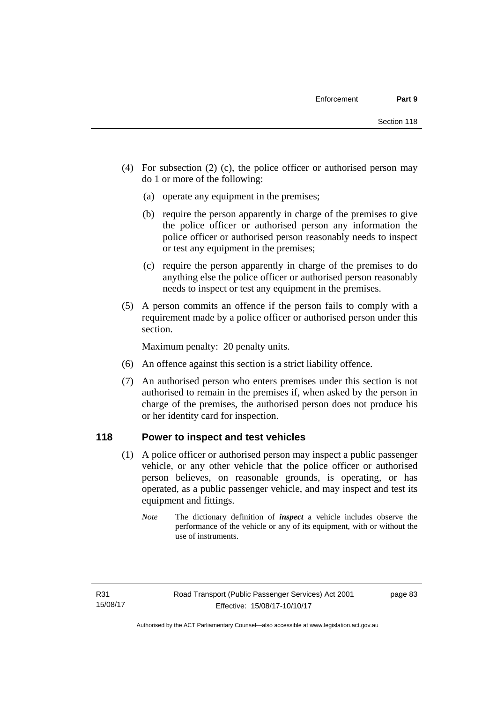- (4) For subsection (2) (c), the police officer or authorised person may do 1 or more of the following:
	- (a) operate any equipment in the premises;
	- (b) require the person apparently in charge of the premises to give the police officer or authorised person any information the police officer or authorised person reasonably needs to inspect or test any equipment in the premises;
	- (c) require the person apparently in charge of the premises to do anything else the police officer or authorised person reasonably needs to inspect or test any equipment in the premises.
- (5) A person commits an offence if the person fails to comply with a requirement made by a police officer or authorised person under this section.

Maximum penalty: 20 penalty units.

- (6) An offence against this section is a strict liability offence.
- (7) An authorised person who enters premises under this section is not authorised to remain in the premises if, when asked by the person in charge of the premises, the authorised person does not produce his or her identity card for inspection.

### **118 Power to inspect and test vehicles**

- (1) A police officer or authorised person may inspect a public passenger vehicle, or any other vehicle that the police officer or authorised person believes, on reasonable grounds, is operating, or has operated, as a public passenger vehicle, and may inspect and test its equipment and fittings.
	- *Note* The dictionary definition of *inspect* a vehicle includes observe the performance of the vehicle or any of its equipment, with or without the use of instruments.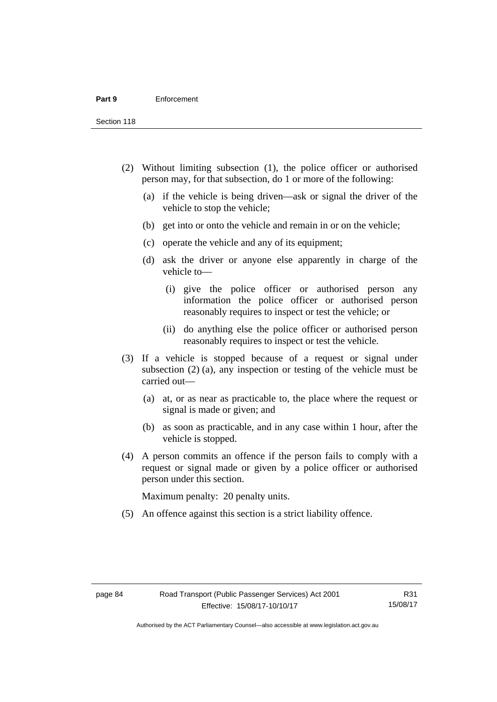Section 118

- (2) Without limiting subsection (1), the police officer or authorised person may, for that subsection, do 1 or more of the following:
	- (a) if the vehicle is being driven—ask or signal the driver of the vehicle to stop the vehicle;
	- (b) get into or onto the vehicle and remain in or on the vehicle;
	- (c) operate the vehicle and any of its equipment;
	- (d) ask the driver or anyone else apparently in charge of the vehicle to—
		- (i) give the police officer or authorised person any information the police officer or authorised person reasonably requires to inspect or test the vehicle; or
		- (ii) do anything else the police officer or authorised person reasonably requires to inspect or test the vehicle.
- (3) If a vehicle is stopped because of a request or signal under subsection (2) (a), any inspection or testing of the vehicle must be carried out—
	- (a) at, or as near as practicable to, the place where the request or signal is made or given; and
	- (b) as soon as practicable, and in any case within 1 hour, after the vehicle is stopped.
- (4) A person commits an offence if the person fails to comply with a request or signal made or given by a police officer or authorised person under this section.

Maximum penalty: 20 penalty units.

(5) An offence against this section is a strict liability offence.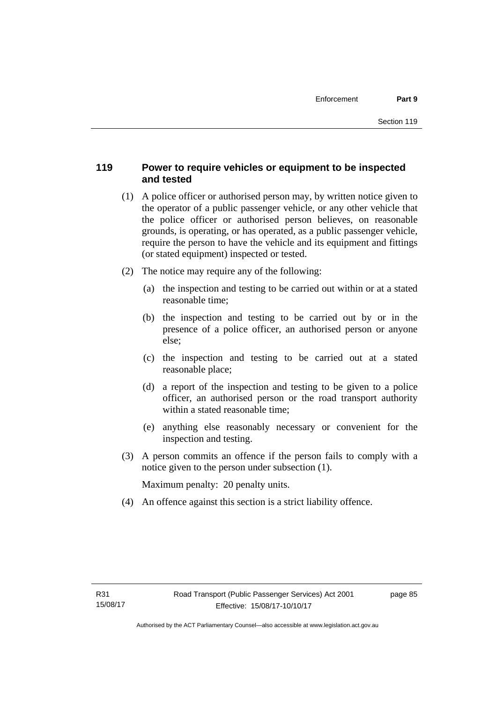# **119 Power to require vehicles or equipment to be inspected and tested**

- (1) A police officer or authorised person may, by written notice given to the operator of a public passenger vehicle, or any other vehicle that the police officer or authorised person believes, on reasonable grounds, is operating, or has operated, as a public passenger vehicle, require the person to have the vehicle and its equipment and fittings (or stated equipment) inspected or tested.
- (2) The notice may require any of the following:
	- (a) the inspection and testing to be carried out within or at a stated reasonable time;
	- (b) the inspection and testing to be carried out by or in the presence of a police officer, an authorised person or anyone else;
	- (c) the inspection and testing to be carried out at a stated reasonable place;
	- (d) a report of the inspection and testing to be given to a police officer, an authorised person or the road transport authority within a stated reasonable time;
	- (e) anything else reasonably necessary or convenient for the inspection and testing.
- (3) A person commits an offence if the person fails to comply with a notice given to the person under subsection (1).

Maximum penalty: 20 penalty units.

(4) An offence against this section is a strict liability offence.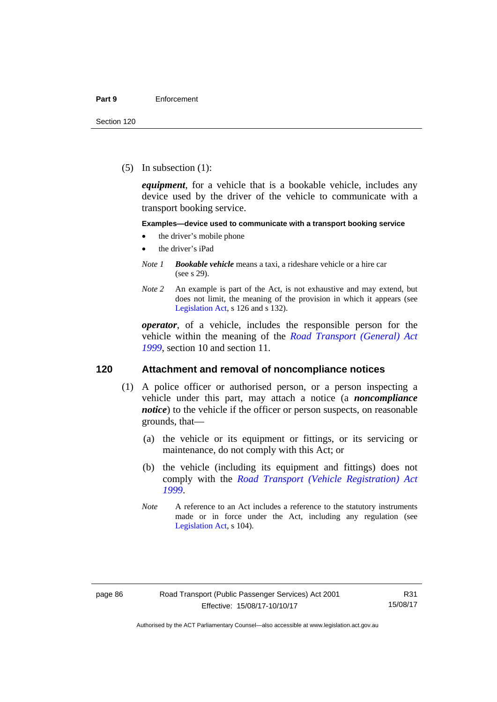(5) In subsection (1):

*equipment*, for a vehicle that is a bookable vehicle, includes any device used by the driver of the vehicle to communicate with a transport booking service.

#### **Examples—device used to communicate with a transport booking service**

- the driver's mobile phone
- the driver's iPad
- *Note 1 Bookable vehicle* means a taxi, a rideshare vehicle or a hire car (see s 29).
- *Note 2* An example is part of the Act, is not exhaustive and may extend, but does not limit, the meaning of the provision in which it appears (see [Legislation Act,](http://www.legislation.act.gov.au/a/2001-14) s 126 and s 132).

*operator*, of a vehicle, includes the responsible person for the vehicle within the meaning of the *[Road Transport \(General\) Act](http://www.legislation.act.gov.au/a/1999-77)  [1999](http://www.legislation.act.gov.au/a/1999-77)*, section 10 and section 11.

#### **120 Attachment and removal of noncompliance notices**

- (1) A police officer or authorised person, or a person inspecting a vehicle under this part, may attach a notice (a *noncompliance notice*) to the vehicle if the officer or person suspects, on reasonable grounds, that—
	- (a) the vehicle or its equipment or fittings, or its servicing or maintenance, do not comply with this Act; or
	- (b) the vehicle (including its equipment and fittings) does not comply with the *[Road Transport \(Vehicle Registration\) Act](http://www.legislation.act.gov.au/a/1999-81)  [1999](http://www.legislation.act.gov.au/a/1999-81)*.
	- *Note* A reference to an Act includes a reference to the statutory instruments made or in force under the Act, including any regulation (see [Legislation Act,](http://www.legislation.act.gov.au/a/2001-14) s 104).

Authorised by the ACT Parliamentary Counsel—also accessible at www.legislation.act.gov.au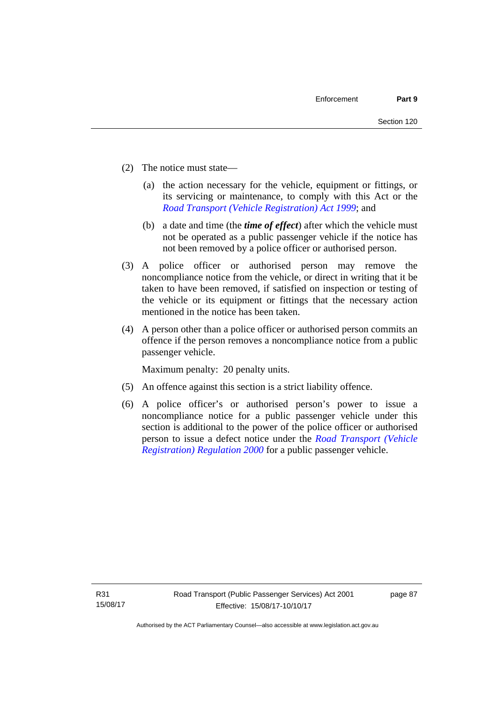- (2) The notice must state—
	- (a) the action necessary for the vehicle, equipment or fittings, or its servicing or maintenance, to comply with this Act or the *[Road Transport \(Vehicle Registration\) Act 1999](http://www.legislation.act.gov.au/a/1999-81)*; and
	- (b) a date and time (the *time of effect*) after which the vehicle must not be operated as a public passenger vehicle if the notice has not been removed by a police officer or authorised person.
- (3) A police officer or authorised person may remove the noncompliance notice from the vehicle, or direct in writing that it be taken to have been removed, if satisfied on inspection or testing of the vehicle or its equipment or fittings that the necessary action mentioned in the notice has been taken.
- (4) A person other than a police officer or authorised person commits an offence if the person removes a noncompliance notice from a public passenger vehicle.

Maximum penalty: 20 penalty units.

- (5) An offence against this section is a strict liability offence.
- (6) A police officer's or authorised person's power to issue a noncompliance notice for a public passenger vehicle under this section is additional to the power of the police officer or authorised person to issue a defect notice under the *[Road Transport \(Vehicle](http://www.legislation.act.gov.au/sl/2000-12)  [Registration\) Regulation 2000](http://www.legislation.act.gov.au/sl/2000-12)* for a public passenger vehicle.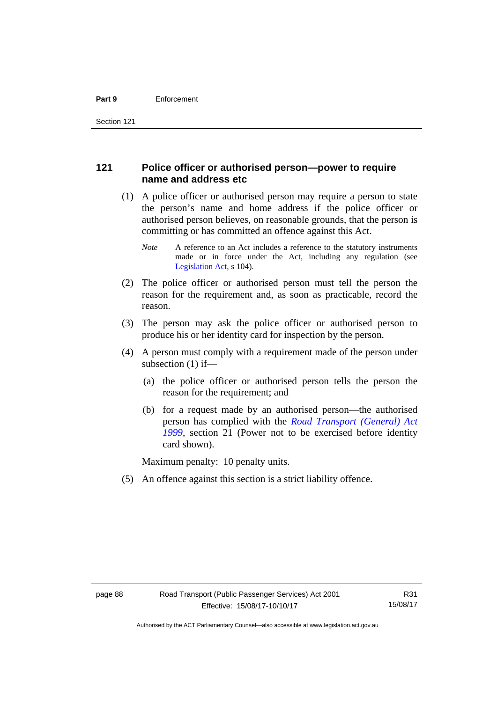### **121 Police officer or authorised person—power to require name and address etc**

- (1) A police officer or authorised person may require a person to state the person's name and home address if the police officer or authorised person believes, on reasonable grounds, that the person is committing or has committed an offence against this Act.
	- *Note* A reference to an Act includes a reference to the statutory instruments made or in force under the Act, including any regulation (see [Legislation Act,](http://www.legislation.act.gov.au/a/2001-14) s 104).
- (2) The police officer or authorised person must tell the person the reason for the requirement and, as soon as practicable, record the reason.
- (3) The person may ask the police officer or authorised person to produce his or her identity card for inspection by the person.
- (4) A person must comply with a requirement made of the person under subsection (1) if—
	- (a) the police officer or authorised person tells the person the reason for the requirement; and
	- (b) for a request made by an authorised person—the authorised person has complied with the *[Road Transport \(General\) Act](http://www.legislation.act.gov.au/a/1999-77)  [1999](http://www.legislation.act.gov.au/a/1999-77)*, section 21 (Power not to be exercised before identity card shown).

Maximum penalty: 10 penalty units.

(5) An offence against this section is a strict liability offence.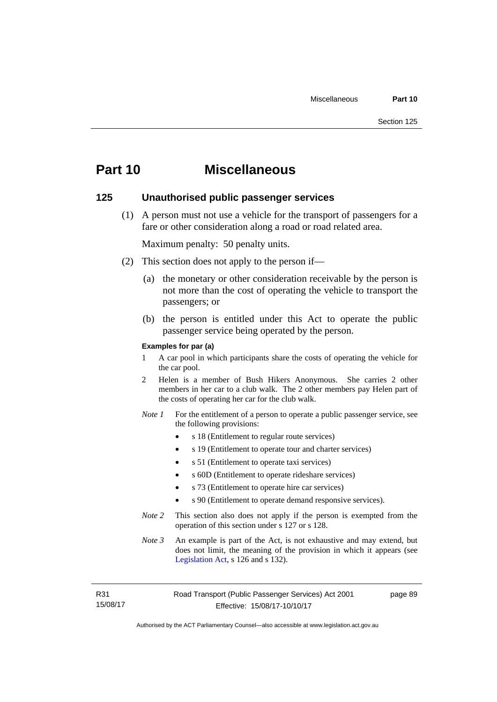# **Part 10 Miscellaneous**

#### **125 Unauthorised public passenger services**

 (1) A person must not use a vehicle for the transport of passengers for a fare or other consideration along a road or road related area.

Maximum penalty: 50 penalty units.

- (2) This section does not apply to the person if—
	- (a) the monetary or other consideration receivable by the person is not more than the cost of operating the vehicle to transport the passengers; or
	- (b) the person is entitled under this Act to operate the public passenger service being operated by the person.

#### **Examples for par (a)**

- 1 A car pool in which participants share the costs of operating the vehicle for the car pool.
- 2 Helen is a member of Bush Hikers Anonymous. She carries 2 other members in her car to a club walk. The 2 other members pay Helen part of the costs of operating her car for the club walk.
- *Note 1* For the entitlement of a person to operate a public passenger service, see the following provisions:
	- s 18 (Entitlement to regular route services)
	- s 19 (Entitlement to operate tour and charter services)
	- s 51 (Entitlement to operate taxi services)
	- s 60D (Entitlement to operate rideshare services)
	- s 73 (Entitlement to operate hire car services)
	- s 90 (Entitlement to operate demand responsive services).
- *Note 2* This section also does not apply if the person is exempted from the operation of this section under s 127 or s 128.
- *Note 3* An example is part of the Act, is not exhaustive and may extend, but does not limit, the meaning of the provision in which it appears (see [Legislation Act,](http://www.legislation.act.gov.au/a/2001-14) s 126 and s 132).

R31 15/08/17 page 89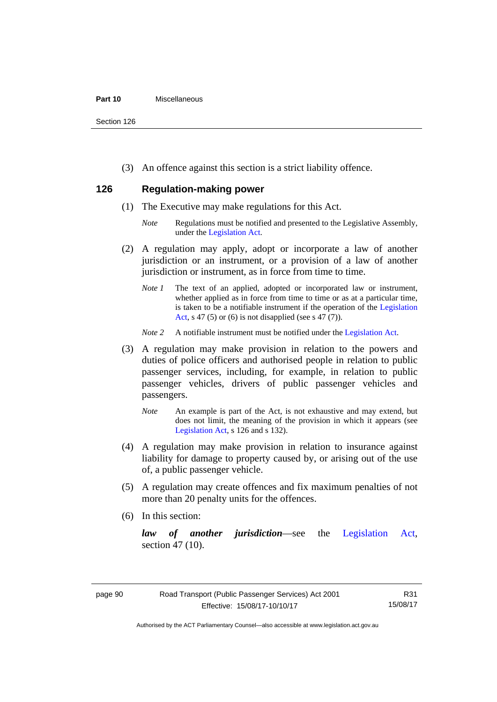#### **Part 10** Miscellaneous

Section 126

(3) An offence against this section is a strict liability offence.

# **126 Regulation-making power**

- (1) The Executive may make regulations for this Act.
	- *Note* Regulations must be notified and presented to the Legislative Assembly, under the [Legislation Act.](http://www.legislation.act.gov.au/a/2001-14)
- (2) A regulation may apply, adopt or incorporate a law of another jurisdiction or an instrument, or a provision of a law of another jurisdiction or instrument, as in force from time to time.
	- *Note 1* The text of an applied, adopted or incorporated law or instrument, whether applied as in force from time to time or as at a particular time, is taken to be a notifiable instrument if the operation of the [Legislation](http://www.legislation.act.gov.au/a/2001-14)  [Act](http://www.legislation.act.gov.au/a/2001-14), s 47 (5) or (6) is not disapplied (see s 47 (7)).
	- *Note 2* A notifiable instrument must be notified under the [Legislation Act](http://www.legislation.act.gov.au/a/2001-14).
- (3) A regulation may make provision in relation to the powers and duties of police officers and authorised people in relation to public passenger services, including, for example, in relation to public passenger vehicles, drivers of public passenger vehicles and passengers.
	- *Note* An example is part of the Act, is not exhaustive and may extend, but does not limit, the meaning of the provision in which it appears (see [Legislation Act,](http://www.legislation.act.gov.au/a/2001-14) s 126 and s 132).
- (4) A regulation may make provision in relation to insurance against liability for damage to property caused by, or arising out of the use of, a public passenger vehicle.
- (5) A regulation may create offences and fix maximum penalties of not more than 20 penalty units for the offences.
- (6) In this section:

*law of another jurisdiction*—see the [Legislation Act](http://www.legislation.act.gov.au/a/2001-14), section 47 (10).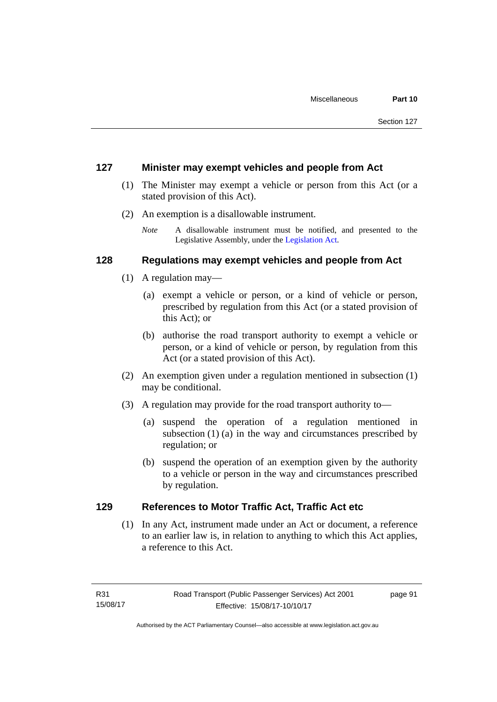#### **127 Minister may exempt vehicles and people from Act**

- (1) The Minister may exempt a vehicle or person from this Act (or a stated provision of this Act).
- (2) An exemption is a disallowable instrument.
	- *Note* A disallowable instrument must be notified, and presented to the Legislative Assembly, under the [Legislation Act.](http://www.legislation.act.gov.au/a/2001-14)

### **128 Regulations may exempt vehicles and people from Act**

- (1) A regulation may—
	- (a) exempt a vehicle or person, or a kind of vehicle or person, prescribed by regulation from this Act (or a stated provision of this Act); or
	- (b) authorise the road transport authority to exempt a vehicle or person, or a kind of vehicle or person, by regulation from this Act (or a stated provision of this Act).
- (2) An exemption given under a regulation mentioned in subsection (1) may be conditional.
- (3) A regulation may provide for the road transport authority to—
	- (a) suspend the operation of a regulation mentioned in subsection (1) (a) in the way and circumstances prescribed by regulation; or
	- (b) suspend the operation of an exemption given by the authority to a vehicle or person in the way and circumstances prescribed by regulation.

# **129 References to Motor Traffic Act, Traffic Act etc**

(1) In any Act, instrument made under an Act or document, a reference to an earlier law is, in relation to anything to which this Act applies, a reference to this Act.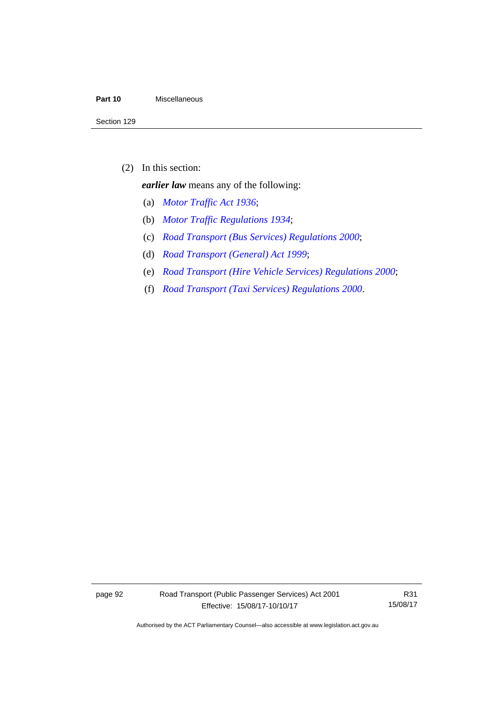#### **Part 10** Miscellaneous

(2) In this section:

*earlier law* means any of the following:

- (a) *[Motor Traffic Act 1936](http://www.legislation.act.gov.au/a/1936-45)*;
- (b) *[Motor Traffic Regulations 1934](http://www.legislation.act.gov.au/sl/1934-6)*;
- (c) *[Road Transport \(Bus Services\) Regulations 2000](http://www.legislation.act.gov.au/sl/2000-9)*;
- (d) *[Road Transport \(General\) Act 1999](http://www.legislation.act.gov.au/a/1999-77)*;
- (e) *[Road Transport \(Hire Vehicle Services\) Regulations 2000](http://www.legislation.act.gov.au/sl/2000-4)*;
- (f) *[Road Transport \(Taxi Services\) Regulations 2000](http://www.legislation.act.gov.au/sl/2000-5)*.

page 92 Road Transport (Public Passenger Services) Act 2001 Effective: 15/08/17-10/10/17

R31 15/08/17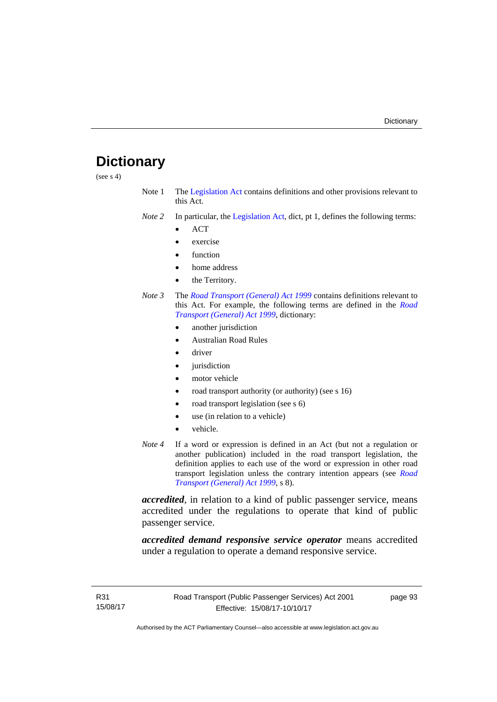# **Dictionary**

(see s 4)

- Note 1 The [Legislation Act](http://www.legislation.act.gov.au/a/2001-14) contains definitions and other provisions relevant to this Act.
- *Note 2* In particular, the [Legislation Act,](http://www.legislation.act.gov.au/a/2001-14) dict, pt 1, defines the following terms:
	- ACT
	- exercise
	- function
	- home address
	- the Territory.
- *Note 3* The *[Road Transport \(General\) Act 1999](http://www.legislation.act.gov.au/a/1999-77)* contains definitions relevant to this Act. For example, the following terms are defined in the *[Road](http://www.legislation.act.gov.au/a/1999-77)  [Transport \(General\) Act 1999](http://www.legislation.act.gov.au/a/1999-77)*, dictionary:
	- another jurisdiction
	- Australian Road Rules
	- driver
	- jurisdiction
	- motor vehicle
	- road transport authority (or authority) (see s 16)
	- road transport legislation (see s 6)
	- use (in relation to a vehicle)
	- vehicle.
- *Note 4* If a word or expression is defined in an Act (but not a regulation or another publication) included in the road transport legislation, the definition applies to each use of the word or expression in other road transport legislation unless the contrary intention appears (see *[Road](http://www.legislation.act.gov.au/a/1999-77)  [Transport \(General\) Act 1999](http://www.legislation.act.gov.au/a/1999-77)*, s 8).

*accredited*, in relation to a kind of public passenger service, means accredited under the regulations to operate that kind of public passenger service.

*accredited demand responsive service operator* means accredited under a regulation to operate a demand responsive service.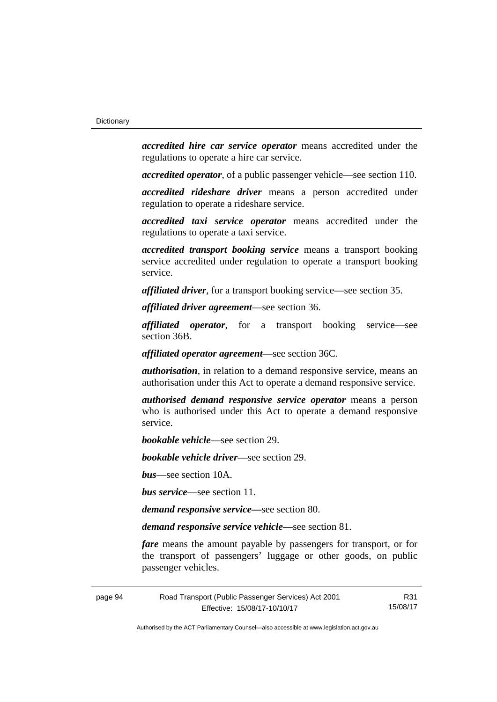*accredited hire car service operator* means accredited under the regulations to operate a hire car service.

*accredited operator*, of a public passenger vehicle—see section 110.

*accredited rideshare driver* means a person accredited under regulation to operate a rideshare service.

*accredited taxi service operator* means accredited under the regulations to operate a taxi service.

*accredited transport booking service* means a transport booking service accredited under regulation to operate a transport booking service.

*affiliated driver*, for a transport booking service—see section 35.

*affiliated driver agreement*—see section 36.

*affiliated operator*, for a transport booking service—see section 36B.

*affiliated operator agreement*—see section 36C.

*authorisation*, in relation to a demand responsive service, means an authorisation under this Act to operate a demand responsive service.

*authorised demand responsive service operator* means a person who is authorised under this Act to operate a demand responsive service.

*bookable vehicle*—see section 29.

*bookable vehicle driver*—see section 29.

*bus*—see section 10A.

*bus service*—see section 11.

*demand responsive service—*see section 80.

*demand responsive service vehicle—*see section 81.

*fare* means the amount payable by passengers for transport, or for the transport of passengers' luggage or other goods, on public passenger vehicles.

page 94 Road Transport (Public Passenger Services) Act 2001 Effective: 15/08/17-10/10/17

R31 15/08/17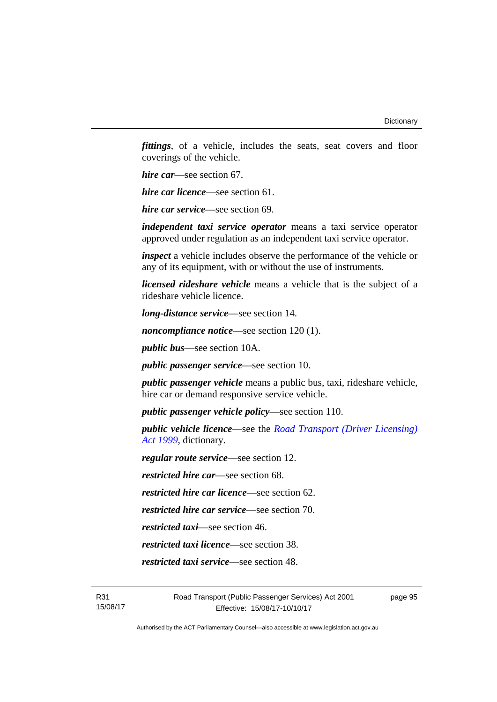*fittings*, of a vehicle, includes the seats, seat covers and floor coverings of the vehicle.

*hire car*—see section 67.

*hire car licence*—see section 61.

*hire car service*—see section 69.

*independent taxi service operator* means a taxi service operator approved under regulation as an independent taxi service operator.

*inspect* a vehicle includes observe the performance of the vehicle or any of its equipment, with or without the use of instruments.

*licensed rideshare vehicle* means a vehicle that is the subject of a rideshare vehicle licence.

*long-distance service*—see section 14.

*noncompliance notice*—see section 120 (1).

*public bus*—see section 10A.

*public passenger service*—see section 10.

*public passenger vehicle* means a public bus, taxi, rideshare vehicle, hire car or demand responsive service vehicle.

*public passenger vehicle policy*—see section 110.

*public vehicle licence*—see the *[Road Transport \(Driver Licensing\)](http://www.legislation.act.gov.au/a/1999-78)  [Act 1999](http://www.legislation.act.gov.au/a/1999-78)*, dictionary.

*regular route service*—see section 12.

*restricted hire car*—see section 68.

*restricted hire car licence*—see section 62.

*restricted hire car service*—see section 70.

*restricted taxi*—see section 46.

*restricted taxi licence*—see section 38.

*restricted taxi service*—see section 48.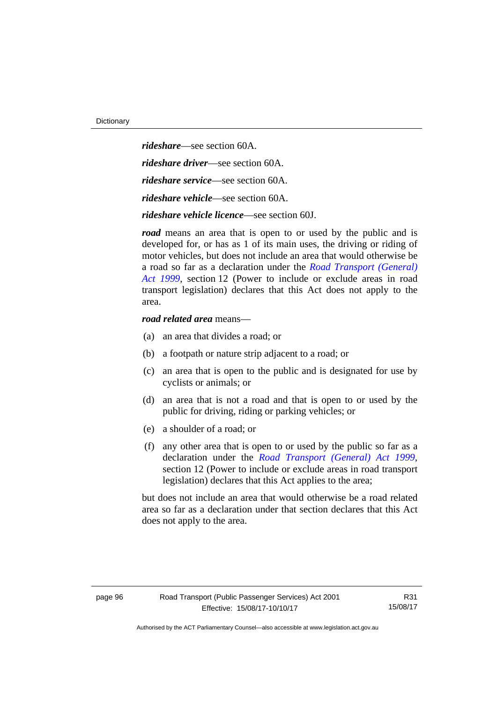*rideshare*—see section 60A. *rideshare driver*—see section 60A. *rideshare service*—see section 60A. *rideshare vehicle*—see section 60A. *rideshare vehicle licence*—see section 60J.

*road* means an area that is open to or used by the public and is developed for, or has as 1 of its main uses, the driving or riding of motor vehicles, but does not include an area that would otherwise be a road so far as a declaration under the *[Road Transport \(General\)](http://www.legislation.act.gov.au/a/1999-77)  [Act 1999](http://www.legislation.act.gov.au/a/1999-77)*, section 12 (Power to include or exclude areas in road transport legislation) declares that this Act does not apply to the area.

#### *road related area* means—

- (a) an area that divides a road; or
- (b) a footpath or nature strip adjacent to a road; or
- (c) an area that is open to the public and is designated for use by cyclists or animals; or
- (d) an area that is not a road and that is open to or used by the public for driving, riding or parking vehicles; or
- (e) a shoulder of a road; or
- (f) any other area that is open to or used by the public so far as a declaration under the *[Road Transport \(General\) Act 1999](http://www.legislation.act.gov.au/a/1999-77)*, section 12 (Power to include or exclude areas in road transport legislation) declares that this Act applies to the area;

but does not include an area that would otherwise be a road related area so far as a declaration under that section declares that this Act does not apply to the area.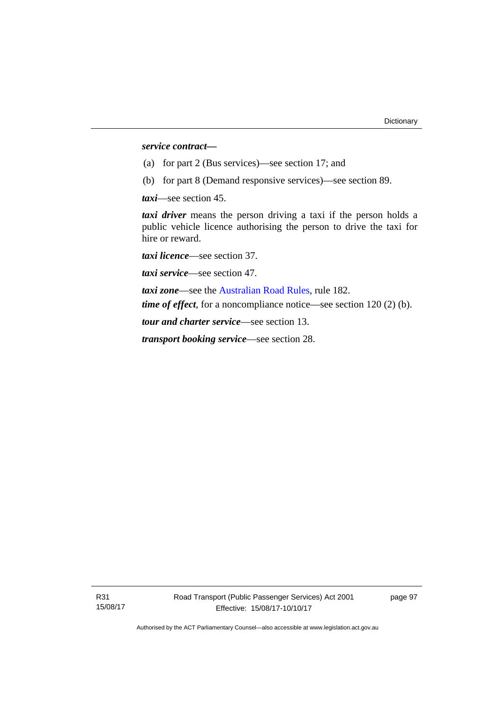#### *service contract—*

- (a) for part 2 (Bus services)—see section 17; and
- (b) for part 8 (Demand responsive services)—see section 89.

*taxi*—see section 45.

*taxi driver* means the person driving a taxi if the person holds a public vehicle licence authorising the person to drive the taxi for hire or reward.

*taxi licence*—see section 37.

*taxi service*—see section 47.

*taxi zone*—see the [Australian Road Rules](http://www.legislation.act.gov.au//ni/db_37271/default.asp), rule 182. *time of effect*, for a noncompliance notice—see section 120 (2) (b).

*tour and charter service*—see section 13.

*transport booking service*—see section 28.

page 97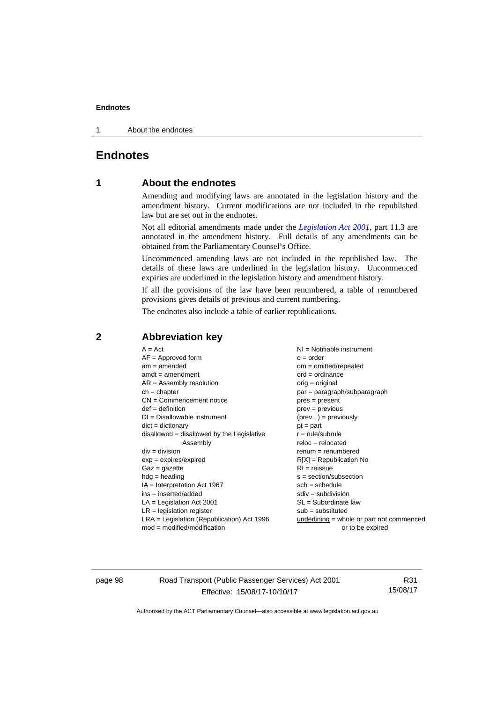#### **Endnotes**

1 About the endnotes

# **Endnotes**

### **1 About the endnotes**

Amending and modifying laws are annotated in the legislation history and the amendment history. Current modifications are not included in the republished law but are set out in the endnotes.

Not all editorial amendments made under the *[Legislation Act 2001](http://www.legislation.act.gov.au/a/2001-14/default.asp)*, part 11.3 are annotated in the amendment history. Full details of any amendments can be obtained from the Parliamentary Counsel's Office.

Uncommenced amending laws are not included in the republished law. The details of these laws are underlined in the legislation history. Uncommenced expiries are underlined in the legislation history and amendment history.

If all the provisions of the law have been renumbered, a table of renumbered provisions gives details of previous and current numbering.

The endnotes also include a table of earlier republications.

| $A = Act$<br>$AF =$ Approved form<br>$am = amended$<br>$amdt = amendment$<br>$AR = Assembly$ resolution<br>$ch = chapter$<br>$CN =$ Commencement notice<br>$def = definition$<br>$DI = Disallowable instrument$<br>$dict = dictionary$<br>$disallowed = disallowed by the Legislative$<br>Assembly<br>$div =$ division<br>$exp = expires/expired$<br>$Gaz = gazette$<br>$hdg = heading$<br>$IA = Interpretation Act 1967$<br>$ins = inserted/added$<br>$LA =$ Legislation Act 2001<br>$LR =$ legislation register<br>$LRA =$ Legislation (Republication) Act 1996 | $NI =$ Notifiable instrument<br>$o = order$<br>om = omitted/repealed<br>$ord = ordinance$<br>$orig = original$<br>par = paragraph/subparagraph<br>$pres = present$<br>$prev = previous$<br>$(\text{prev}) = \text{previously}$<br>$pt = part$<br>$r = rule/subrule$<br>$reloc = relocated$<br>$renum = renumbered$<br>$R[X]$ = Republication No<br>$RI = reissue$<br>$s = section/subsection$<br>$sch = schedule$<br>$sdiv = subdivision$<br>SL = Subordinate law<br>$sub =$ substituted<br>underlining = whole or part not commenced |
|-------------------------------------------------------------------------------------------------------------------------------------------------------------------------------------------------------------------------------------------------------------------------------------------------------------------------------------------------------------------------------------------------------------------------------------------------------------------------------------------------------------------------------------------------------------------|---------------------------------------------------------------------------------------------------------------------------------------------------------------------------------------------------------------------------------------------------------------------------------------------------------------------------------------------------------------------------------------------------------------------------------------------------------------------------------------------------------------------------------------|
|                                                                                                                                                                                                                                                                                                                                                                                                                                                                                                                                                                   |                                                                                                                                                                                                                                                                                                                                                                                                                                                                                                                                       |
| $mod = modified/modification$                                                                                                                                                                                                                                                                                                                                                                                                                                                                                                                                     | or to be expired                                                                                                                                                                                                                                                                                                                                                                                                                                                                                                                      |

#### **2 Abbreviation key**

page 98 Road Transport (Public Passenger Services) Act 2001 Effective: 15/08/17-10/10/17

R31 15/08/17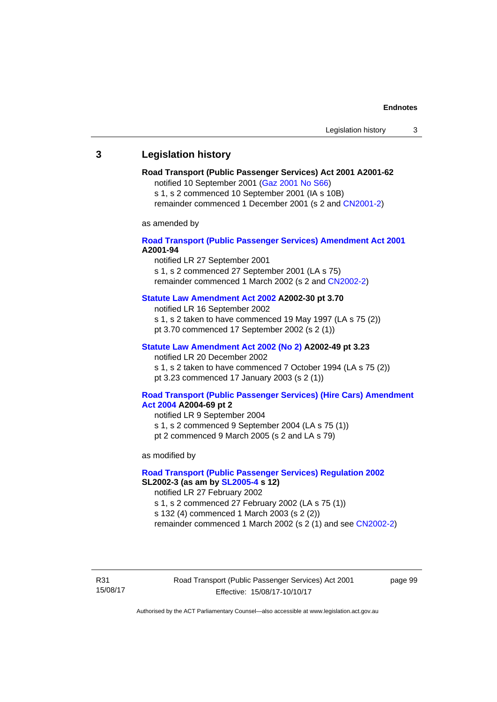### **3 Legislation history**

# **Road Transport (Public Passenger Services) Act 2001 A2001-62**

notified 10 September 2001 [\(Gaz 2001 No S66\)](http://www.legislation.act.gov.au/gaz/2001-S66/default.asp)

s 1, s 2 commenced 10 September 2001 (IA s 10B) remainder commenced 1 December 2001 (s 2 and [CN2001-2\)](http://www.legislation.act.gov.au/cn/2001-2/default.asp)

as amended by

### **[Road Transport \(Public Passenger Services\) Amendment Act 2001](http://www.legislation.act.gov.au/a/2001-94) A2001-94**

notified LR 27 September 2001

s 1, s 2 commenced 27 September 2001 (LA s 75) remainder commenced 1 March 2002 (s 2 and [CN2002-2\)](http://www.legislation.act.gov.au/cn/2002-2/default.asp)

### **[Statute Law Amendment Act 2002](http://www.legislation.act.gov.au/a/2002-30) A2002-30 pt 3.70**

notified LR 16 September 2002

s 1, s 2 taken to have commenced 19 May 1997 (LA s 75 (2))

pt 3.70 commenced 17 September 2002 (s 2 (1))

### **[Statute Law Amendment Act 2002 \(No 2\)](http://www.legislation.act.gov.au/a/2002-49) A2002-49 pt 3.23**

notified LR 20 December 2002 s 1, s 2 taken to have commenced 7 October 1994 (LA s 75 (2)) pt 3.23 commenced 17 January 2003 (s 2 (1))

#### **[Road Transport \(Public Passenger Services\) \(Hire Cars\) Amendment](http://www.legislation.act.gov.au/a/2004-69)  [Act 2004](http://www.legislation.act.gov.au/a/2004-69) A2004-69 pt 2**

notified LR 9 September 2004 s 1, s 2 commenced 9 September 2004 (LA s 75 (1)) pt 2 commenced 9 March 2005 (s 2 and LA s 79)

as modified by

### **[Road Transport \(Public Passenger Services\) Regulation 2002](http://www.legislation.act.gov.au/sl/2002-3) SL2002-3 (as am by [SL2005-4](http://www.legislation.act.gov.au/sl/2005-4) s 12)**

notified LR 27 February 2002

s 1, s 2 commenced 27 February 2002 (LA s 75 (1))

s 132 (4) commenced 1 March 2003 (s 2 (2))

remainder commenced 1 March 2002 (s 2 (1) and see [CN2002-2](http://www.legislation.act.gov.au/cn/2002-2/default.asp))

R31 15/08/17 Road Transport (Public Passenger Services) Act 2001 Effective: 15/08/17-10/10/17

page 99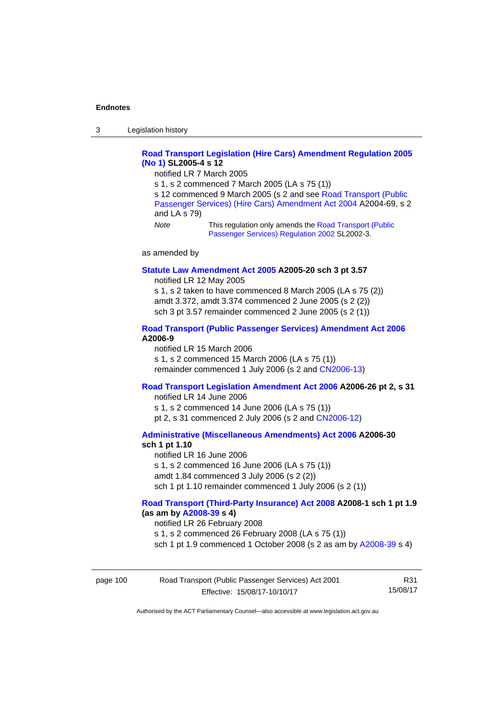3 Legislation history

### **[Road Transport Legislation \(Hire Cars\) Amendment Regulation 2005](http://www.legislation.act.gov.au/sl/2005-4)  [\(No 1\)](http://www.legislation.act.gov.au/sl/2005-4) SL2005-4 s 12**

notified LR 7 March 2005

s 1, s 2 commenced 7 March 2005 (LA s 75 (1))

s 12 commenced 9 March 2005 (s 2 and see [Road Transport \(Public](http://www.legislation.act.gov.au/a/2004-69)  [Passenger Services\) \(Hire Cars\) Amendment Act 2004](http://www.legislation.act.gov.au/a/2004-69) A2004-69, s 2 and LA s 79)

*Note* This regulation only amends the [Road Transport \(Public](http://www.legislation.act.gov.au/sl/2002-3)  [Passenger Services\) Regulation 2002](http://www.legislation.act.gov.au/sl/2002-3) SL2002-3.

as amended by

#### **[Statute Law Amendment Act 2005](http://www.legislation.act.gov.au/a/2005-20) A2005-20 sch 3 pt 3.57**

notified LR 12 May 2005

s 1, s 2 taken to have commenced 8 March 2005 (LA s 75 (2)) amdt 3.372, amdt 3.374 commenced 2 June 2005 (s 2 (2)) sch 3 pt 3.57 remainder commenced 2 June 2005 (s 2 (1))

### **[Road Transport \(Public Passenger Services\) Amendment Act 2006](http://www.legislation.act.gov.au/a/2006-9) A2006-9**

notified LR 15 March 2006 s 1, s 2 commenced 15 March 2006 (LA s 75 (1)) remainder commenced 1 July 2006 (s 2 and [CN2006-13](http://www.legislation.act.gov.au/cn/2006-13/default.asp))

### **[Road Transport Legislation Amendment Act 2006](http://www.legislation.act.gov.au/a/2006-26) A2006-26 pt 2, s 31**

notified LR 14 June 2006 s 1, s 2 commenced 14 June 2006 (LA s 75 (1)) pt 2, s 31 commenced 2 July 2006 (s 2 and [CN2006-12](http://www.legislation.act.gov.au/cn/2006-12/default.asp))

**[Administrative \(Miscellaneous Amendments\) Act 2006](http://www.legislation.act.gov.au/a/2006-30) A2006-30 sch 1 pt 1.10** 

notified LR 16 June 2006 s 1, s 2 commenced 16 June 2006 (LA s 75 (1)) amdt 1.84 commenced 3 July 2006 (s 2 (2)) sch 1 pt 1.10 remainder commenced 1 July 2006 (s 2 (1))

### **[Road Transport \(Third-Party Insurance\) Act 2008](http://www.legislation.act.gov.au/a/2008-1) A2008-1 sch 1 pt 1.9 (as am by [A2008-39](http://www.legislation.act.gov.au/a/2008-39) s 4)**

notified LR 26 February 2008

s 1, s 2 commenced 26 February 2008 (LA s 75 (1))

sch 1 pt 1.9 commenced 1 October 2008 (s 2 as am by [A2008-39](http://www.legislation.act.gov.au/a/2008-39) s 4)

| page 100 | Road Transport (Public Passenger Services) Act 2001 | R31      |
|----------|-----------------------------------------------------|----------|
|          | Effective: 15/08/17-10/10/17                        | 15/08/17 |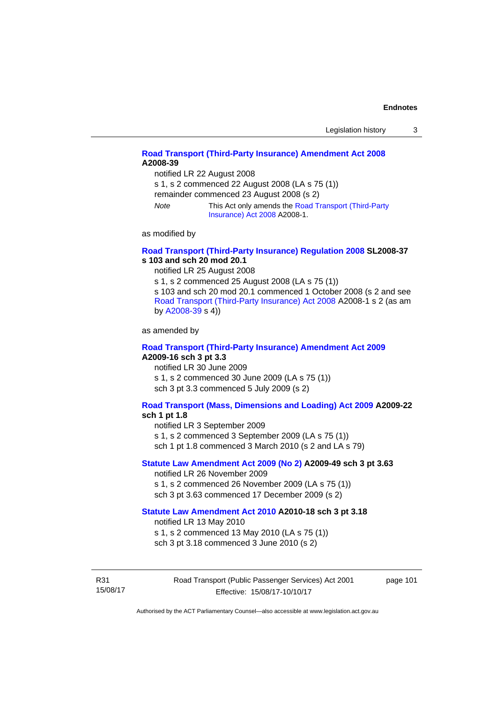### **[Road Transport \(Third-Party Insurance\) Amendment Act 2008](http://www.legislation.act.gov.au/a/2008-39) A2008-39**

notified LR 22 August 2008

s 1, s 2 commenced 22 August 2008 (LA s 75 (1))

remainder commenced 23 August 2008 (s 2)

*Note* This Act only amends the [Road Transport \(Third-Party](http://www.legislation.act.gov.au/a/2008-1)  [Insurance\) Act 2008](http://www.legislation.act.gov.au/a/2008-1) A2008-1.

as modified by

### **[Road Transport \(Third-Party Insurance\) Regulation 2008](http://www.legislation.act.gov.au/sl/2008-37) SL2008-37 s 103 and sch 20 mod 20.1**

notified LR 25 August 2008

s 1, s 2 commenced 25 August 2008 (LA s 75 (1)) s 103 and sch 20 mod 20.1 commenced 1 October 2008 (s 2 and see [Road Transport \(Third-Party Insurance\) Act 2008](http://www.legislation.act.gov.au/a/2008-1) A2008-1 s 2 (as am by [A2008-39](http://www.legislation.act.gov.au/a/2008-39) s 4))

as amended by

#### **[Road Transport \(Third-Party Insurance\) Amendment Act 2009](http://www.legislation.act.gov.au/a/2009-16) A2009-16 sch 3 pt 3.3**

notified LR 30 June 2009 s 1, s 2 commenced 30 June 2009 (LA s 75 (1)) sch 3 pt 3.3 commenced 5 July 2009 (s 2)

### **[Road Transport \(Mass, Dimensions and Loading\) Act 2009](http://www.legislation.act.gov.au/a/2009-22/default.asp) A2009-22**

#### **sch 1 pt 1.8**

notified LR 3 September 2009

s 1, s 2 commenced 3 September 2009 (LA s 75 (1))

sch 1 pt 1.8 commenced 3 March 2010 (s 2 and LA s 79)

### **[Statute Law Amendment Act 2009 \(No 2\)](http://www.legislation.act.gov.au/a/2009-49) A2009-49 sch 3 pt 3.63**

notified LR 26 November 2009 s 1, s 2 commenced 26 November 2009 (LA s 75 (1)) sch 3 pt 3.63 commenced 17 December 2009 (s 2)

#### **[Statute Law Amendment Act 2010](http://www.legislation.act.gov.au/a/2010-18) A2010-18 sch 3 pt 3.18**

notified LR 13 May 2010

s 1, s 2 commenced 13 May 2010 (LA s 75 (1))

sch 3 pt 3.18 commenced 3 June 2010 (s 2)

R31 15/08/17 Road Transport (Public Passenger Services) Act 2001 Effective: 15/08/17-10/10/17

page 101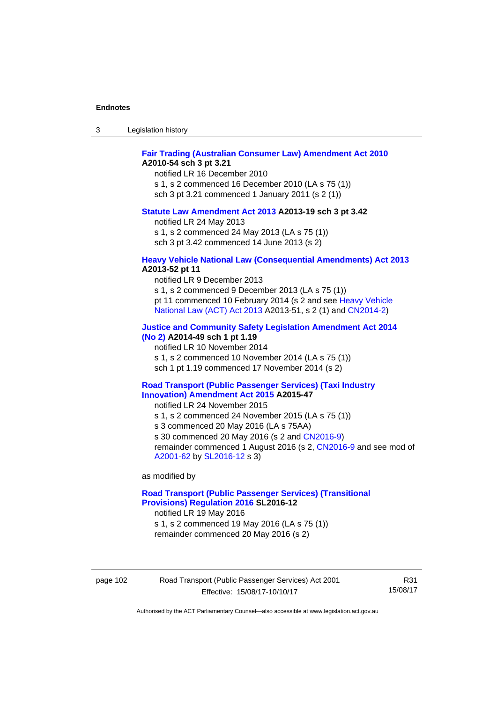| -3 | Legislation history |  |
|----|---------------------|--|
|----|---------------------|--|

### **[Fair Trading \(Australian Consumer Law\) Amendment Act 2010](http://www.legislation.act.gov.au/a/2010-54) A2010-54 sch 3 pt 3.21**

notified LR 16 December 2010 s 1, s 2 commenced 16 December 2010 (LA s 75 (1)) sch 3 pt 3.21 commenced 1 January 2011 (s 2 (1))

#### **[Statute Law Amendment Act 2013](http://www.legislation.act.gov.au/a/2013-19) A2013-19 sch 3 pt 3.42**

notified LR 24 May 2013

s 1, s 2 commenced 24 May 2013 (LA s 75 (1))

sch 3 pt 3.42 commenced 14 June 2013 (s 2)

#### **[Heavy Vehicle National Law \(Consequential Amendments\) Act 2013](http://www.legislation.act.gov.au/a/2013-52) A2013-52 pt 11**

notified LR 9 December 2013

s 1, s 2 commenced 9 December 2013 (LA s 75 (1)) pt 11 commenced 10 February 2014 (s 2 and see [Heavy Vehicle](http://www.legislation.act.gov.au/a/2013-51/default.asp)  [National Law \(ACT\) Act 2013](http://www.legislation.act.gov.au/a/2013-51/default.asp) A2013-51, s 2 (1) and [CN2014-2](http://www.legislation.act.gov.au/cn/2014-2/default.asp))

### **[Justice and Community Safety Legislation Amendment Act 2014](http://www.legislation.act.gov.au/a/2014-49)**

**[\(No 2\)](http://www.legislation.act.gov.au/a/2014-49) A2014-49 sch 1 pt 1.19** 

notified LR 10 November 2014

s 1, s 2 commenced 10 November 2014 (LA s 75 (1))

sch 1 pt 1.19 commenced 17 November 2014 (s 2)

#### **[Road Transport \(Public Passenger Services\) \(Taxi Industry](http://www.legislation.act.gov.au/a/2015-47/default.asp)  [Innovation\) Amendment Act 2015](http://www.legislation.act.gov.au/a/2015-47/default.asp) A2015-47**

notified LR 24 November 2015

s 1, s 2 commenced 24 November 2015 (LA s 75 (1))

s 3 commenced 20 May 2016 (LA s 75AA)

s 30 commenced 20 May 2016 (s 2 and [CN2016-9](http://www.legislation.act.gov.au/cn/2016-9/default.asp))

remainder commenced 1 August 2016 (s 2, [CN2016-9](http://www.legislation.act.gov.au/cn/2016-9/default.asp) and see mod of [A2001-62](http://www.legislation.act.gov.au/a/2001-62/default.asp) by [SL2016-12](http://www.legislation.act.gov.au/sl/2016-12/default.asp) s 3)

as modified by

### **[Road Transport \(Public Passenger Services\) \(Transitional](http://www.legislation.act.gov.au/sl/2016-12/default.asp)  [Provisions\) Regulation 2016](http://www.legislation.act.gov.au/sl/2016-12/default.asp) SL2016-12**

notified LR 19 May 2016

s 1, s 2 commenced 19 May 2016 (LA s 75 (1)) remainder commenced 20 May 2016 (s 2)

page 102 Road Transport (Public Passenger Services) Act 2001 Effective: 15/08/17-10/10/17

R31 15/08/17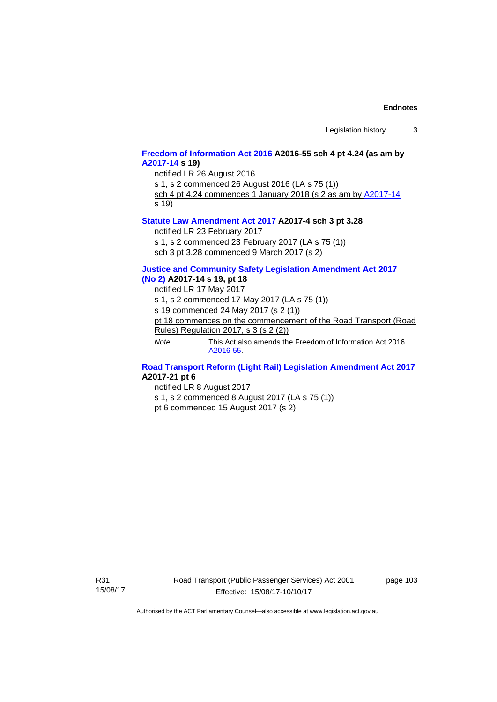### **[Freedom of Information Act 2016](http://www.legislation.act.gov.au/a/2016-55/default.asp) A2016-55 sch 4 pt 4.24 (as am by [A2017-14](http://www.legislation.act.gov.au/a/2017-14) s 19)**

notified LR 26 August 2016 s 1, s 2 commenced 26 August 2016 (LA s 75 (1)) sch 4 pt 4.24 commences 1 January 2018 (s 2 as am by [A2017-14](http://www.legislation.act.gov.au/a/2017-14)

s 19)

#### **[Statute Law Amendment Act 2017](http://www.legislation.act.gov.au/a/2017-4/default.asp) A2017-4 sch 3 pt 3.28**

notified LR 23 February 2017

s 1, s 2 commenced 23 February 2017 (LA s 75 (1))

sch 3 pt 3.28 commenced 9 March 2017 (s 2)

### **[Justice and Community Safety Legislation Amendment Act 2017](http://www.legislation.act.gov.au/a/2017-14/default.asp)  [\(No 2\)](http://www.legislation.act.gov.au/a/2017-14/default.asp) A2017-14 s 19, pt 18**

notified LR 17 May 2017

s 1, s 2 commenced 17 May 2017 (LA s 75 (1))

s 19 commenced 24 May 2017 (s 2 (1))

- pt 18 commences on the commencement of the Road Transport (Road Rules) Regulation 2017, s 3 (s 2 (2))
- *Note* This Act also amends the Freedom of Information Act 2016 [A2016-55](http://www.legislation.act.gov.au/a/2016-55/default.asp).

#### **[Road Transport Reform \(Light Rail\) Legislation Amendment Act 2017](http://www.legislation.act.gov.au/a/2017-21/default.asp) A2017-21 pt 6**

notified LR 8 August 2017 s 1, s 2 commenced 8 August 2017 (LA s 75 (1)) pt 6 commenced 15 August 2017 (s 2)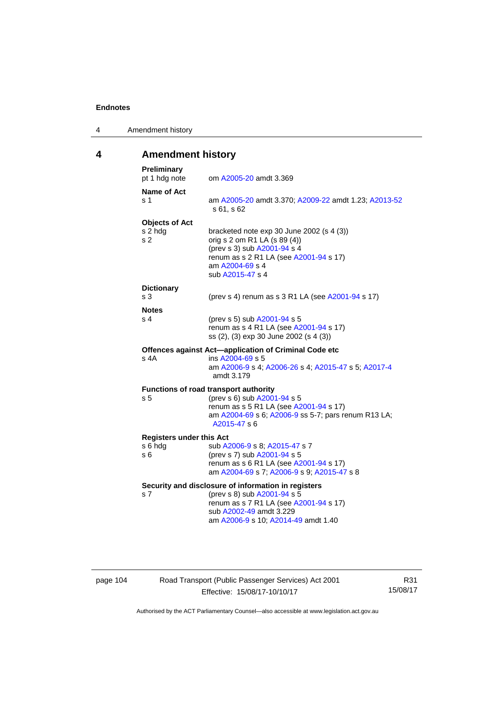4 Amendment history

# **4 Amendment history**

| Preliminary<br>pt 1 hdg note                       | om A2005-20 amdt 3.369                                                                                                                                                                         |
|----------------------------------------------------|------------------------------------------------------------------------------------------------------------------------------------------------------------------------------------------------|
| <b>Name of Act</b><br>s 1                          | am A2005-20 amdt 3.370; A2009-22 amdt 1.23; A2013-52<br>s 61, s 62                                                                                                                             |
| <b>Objects of Act</b><br>s 2 hdg<br>s <sub>2</sub> | bracketed note exp 30 June 2002 (s 4 (3))<br>orig s 2 om R1 LA (s 89 (4))<br>(prev s 3) sub A2001-94 s 4<br>renum as s 2 R1 LA (see A2001-94 s 17)<br>am A2004-69 s 4<br>sub A2015-47 s 4      |
| <b>Dictionary</b><br>s <sub>3</sub>                | (prev s 4) renum as s 3 R1 LA (see A2001-94 s 17)                                                                                                                                              |
| <b>Notes</b><br>s 4                                | (prev s 5) sub A2001-94 s 5<br>renum as s 4 R1 LA (see A2001-94 s 17)<br>ss (2), (3) exp 30 June 2002 (s 4 (3))                                                                                |
| s 4A                                               | Offences against Act-application of Criminal Code etc<br>ins A2004-69 s 5<br>am A2006-9 s 4; A2006-26 s 4; A2015-47 s 5; A2017-4<br>amdt 3.179                                                 |
| s 5                                                | <b>Functions of road transport authority</b><br>(prev s 6) sub A2001-94 s 5<br>renum as s 5 R1 LA (see A2001-94 s 17)<br>am A2004-69 s 6; A2006-9 ss 5-7; pars renum R13 LA;<br>A2015-47 s 6   |
| <b>Registers under this Act</b><br>s 6 hdg<br>s 6  | sub A2006-9 s 8; A2015-47 s 7<br>(prev s 7) sub A2001-94 s 5<br>renum as s 6 R1 LA (see A2001-94 s 17)<br>am A2004-69 s 7: A2006-9 s 9: A2015-47 s 8                                           |
| s 7                                                | Security and disclosure of information in registers<br>(prev s 8) sub A2001-94 s 5<br>renum as s 7 R1 LA (see A2001-94 s 17)<br>sub A2002-49 amdt 3.229<br>am A2006-9 s 10; A2014-49 amdt 1.40 |

page 104 Road Transport (Public Passenger Services) Act 2001 Effective: 15/08/17-10/10/17

R31 15/08/17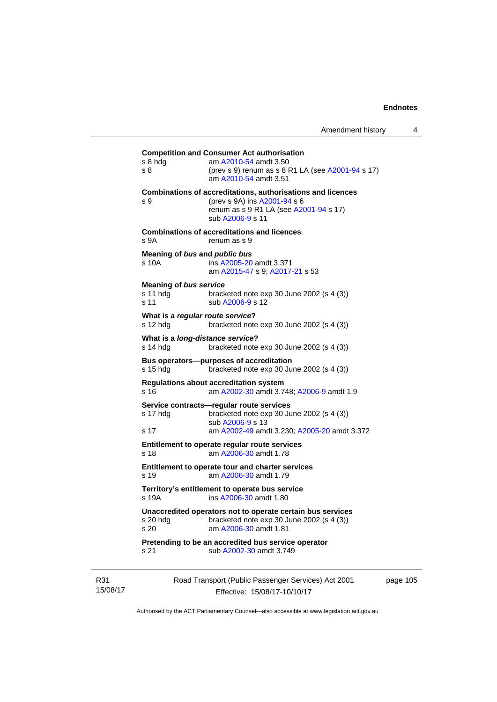### **Competition and Consumer Act authorisation**  s 8 hdg am [A2010-54](http://www.legislation.act.gov.au/a/2010-54) amdt 3.50 s 8 (prev s 9) renum as s 8 R1 LA (see [A2001-94](http://www.legislation.act.gov.au/a/2001-94) s 17) am [A2010-54](http://www.legislation.act.gov.au/a/2010-54) amdt 3.51 **Combinations of accreditations, authorisations and licences**  s 9 (prev s 9A) ins [A2001-94](http://www.legislation.act.gov.au/a/2001-94) s 6 renum as s 9 R1 LA (see [A2001-94](http://www.legislation.act.gov.au/a/2001-94) s 17) sub [A2006-9](http://www.legislation.act.gov.au/a/2006-9) s 11 **Combinations of accreditations and licences**  s 9A renum as s 9 **Meaning of** *bus* **and** *public bus* s 10A ins [A2005-20](http://www.legislation.act.gov.au/a/2005-20) amdt 3.371 am [A2015-47](http://www.legislation.act.gov.au/a/2015-47) s 9; [A2017-21](http://www.legislation.act.gov.au/a/2017-21/default.asp) s 53 **Meaning of** *bus service*<br>s 11 hdg brack bracketed note exp 30 June 2002 (s  $4$  (3)) s 11 sub [A2006-9](http://www.legislation.act.gov.au/a/2006-9) s 12 **What is a** *regular route service***?**  s 12 hdg bracketed note exp 30 June 2002 (s 4 (3)) **What is a** *long-distance service***?**  s 14 hdg bracketed note exp 30 June 2002 (s 4 (3)) **Bus operators—purposes of accreditation**  s 15 hdg bracketed note exp 30 June 2002 (s 4 (3)) **Regulations about accreditation system**  s 16 am [A2002-30](http://www.legislation.act.gov.au/a/2002-30) amdt 3.748; [A2006-9](http://www.legislation.act.gov.au/a/2006-9) amdt 1.9 **Service contracts—regular route services**  s 17 hdg bracketed note exp 30 June 2002 (s 4 (3)) sub [A2006-9](http://www.legislation.act.gov.au/a/2006-9) s 13 s 17 am [A2002-49](http://www.legislation.act.gov.au/a/2002-49) amdt 3.230; [A2005-20](http://www.legislation.act.gov.au/a/2005-20) amdt 3.372 **Entitlement to operate regular route services**  s 18 am [A2006-30](http://www.legislation.act.gov.au/a/2006-30) amdt 1.78 **Entitlement to operate tour and charter services**  s 19 am [A2006-30](http://www.legislation.act.gov.au/a/2006-30) amdt 1.79 **Territory's entitlement to operate bus service**  s 19A ins [A2006-30](http://www.legislation.act.gov.au/a/2006-30) amdt 1.80 **Unaccredited operators not to operate certain bus services**  s 20 hdg bracketed note exp 30 June 2002 (s 4 (3)) s 20 am [A2006-30](http://www.legislation.act.gov.au/a/2006-30) amdt 1.81 **Pretending to be an accredited bus service operator**  s 21 sub [A2002-30](http://www.legislation.act.gov.au/a/2002-30) amdt 3.749

R31 15/08/17 Road Transport (Public Passenger Services) Act 2001 Effective: 15/08/17-10/10/17

page 105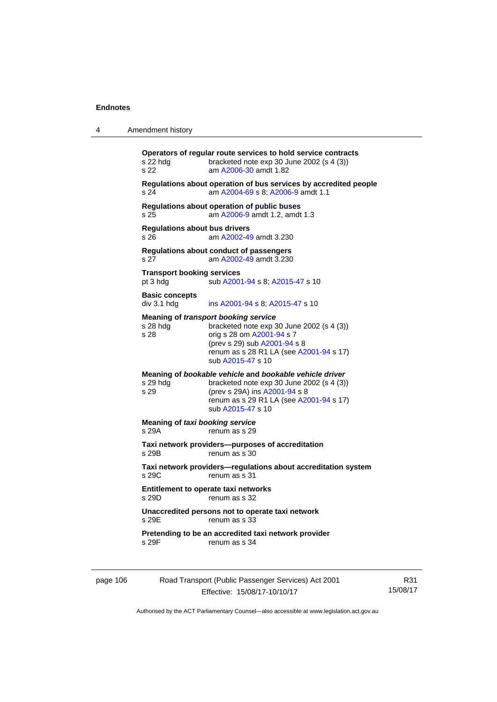| 4        | Amendment history                                                                                                                                                                                                                           |
|----------|---------------------------------------------------------------------------------------------------------------------------------------------------------------------------------------------------------------------------------------------|
|          | Operators of regular route services to hold service contracts<br>bracketed note exp 30 June 2002 (s 4 (3))<br>s <sub>22</sub> h <sub>dg</sub><br>am A2006-30 amdt 1.82<br>s <sub>22</sub>                                                   |
|          | Regulations about operation of bus services by accredited people<br>am A2004-69 s 8; A2006-9 amdt 1.1<br>s 24                                                                                                                               |
|          | Regulations about operation of public buses<br>am A2006-9 amdt 1.2, amdt 1.3<br>s 25                                                                                                                                                        |
|          | <b>Regulations about bus drivers</b><br>s 26<br>am A2002-49 amdt 3.230                                                                                                                                                                      |
|          | Regulations about conduct of passengers<br>s 27<br>am A2002-49 amdt 3.230                                                                                                                                                                   |
|          | <b>Transport booking services</b><br>sub A2001-94 s 8; A2015-47 s 10<br>pt 3 hdg                                                                                                                                                            |
|          | <b>Basic concepts</b><br>div 3.1 hdg<br>ins A2001-94 s 8; A2015-47 s 10                                                                                                                                                                     |
|          | <b>Meaning of transport booking service</b><br>$s$ 28 hdg<br>bracketed note exp 30 June 2002 (s 4 (3))<br>s 28<br>orig s 28 om A2001-94 s 7<br>(prev s 29) sub A2001-94 s 8<br>renum as s 28 R1 LA (see A2001-94 s 17)<br>sub A2015-47 s 10 |
|          | Meaning of bookable vehicle and bookable vehicle driver<br>s 29 hdg<br>bracketed note $exp 30$ June 2002 (s 4 (3))<br>s 29<br>(prev s 29A) ins A2001-94 s 8<br>renum as s 29 R1 LA (see A2001-94 s 17)<br>sub A2015-47 s 10                 |
|          | Meaning of taxi booking service<br>s 29A<br>renum as s 29                                                                                                                                                                                   |
|          | Taxi network providers--purposes of accreditation<br>s 29B<br>renum as s 30                                                                                                                                                                 |
|          | Taxi network providers-regulations about accreditation system<br>s 29C<br>renum as s 31                                                                                                                                                     |
|          | <b>Entitlement to operate taxi networks</b><br>s 29D.<br>renum as s 32                                                                                                                                                                      |
|          | Unaccredited persons not to operate taxi network<br>s 29E<br>renum as s 33                                                                                                                                                                  |
|          | Pretending to be an accredited taxi network provider<br>s 29F<br>renum as s 34                                                                                                                                                              |
| page 106 | Road Transport (Public Passenger Services) Act 2001                                                                                                                                                                                         |

Effective: 15/08/17-10/10/17

R31 15/08/17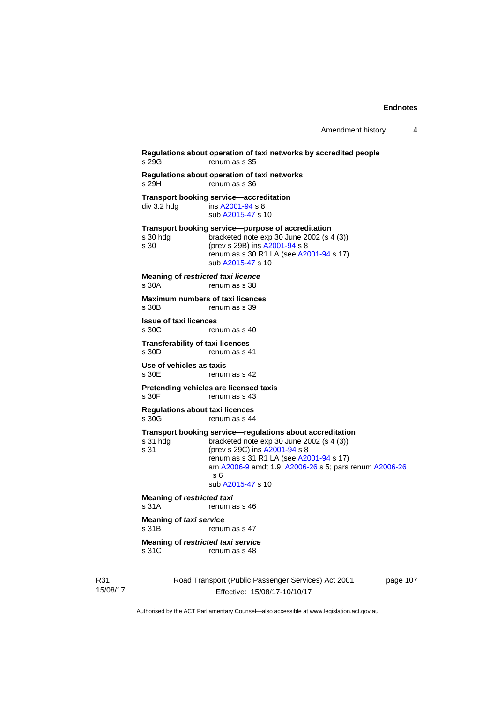```
Regulations about operation of taxi networks by accredited people 
s 29G renum as s 35
Regulations about operation of taxi networks 
                  renum as s 36
Transport booking service—accreditation<br>div 3.2 hdg ins A2001-94 s 8
                  insA2001-94 s 8
                   sub A2015-47 s 10 
Transport booking service—purpose of accreditation 
s 30 hdg bracketed note exp 30 June 2002 (s 4 (3)) 
s 30 (prev s 29B) ins A2001-94 s 8 
                  renum as s 30 R1 LA (see A2001-94 s 17)
                   sub A2015-47 s 10 
Meaning of restricted taxi licence 
s 30A renum as s 38
Maximum numbers of taxi licences<br>s 30B renum as s 39
                  renum as s 39
Issue of taxi licences 
s 30C renum as s 40
Transferability of taxi licences<br>s 30D renum as s 4
                  renum as s 41
Use of vehicles as taxis 
s 30E renum as s 42
Pretending vehicles are licensed taxis 
s 30F renum as s 43
Regulations about taxi licences 
s 30G renum as s 44
Transport booking service—regulations about accreditation 
s 31 hdg bracketed note exp 30 June 2002 (s 4 (3)) 
s 31 (prev s 29C) ins A2001-94 s 8 
                  renum as s 31 R1 LA (see A2001-94 s 17)
                   am A2006-9 amdt 1.9; A2006-26 s 5; pars renum A2006-26
                   s 6 
                   sub A2015-47 s 10 
Meaning of restricted taxi<br>s 31A renum a
                  renum as s 46
Meaning of taxi service 
s 31B renum as s 47
Meaning of restricted taxi service 
s 31C renum as s 48
```
R31 15/08/17 Road Transport (Public Passenger Services) Act 2001 Effective: 15/08/17-10/10/17

page 107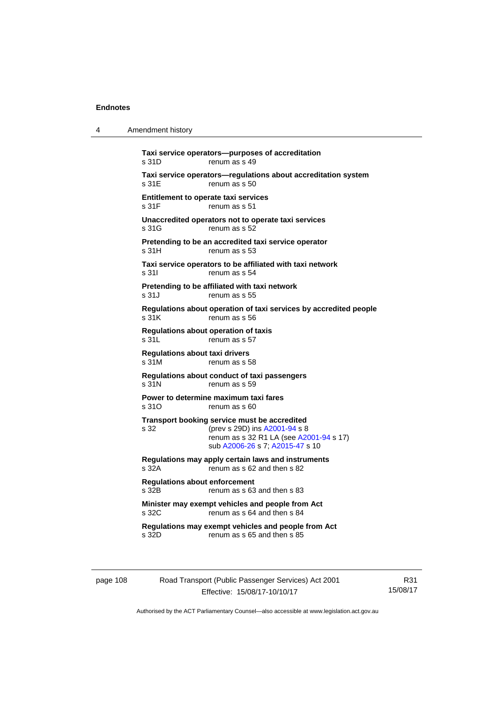4 Amendment history

| s 31D                                          | Taxi service operators-purposes of accreditation<br>renum as s 49                                                                                           |
|------------------------------------------------|-------------------------------------------------------------------------------------------------------------------------------------------------------------|
| s 31E                                          | Taxi service operators-regulations about accreditation system<br>renum as s 50                                                                              |
| s 31F                                          | Entitlement to operate taxi services<br>renum as s 51                                                                                                       |
| s.31G                                          | Unaccredited operators not to operate taxi services<br>renum as s 52                                                                                        |
| s 31H                                          | Pretending to be an accredited taxi service operator<br>renum as s 53                                                                                       |
| s 311                                          | Taxi service operators to be affiliated with taxi network<br>renum as s 54                                                                                  |
| s <sub>31</sub>                                | Pretending to be affiliated with taxi network<br>renum as s 55                                                                                              |
| s 31K                                          | Regulations about operation of taxi services by accredited people<br>renum as s 56                                                                          |
| s 31L                                          | Regulations about operation of taxis<br>renum as s 57                                                                                                       |
| <b>Regulations about taxi drivers</b><br>s 31M | renum as s 58                                                                                                                                               |
| s 31N                                          | Regulations about conduct of taxi passengers<br>renum as s 59                                                                                               |
| s 31O                                          | Power to determine maximum taxi fares<br>renum as s 60                                                                                                      |
| s 32                                           | Transport booking service must be accredited<br>(prev s 29D) ins A2001-94 s 8<br>renum as s 32 R1 LA (see A2001-94 s 17)<br>sub A2006-26 s 7; A2015-47 s 10 |
| s 32A                                          | Regulations may apply certain laws and instruments<br>renum as s 62 and then s 82                                                                           |
| s 32B                                          | <b>Regulations about enforcement</b><br>renum as s 63 and then s 83                                                                                         |
| s 32C                                          | Minister may exempt vehicles and people from Act<br>renum as s 64 and then s 84                                                                             |
| s 32D                                          | Regulations may exempt vehicles and people from Act<br>renum as s 65 and then s 85                                                                          |

page 108 Road Transport (Public Passenger Services) Act 2001 Effective: 15/08/17-10/10/17

R31 15/08/17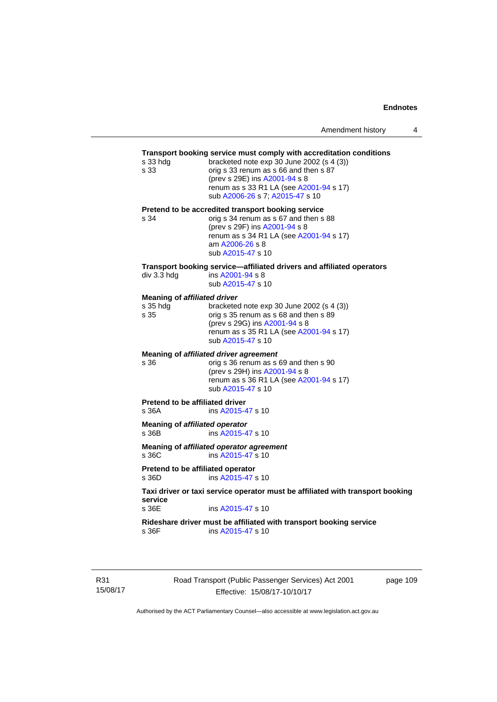### **Transport booking service must comply with accreditation conditions**

| s 33 hdg<br>s 33                                        | <b>Transport booking service must comply with accreditation conditions</b><br>bracketed note exp 30 June 2002 (s 4 (3))<br>orig s 33 renum as s 66 and then s 87<br>(prev s 29E) ins A2001-94 s 8<br>renum as s 33 R1 LA (see A2001-94 s 17)<br>sub A2006-26 s 7; A2015-47 s 10 |
|---------------------------------------------------------|---------------------------------------------------------------------------------------------------------------------------------------------------------------------------------------------------------------------------------------------------------------------------------|
| s 34                                                    | Pretend to be accredited transport booking service<br>orig s 34 renum as s 67 and then s 88<br>(prev s 29F) ins A2001-94 s 8<br>renum as s 34 R1 LA (see A2001-94 s 17)<br>am A2006-26 s 8<br>sub A2015-47 s 10                                                                 |
| div 3.3 hdg                                             | Transport booking service-affiliated drivers and affiliated operators<br>ins A2001-94 s 8<br>sub A2015-47 s 10                                                                                                                                                                  |
| <b>Meaning of affiliated driver</b><br>s 35 hdg<br>s 35 | bracketed note exp 30 June 2002 (s 4 (3))<br>orig s 35 renum as s 68 and then s 89<br>(prev s 29G) ins A2001-94 s 8<br>renum as s 35 R1 LA (see A2001-94 s 17)<br>sub A2015-47 s 10                                                                                             |
| s 36                                                    | Meaning of affiliated driver agreement<br>orig s 36 renum as s 69 and then s 90<br>(prev s 29H) ins A2001-94 s 8<br>renum as s 36 R1 LA (see A2001-94 s 17)<br>sub A2015-47 s 10                                                                                                |
| Pretend to be affiliated driver<br>s 36A                | ins A2015-47 s 10                                                                                                                                                                                                                                                               |
| <b>Meaning of affiliated operator</b><br>s 36B          | ins A2015-47 s 10                                                                                                                                                                                                                                                               |
| s 36C                                                   | Meaning of affiliated operator agreement<br>ins A2015-47 s 10                                                                                                                                                                                                                   |
| Pretend to be affiliated operator<br>s 36D              | ins A2015-47 s 10                                                                                                                                                                                                                                                               |
| service                                                 | Taxi driver or taxi service operator must be affiliated with transport booking                                                                                                                                                                                                  |
| s 36E                                                   | ins A2015-47 s 10<br>$-1$ , and $-1$ , and $-1$ , $-1$ , $-1$ , $-1$ , $-1$                                                                                                                                                                                                     |

**Rideshare driver must be affiliated with transport booking service**  s 36F ins [A2015-47](http://www.legislation.act.gov.au/a/2015-47) s 10

R31 15/08/17 Road Transport (Public Passenger Services) Act 2001 Effective: 15/08/17-10/10/17

page 109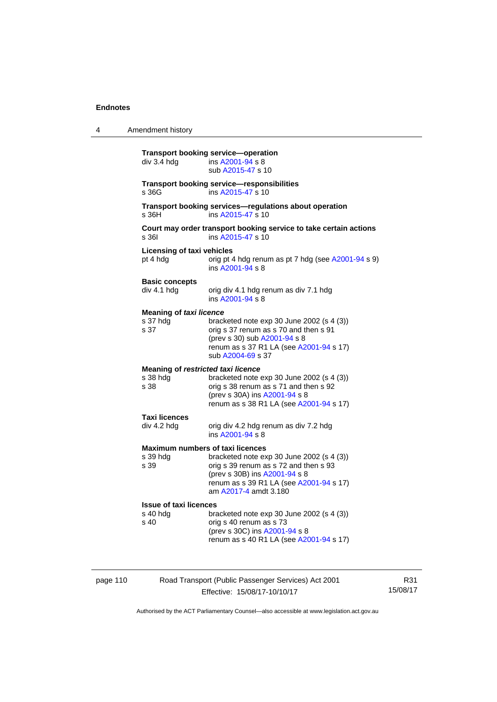| 4        | Amendment history                                           |                                                                                                                                                                                         |
|----------|-------------------------------------------------------------|-----------------------------------------------------------------------------------------------------------------------------------------------------------------------------------------|
|          | $div$ 3.4 $hdg$                                             | <b>Transport booking service-operation</b><br>ins A2001-94 s 8<br>sub A2015-47 s 10                                                                                                     |
|          | s 36G                                                       | <b>Transport booking service-responsibilities</b><br>ins A2015-47 s 10                                                                                                                  |
|          | s 36H                                                       | Transport booking services-regulations about operation<br>ins A2015-47 s 10                                                                                                             |
|          | s 36I                                                       | Court may order transport booking service to take certain actions<br>ins A2015-47 s 10                                                                                                  |
|          | <b>Licensing of taxi vehicles</b><br>pt 4 hdg               | orig pt 4 hdg renum as pt 7 hdg (see A2001-94 s 9)<br>ins A2001-94 s 8                                                                                                                  |
|          | <b>Basic concepts</b><br>div 4.1 hdg                        | orig div 4.1 hdg renum as div 7.1 hdg<br>ins A2001-94 s 8                                                                                                                               |
|          | <b>Meaning of taxi licence</b><br>s 37 hdg<br>s 37          | bracketed note exp 30 June 2002 (s 4 (3))<br>orig s 37 renum as s 70 and then s 91<br>(prev s 30) sub A2001-94 s 8<br>renum as s 37 R1 LA (see A2001-94 s 17)<br>sub A2004-69 s 37      |
|          | Meaning of restricted taxi licence<br>$s$ 38 hdg<br>s 38    | bracketed note $exp 30$ June 2002 (s 4 (3))<br>orig s 38 renum as s 71 and then s 92<br>(prev s 30A) ins A2001-94 s 8<br>renum as s 38 R1 LA (see A2001-94 s 17)                        |
|          | <b>Taxi licences</b><br>div 4.2 hdg                         | orig div 4.2 hdg renum as div 7.2 hdg<br>ins A2001-94 s 8                                                                                                                               |
|          | <b>Maximum numbers of taxi licences</b><br>s 39 hdg<br>s 39 | bracketed note exp 30 June 2002 (s 4 (3))<br>orig s 39 renum as s 72 and then s 93<br>(prev s 30B) ins A2001-94 s 8<br>renum as s 39 R1 LA (see A2001-94 s 17)<br>am A2017-4 amdt 3.180 |
|          | <b>Issue of taxi licences</b><br>s 40 hdg<br>s 40           | bracketed note $exp 30$ June 2002 (s 4 (3))<br>orig s 40 renum as s 73<br>(prev s 30C) ins A2001-94 s 8<br>renum as s 40 R1 LA (see A2001-94 s 17)                                      |
| page 110 |                                                             | Road Transport (Public Passenger Services) Act 2001<br>Effective: 15/08/17-10/10/17                                                                                                     |

R31 15/08/17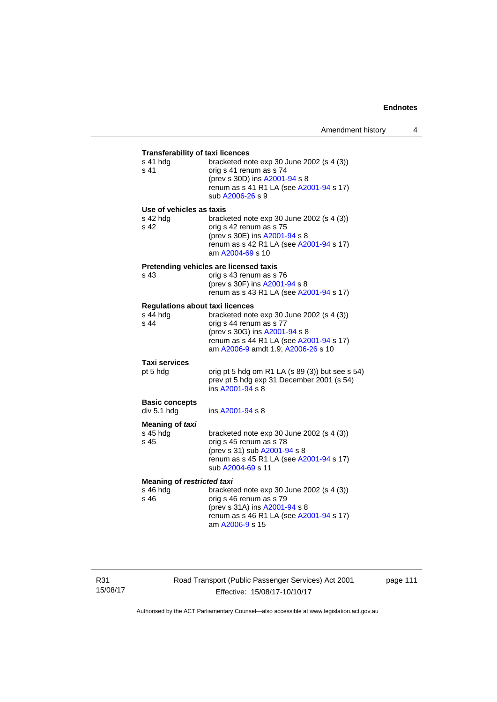| <b>Transferability of taxi licences</b>                    |                                                                                                                                                                                          |
|------------------------------------------------------------|------------------------------------------------------------------------------------------------------------------------------------------------------------------------------------------|
| s 41 hdg<br>s 41                                           | bracketed note exp 30 June 2002 (s 4 (3))<br>orig s 41 renum as s 74<br>(prev s 30D) ins A2001-94 s 8<br>renum as s 41 R1 LA (see A2001-94 s 17)<br>sub A2006-26 s 9                     |
| Use of vehicles as taxis<br>s 42 hdg<br>s 42               | bracketed note $exp 30$ June 2002 (s 4 (3))<br>orig s 42 renum as s 75<br>(prev s 30E) ins A2001-94 s 8<br>renum as s 42 R1 LA (see A2001-94 s 17)<br>am A2004-69 s 10                   |
|                                                            | Pretending vehicles are licensed taxis                                                                                                                                                   |
| s 43                                                       | orig s 43 renum as s 76<br>(prev s 30F) ins A2001-94 s 8<br>renum as s 43 R1 LA (see A2001-94 s 17)                                                                                      |
| <b>Regulations about taxi licences</b><br>s 44 hdg<br>s 44 | bracketed note $exp 30$ June 2002 (s 4 (3))<br>orig s 44 renum as s 77<br>(prev s 30G) ins A2001-94 s 8<br>renum as s 44 R1 LA (see A2001-94 s 17)<br>am A2006-9 amdt 1.9; A2006-26 s 10 |
| <b>Taxi services</b>                                       |                                                                                                                                                                                          |
| pt 5 hdg                                                   | orig pt 5 hdg om R1 LA (s 89 (3)) but see s 54)<br>prev pt 5 hdg exp 31 December 2001 (s 54)<br>ins A2001-94 s 8                                                                         |
| <b>Basic concepts</b><br>div 5.1 hdg                       | ins A2001-94 s 8                                                                                                                                                                         |
| Meaning of taxi                                            |                                                                                                                                                                                          |
| s 45 hdg<br>s 45                                           | bracketed note exp 30 June 2002 (s 4 (3))<br>orig s 45 renum as s 78<br>(prev s 31) sub A2001-94 s 8<br>renum as s 45 R1 LA (see A2001-94 s 17)<br>sub A2004-69 s 11                     |
| <b>Meaning of restricted taxi</b>                          |                                                                                                                                                                                          |
| s 46 hdg<br>s 46                                           | bracketed note exp 30 June 2002 (s 4 (3))<br>orig s 46 renum as s 79<br>(prev s 31A) ins A2001-94 s 8<br>renum as s 46 R1 LA (see A2001-94 s 17)<br>am A2006-9 s 15                      |

R31 15/08/17 Road Transport (Public Passenger Services) Act 2001 Effective: 15/08/17-10/10/17

page 111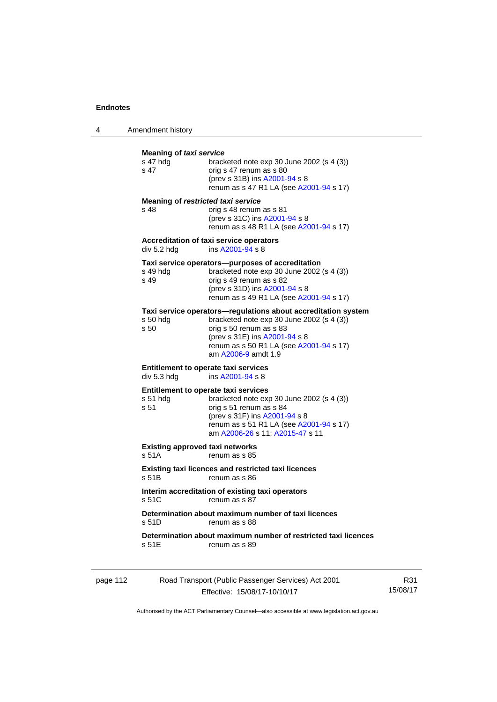4 Amendment history

| s 47 hdg<br>s 47 | bracketed note $exp 30$ June 2002 (s 4 (3))<br>orig s 47 renum as s 80<br>(prev s 31B) ins A2001-94 s 8<br>renum as s 47 R1 LA (see A2001-94 s 17)                                                                                         |
|------------------|--------------------------------------------------------------------------------------------------------------------------------------------------------------------------------------------------------------------------------------------|
| $s$ 48           | Meaning of restricted taxi service<br>orig s 48 renum as s 81<br>(prev s 31C) ins A2001-94 s 8<br>renum as s 48 R1 LA (see A2001-94 s 17)                                                                                                  |
| div 5.2 hdg      | Accreditation of taxi service operators<br>ins A2001-94 s 8                                                                                                                                                                                |
| s 49 hda<br>s 49 | Taxi service operators—purposes of accreditation<br>bracketed note exp 30 June 2002 (s 4 (3))<br>orig s 49 renum as s 82<br>(prev s 31D) ins A2001-94 s 8<br>renum as s 49 R1 LA (see A2001-94 s 17)                                       |
| s 50 hda<br>s 50 | Taxi service operators-regulations about accreditation system<br>bracketed note $exp 30$ June 2002 (s 4 (3))<br>orig s 50 renum as s 83<br>(prev s 31E) ins A2001-94 s 8<br>renum as s 50 R1 LA (see A2001-94 s 17)<br>am A2006-9 amdt 1.9 |
| div 5.3 hdg      | <b>Entitlement to operate taxi services</b><br>ins A2001-94 s 8                                                                                                                                                                            |
| s 51 hda<br>s 51 | <b>Entitlement to operate taxi services</b><br>bracketed note $exp 30$ June 2002 (s 4 (3))<br>orig s 51 renum as s 84<br>(prev s 31F) ins A2001-94 s 8<br>renum as s 51 R1 LA (see A2001-94 s 17)<br>am A2006-26 s 11; A2015-47 s 11       |
| s 51A            | <b>Existing approved taxi networks</b><br>renum as s 85                                                                                                                                                                                    |
| s 51B            | Existing taxi licences and restricted taxi licences<br>renum as s 86                                                                                                                                                                       |
| s 51C            | Interim accreditation of existing taxi operators<br>renum as s 87                                                                                                                                                                          |
| s 51D            | Determination about maximum number of taxi licences<br>renum as s 88                                                                                                                                                                       |
| s 51E            | Determination about maximum number of restricted taxi licences<br>renum as s 89                                                                                                                                                            |

| page 112 | Road Transport (Public Passenger Services) Act 2001 | R31      |
|----------|-----------------------------------------------------|----------|
|          | Effective: 15/08/17-10/10/17                        | 15/08/17 |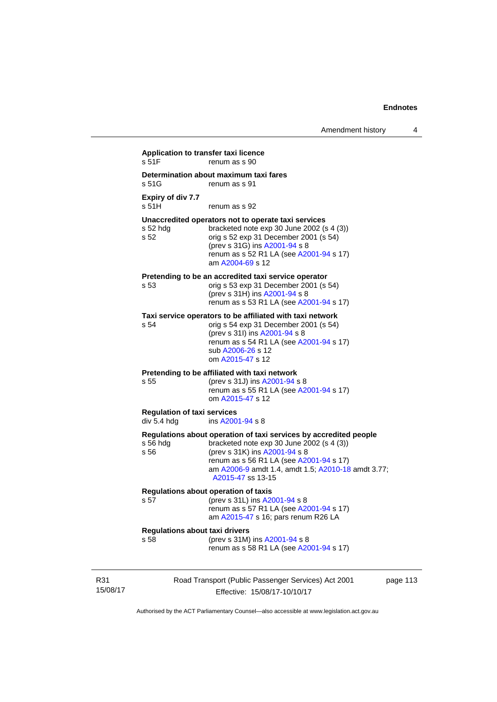| s 51F                                             | renum as s 90<br>Determination about maximum taxi fares                                                                                                                                                                                                               |
|---------------------------------------------------|-----------------------------------------------------------------------------------------------------------------------------------------------------------------------------------------------------------------------------------------------------------------------|
| s 51G                                             | renum as s 91                                                                                                                                                                                                                                                         |
| Expiry of div 7.7<br>s 51H                        | renum as s 92                                                                                                                                                                                                                                                         |
| s 52 hdg<br>s 52                                  | Unaccredited operators not to operate taxi services<br>bracketed note exp 30 June 2002 (s 4 (3))<br>orig s 52 exp 31 December 2001 (s 54)<br>(prev s 31G) ins A2001-94 s 8<br>renum as s 52 R1 LA (see A2001-94 s 17)<br>am A2004-69 s 12                             |
| s 53                                              | Pretending to be an accredited taxi service operator<br>orig s 53 exp 31 December 2001 (s 54)<br>(prev s 31H) ins A2001-94 s 8<br>renum as s 53 R1 LA (see A2001-94 s 17)                                                                                             |
| s 54                                              | Taxi service operators to be affiliated with taxi network<br>orig s 54 exp 31 December 2001 (s 54)<br>(prev s 31l) ins A2001-94 s 8<br>renum as s 54 R1 LA (see A2001-94 s 17)<br>sub A2006-26 s 12<br>om A2015-47 s 12                                               |
| s 55                                              | Pretending to be affiliated with taxi network<br>(prev s 31J) ins A2001-94 s 8<br>renum as s 55 R1 LA (see A2001-94 s 17)<br>om A2015-47 s 12                                                                                                                         |
| <b>Regulation of taxi services</b><br>div 5.4 hdg | ins A2001-94 s 8                                                                                                                                                                                                                                                      |
| $s$ 56 hdg<br>s 56                                | Regulations about operation of taxi services by accredited people<br>bracketed note exp 30 June 2002 (s 4 (3))<br>(prev s 31K) ins A2001-94 s 8<br>renum as s 56 R1 LA (see A2001-94 s 17)<br>am A2006-9 amdt 1.4, amdt 1.5; A2010-18 amdt 3.77;<br>A2015-47 ss 13-15 |
| s 57                                              | Regulations about operation of taxis<br>(prev s 31L) ins A2001-94 s 8<br>renum as s 57 R1 LA (see A2001-94 s 17)<br>am A2015-47 s 16; pars renum R26 LA                                                                                                               |
| <b>Regulations about taxi drivers</b><br>s 58     | (prev s 31M) ins A2001-94 s 8<br>renum as s 58 R1 LA (see A2001-94 s 17)                                                                                                                                                                                              |

R31 15/08/17

Effective: 15/08/17-10/10/17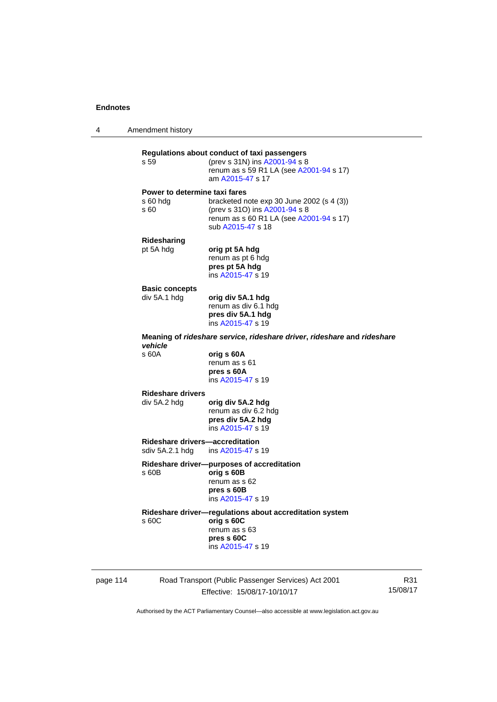4 Amendment history page 114 Road Transport (Public Passenger Services) Act 2001 Effective: 15/08/17-10/10/17 Authorised by the ACT Parliamentary Counsel—also accessible at www.legislation.act.gov.au **Regulations about conduct of taxi passengers**  (prev s 31N) ins [A2001-94](http://www.legislation.act.gov.au/a/2001-94) s 8 renum as s 59 R1 LA (see [A2001-94](http://www.legislation.act.gov.au/a/2001-94) s 17) am [A2015-47](http://www.legislation.act.gov.au/a/2015-47) s 17 **Power to determine taxi fares**  s 60 hdg bracketed note exp 30 June 2002 (s 4 (3)) s 60 (prev s 31O) ins [A2001-94](http://www.legislation.act.gov.au/a/2001-94) s 8 renum as s 60 R1 LA (see [A2001-94](http://www.legislation.act.gov.au/a/2001-94) s 17) sub [A2015-47](http://www.legislation.act.gov.au/a/2015-47) s 18 **Ridesharing**  pt 5A hdg **orig pt 5A hdg** renum as pt 6 hdg **pres pt 5A hdg**  ins [A2015-47](http://www.legislation.act.gov.au/a/2015-47) s 19 **Basic concepts**<br>div 5A.1 hdg div 5A.1 hdg **orig div 5A.1 hdg**  renum as div 6.1 hdg **pres div 5A.1 hdg**  ins [A2015-47](http://www.legislation.act.gov.au/a/2015-47) s 19 **Meaning of** *rideshare service***,** *rideshare driver***,** *rideshare* **and** *rideshare vehicle*  s 60A **orig s 60A**  renum as s 61 **pres s 60A**  ins [A2015-47](http://www.legislation.act.gov.au/a/2015-47) s 19 **Rideshare drivers**  div 5A.2 hdg **orig div 5A.2 hdg**  renum as div 6.2 hdg **pres div 5A.2 hdg**  ins [A2015-47](http://www.legislation.act.gov.au/a/2015-47) s 19 **Rideshare drivers—accreditation**  ins [A2015-47](http://www.legislation.act.gov.au/a/2015-47) s 19 **Rideshare driver—purposes of accreditation** s 60B **orig s 60B**  renum as s 62 **pres s 60B**  ins [A2015-47](http://www.legislation.act.gov.au/a/2015-47) s 19 **Rideshare driver—regulations about accreditation system**  s 60C **orig s 60C**  renum as s 63 **pres s 60C**  ins [A2015-47](http://www.legislation.act.gov.au/a/2015-47) s 19

R31 15/08/17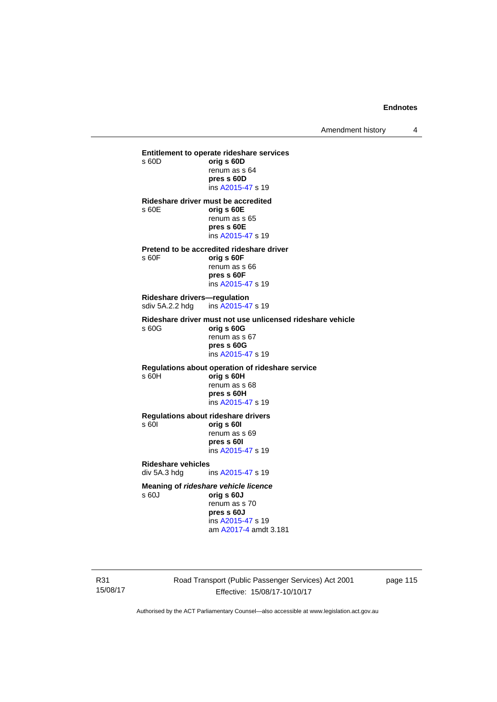Amendment history 4

**Entitlement to operate rideshare services**  s 60D **orig s 60D**  renum as s 64 **pres s 60D**  ins [A2015-47](http://www.legislation.act.gov.au/a/2015-47) s 19 **Rideshare driver must be accredited**  s 60E **orig s 60E**  renum as s 65 **pres s 60E**  ins [A2015-47](http://www.legislation.act.gov.au/a/2015-47) s 19 **Pretend to be accredited rideshare driver**  s 60F **orig s 60F**  renum as s 66 **pres s 60F**  ins [A2015-47](http://www.legislation.act.gov.au/a/2015-47) s 19 **Rideshare drivers—regulation**  sdiv 5A.2.2 hdg ins [A2015-47](http://www.legislation.act.gov.au/a/2015-47) s 19 **Rideshare driver must not use unlicensed rideshare vehicle** s 60G **orig s 60G**  renum as s 67 **pres s 60G**  ins [A2015-47](http://www.legislation.act.gov.au/a/2015-47) s 19 **Regulations about operation of rideshare service** s 60H **orig s 60H**  renum as s 68 **pres s 60H**  ins [A2015-47](http://www.legislation.act.gov.au/a/2015-47) s 19 **Regulations about rideshare drivers** s 60I **orig s 60I**  renum as s 69 **pres s 60I**  ins [A2015-47](http://www.legislation.act.gov.au/a/2015-47) s 19 **Rideshare vehicles**  div 5A.3 hdg ins [A2015-47](http://www.legislation.act.gov.au/a/2015-47) s 19 **Meaning of** *rideshare vehicle licence*  s 60J **orig s 60J**  renum as s 70 **pres s 60J** 

 ins [A2015-47](http://www.legislation.act.gov.au/a/2015-47) s 19 am [A2017-4](http://www.legislation.act.gov.au/a/2017-4/default.asp) amdt 3.181

R31 15/08/17 Road Transport (Public Passenger Services) Act 2001 Effective: 15/08/17-10/10/17

page 115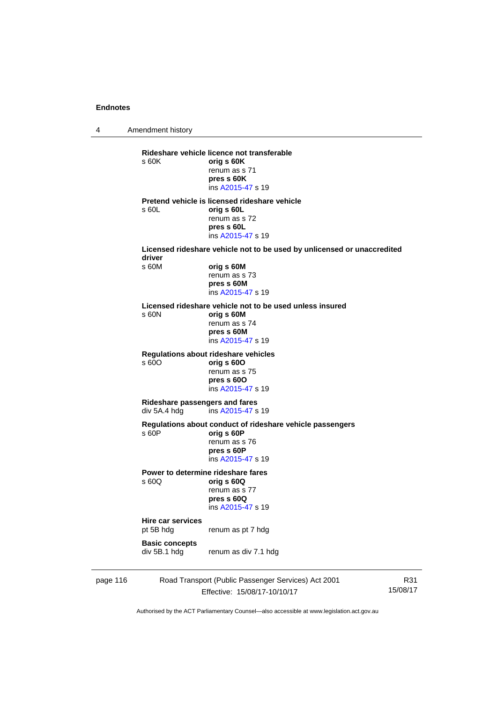4 Amendment history page 116 Road Transport (Public Passenger Services) Act 2001 R31 **Rideshare vehicle licence not transferable**  s 60K **orig s 60K**  renum as s 71 **pres s 60K**  ins [A2015-47](http://www.legislation.act.gov.au/a/2015-47) s 19 **Pretend vehicle is licensed rideshare vehicle**  s 60L **orig s 60L**  renum as s 72 **pres s 60L**  ins [A2015-47](http://www.legislation.act.gov.au/a/2015-47) s 19 **Licensed rideshare vehicle not to be used by unlicensed or unaccredited driver**  s 60M **orig s 60M**  renum as s 73 **pres s 60M**  ins [A2015-47](http://www.legislation.act.gov.au/a/2015-47) s 19 **Licensed rideshare vehicle not to be used unless insured**  s 60N **orig s 60M**  renum as s 74 **pres s 60M**  ins [A2015-47](http://www.legislation.act.gov.au/a/2015-47) s 19 **Regulations about rideshare vehicles**  s 60O **orig s 60O**  renum as s 75 **pres s 60O**  ins [A2015-47](http://www.legislation.act.gov.au/a/2015-47) s 19 **Rideshare passengers and fares**  div 5A.4 hdg ins [A2015-47](http://www.legislation.act.gov.au/a/2015-47) s 19 **Regulations about conduct of rideshare vehicle passengers**  s 60P **orig s 60P**  renum as s 76 **pres s 60P**  ins [A2015-47](http://www.legislation.act.gov.au/a/2015-47) s 19 **Power to determine rideshare fares**  s 60Q **orig s 60Q**  renum as s 77 **pres s 60Q**  ins [A2015-47](http://www.legislation.act.gov.au/a/2015-47) s 19 **Hire car services**  pt 5B hdg renum as pt 7 hdg **Basic concepts**  div 5B.1 hdg renum as div 7.1 hdg

Authorised by the ACT Parliamentary Counsel—also accessible at www.legislation.act.gov.au

15/08/17

Effective: 15/08/17-10/10/17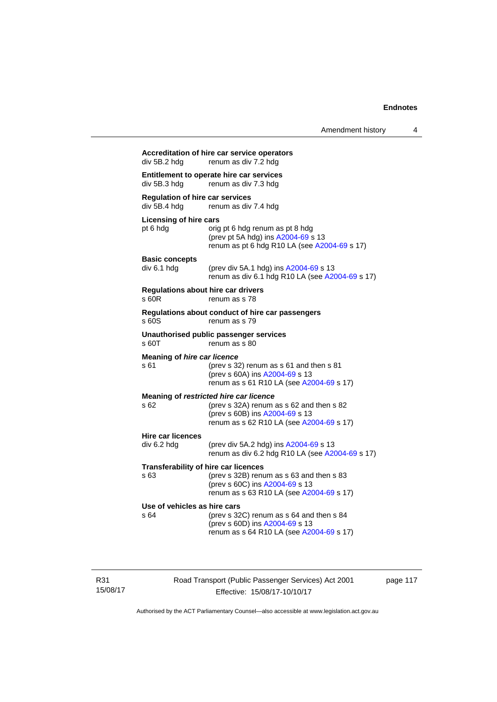| div 5B.2 hdg                                           | renum as div 7.2 hdg                                                                                                                                                    |
|--------------------------------------------------------|-------------------------------------------------------------------------------------------------------------------------------------------------------------------------|
| div 5B.3 hdg                                           | <b>Entitlement to operate hire car services</b><br>renum as div 7.3 hdg                                                                                                 |
| <b>Requlation of hire car services</b><br>div 5B.4 hdg | renum as div 7.4 hdg                                                                                                                                                    |
| Licensing of hire cars<br>pt 6 hdg                     | orig pt 6 hdg renum as pt 8 hdg<br>(prev pt 5A hdg) ins A2004-69 s 13<br>renum as pt 6 hdg R10 LA (see A2004-69 s 17)                                                   |
| <b>Basic concepts</b><br>div 6.1 hdg                   | (prev div 5A.1 hdg) ins A2004-69 s 13<br>renum as div 6.1 hdg R10 LA (see A2004-69 s 17)                                                                                |
| s 60R                                                  | <b>Regulations about hire car drivers</b><br>renum as s 78                                                                                                              |
| s 60S                                                  | Regulations about conduct of hire car passengers<br>renum as s 79                                                                                                       |
| s 60T                                                  | Unauthorised public passenger services<br>renum as s 80                                                                                                                 |
| <b>Meaning of hire car licence</b><br>s 61             | (prev s 32) renum as s 61 and then s 81<br>(prev s 60A) ins A2004-69 s 13<br>renum as s 61 R10 LA (see A2004-69 s 17)                                                   |
| s 62                                                   | <b>Meaning of restricted hire car licence</b><br>(prev s 32A) renum as s 62 and then s 82<br>(prev s 60B) ins A2004-69 s 13<br>renum as s 62 R10 LA (see A2004-69 s 17) |
| <b>Hire car licences</b><br>div 6.2 hdg                | (prev div 5A.2 hdg) ins A2004-69 s 13<br>renum as div 6.2 hdg R10 LA (see A2004-69 s 17)                                                                                |
| s 63                                                   | <b>Transferability of hire car licences</b><br>(prev s 32B) renum as s 63 and then s 83<br>(prev s 60C) ins A2004-69 s 13<br>renum as s 63 R10 LA (see A2004-69 s 17)   |
| Use of vehicles as hire cars<br>s 64                   | (prev s $32C$ ) renum as s $64$ and then s $84$<br>(prev s 60D) ins A2004-69 s 13<br>renum as s 64 R10 LA (see A2004-69 s 17)                                           |

R31 15/08/17 Road Transport (Public Passenger Services) Act 2001 Effective: 15/08/17-10/10/17

page 117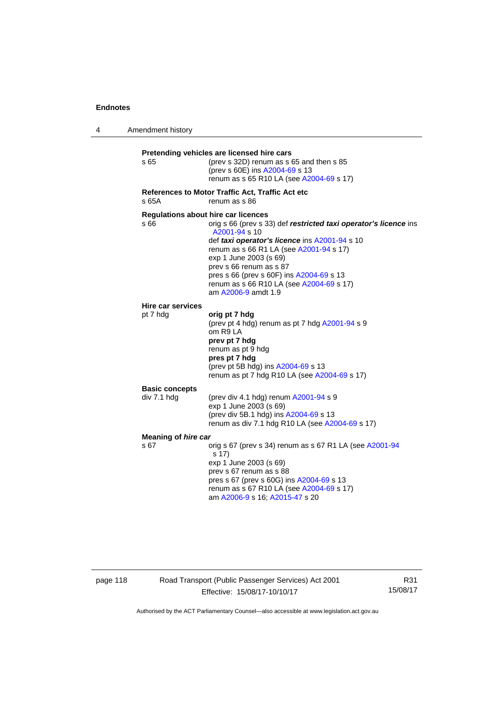| 4 | Amendment history                                  |                                                                                                                                                                                                                                                                                                                                                   |  |  |
|---|----------------------------------------------------|---------------------------------------------------------------------------------------------------------------------------------------------------------------------------------------------------------------------------------------------------------------------------------------------------------------------------------------------------|--|--|
|   | s 65                                               | Pretending vehicles are licensed hire cars<br>(prev s 32D) renum as s 65 and then s 85<br>(prev s 60E) ins A2004-69 s 13<br>renum as s 65 R10 LA (see A2004-69 s 17)                                                                                                                                                                              |  |  |
|   | s 65A                                              | References to Motor Traffic Act, Traffic Act etc<br>renum as s 86                                                                                                                                                                                                                                                                                 |  |  |
|   | <b>Regulations about hire car licences</b><br>s 66 | orig s 66 (prev s 33) def restricted taxi operator's licence ins<br>A2001-94 s 10<br>def taxi operator's licence ins A2001-94 s 10<br>renum as s 66 R1 LA (see A2001-94 s 17)<br>exp 1 June 2003 (s 69)<br>prev s 66 renum as s 87<br>pres s 66 (prev s 60F) ins A2004-69 s 13<br>renum as s 66 R10 LA (see A2004-69 s 17)<br>am A2006-9 amdt 1.9 |  |  |
|   | Hire car services                                  |                                                                                                                                                                                                                                                                                                                                                   |  |  |
|   | pt 7 hdg                                           | orig pt 7 hdg<br>(prev pt 4 hdg) renum as pt 7 hdg A2001-94 s 9<br>om R9 LA<br>prev pt 7 hdg<br>renum as pt 9 hdg<br>pres pt 7 hdg<br>(prev pt 5B hdg) ins A2004-69 s 13<br>renum as pt 7 hdg R10 LA (see A2004-69 s 17)                                                                                                                          |  |  |
|   | <b>Basic concepts</b>                              |                                                                                                                                                                                                                                                                                                                                                   |  |  |
|   | div 7.1 hdg                                        | (prev div 4.1 hdg) renum A2001-94 s 9<br>exp 1 June 2003 (s 69)<br>(prev div 5B.1 hdg) ins A2004-69 s 13<br>renum as div 7.1 hdg R10 LA (see A2004-69 s 17)                                                                                                                                                                                       |  |  |
|   | Meaning of hire car                                |                                                                                                                                                                                                                                                                                                                                                   |  |  |
|   | s 67                                               | orig s 67 (prev s 34) renum as s 67 R1 LA (see A2001-94<br>s 17)<br>exp 1 June 2003 (s 69)<br>prev s 67 renum as s 88<br>pres s 67 (prev s 60G) ins A2004-69 s 13<br>renum as s 67 R10 LA (see A2004-69 s 17)<br>am A2006-9 s 16; A2015-47 s 20                                                                                                   |  |  |

page 118 Road Transport (Public Passenger Services) Act 2001 Effective: 15/08/17-10/10/17

R31 15/08/17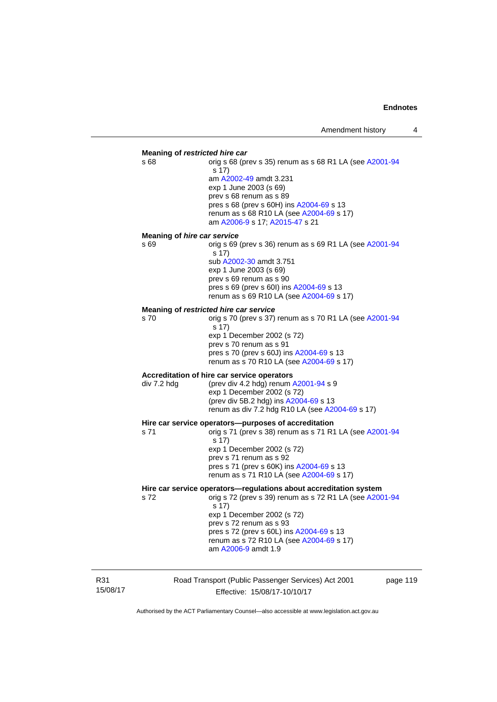### **Meaning of** *restricted hire car*  s 68 **orig s 68** (prev s 35) renum as s 68 R1 LA (see [A2001-94](http://www.legislation.act.gov.au/a/2001-94) s 17) am [A2002-49](http://www.legislation.act.gov.au/a/2002-49) amdt 3.231 exp 1 June 2003 (s 69) prev s 68 renum as s 89 pres s 68 (prev s 60H) ins [A2004-69](http://www.legislation.act.gov.au/a/2004-69) s 13 renum as s 68 R10 LA (see [A2004-69](http://www.legislation.act.gov.au/a/2004-69) s 17) am [A2006-9](http://www.legislation.act.gov.au/a/2006-9) s 17; [A2015-47](http://www.legislation.act.gov.au/a/2015-47) s 21 **Meaning of** *hire car service*  s 69 orig s 69 (prev s 36) renum as s 69 R1 LA (see [A2001-94](http://www.legislation.act.gov.au/a/2001-94) s 17) sub [A2002-30](http://www.legislation.act.gov.au/a/2002-30) amdt 3.751 exp 1 June 2003 (s 69) prev s 69 renum as s 90 pres s 69 (prev s 60I) ins [A2004-69](http://www.legislation.act.gov.au/a/2004-69) s 13 renum as s 69 R10 LA (see [A2004-69](http://www.legislation.act.gov.au/a/2004-69) s 17) **Meaning of** *restricted hire car service*  s 70 orig s 70 (prev s 37) renum as s 70 R1 LA (see [A2001-94](http://www.legislation.act.gov.au/a/2001-94) s 17) exp 1 December 2002 (s 72) prev s 70 renum as s 91 pres s 70 (prev s 60J) ins [A2004-69](http://www.legislation.act.gov.au/a/2004-69) s 13 renum as s 70 R10 LA (see [A2004-69](http://www.legislation.act.gov.au/a/2004-69) s 17) **Accreditation of hire car service operators**  div 7.2 hdg (prev div 4.2 hdg) renum [A2001-94](http://www.legislation.act.gov.au/a/2001-94) s 9 exp 1 December 2002 (s 72) (prev div 5B.2 hdg) ins [A2004-69](http://www.legislation.act.gov.au/a/2004-69) s 13 renum as div 7.2 hdg R10 LA (see [A2004-69](http://www.legislation.act.gov.au/a/2004-69) s 17) **Hire car service operators—purposes of accreditation**  s 71 orig s 71 (prev s 38) renum as s 71 R1 LA (see [A2001-94](http://www.legislation.act.gov.au/a/2001-94) s 17) exp 1 December 2002 (s 72) prev s 71 renum as s 92 pres s 71 (prev s 60K) ins [A2004-69](http://www.legislation.act.gov.au/a/2004-69) s 13 renum as s 71 R10 LA (see [A2004-69](http://www.legislation.act.gov.au/a/2004-69) s 17) **Hire car service operators—regulations about accreditation system**  s 72 orig s 72 (prev s 39) renum as s 72 R1 LA (see [A2001-94](http://www.legislation.act.gov.au/a/2001-94) s 17) exp 1 December 2002 (s 72) prev s 72 renum as s 93 pres s 72 (prev s 60L) ins [A2004-69](http://www.legislation.act.gov.au/a/2004-69) s 13 renum as s 72 R10 LA (see [A2004-69](http://www.legislation.act.gov.au/a/2004-69) s 17) am [A2006-9](http://www.legislation.act.gov.au/a/2006-9) amdt 1.9

R31 15/08/17 Road Transport (Public Passenger Services) Act 2001 Effective: 15/08/17-10/10/17

page 119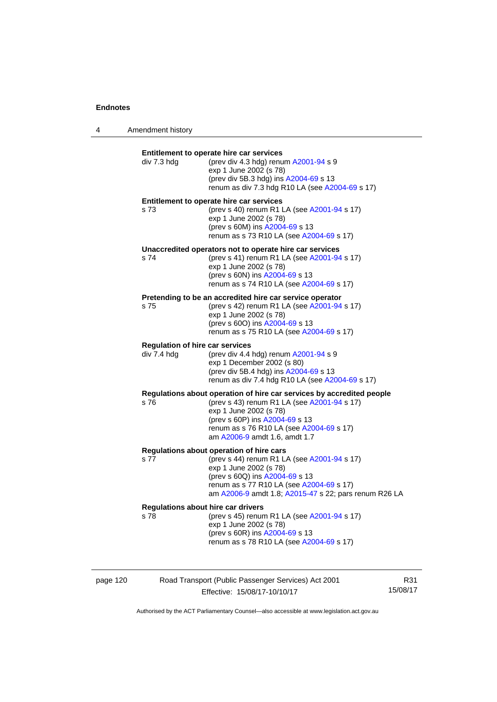4 Amendment history

| Entitlement to operate hire car services<br>div 7.3 hdg<br>(prev div 4.3 hdg) renum A2001-94 s 9<br>exp 1 June 2002 (s 78)<br>(prev div 5B.3 hdg) ins A2004-69 s 13<br>renum as div 7.3 hdg R10 LA (see A2004-69 s 17)<br>Entitlement to operate hire car services<br>(prev s 40) renum R1 LA (see A2001-94 s 17)<br>s 73<br>exp 1 June 2002 (s 78)<br>(prev s 60M) ins A2004-69 s 13<br>renum as s 73 R10 LA (see A2004-69 s 17)<br>Unaccredited operators not to operate hire car services<br>s 74<br>(prev s 41) renum R1 LA (see A2001-94 s 17)<br>exp 1 June 2002 (s 78)<br>(prev s 60N) ins A2004-69 s 13<br>renum as s 74 R10 LA (see A2004-69 s 17)<br>Pretending to be an accredited hire car service operator<br>(prev s 42) renum R1 LA (see A2001-94 s 17)<br>s 75<br>exp 1 June 2002 (s 78)<br>(prev s 600) ins A2004-69 s 13<br>renum as s 75 R10 LA (see A2004-69 s 17)<br><b>Regulation of hire car services</b><br>div 7.4 hdg<br>(prev div 4.4 hdg) renum A2001-94 s 9<br>exp 1 December 2002 (s 80)<br>(prev div 5B.4 hdg) ins A2004-69 s 13<br>renum as div 7.4 hdg R10 LA (see A2004-69 s 17)<br>Regulations about operation of hire car services by accredited people<br>(prev s 43) renum R1 LA (see A2001-94 s 17)<br>s 76<br>exp 1 June 2002 (s 78)<br>(prev s 60P) ins A2004-69 s 13<br>renum as s 76 R10 LA (see A2004-69 s 17)<br>am A2006-9 amdt 1.6, amdt 1.7<br>Regulations about operation of hire cars<br>(prev s 44) renum R1 LA (see A2001-94 s 17)<br>s 77<br>exp 1 June 2002 (s 78)<br>(prev s 60Q) ins A2004-69 s 13<br>renum as s 77 R10 LA (see A2004-69 s 17)<br>am A2006-9 amdt 1.8; A2015-47 s 22; pars renum R26 LA<br><b>Regulations about hire car drivers</b><br>(prev s 45) renum R1 LA (see A2001-94 s 17)<br>s 78<br>exp 1 June 2002 (s 78)<br>(prev s 60R) ins A2004-69 s 13<br>renum as s 78 R10 LA (see A2004-69 s 17) |  |
|-----------------------------------------------------------------------------------------------------------------------------------------------------------------------------------------------------------------------------------------------------------------------------------------------------------------------------------------------------------------------------------------------------------------------------------------------------------------------------------------------------------------------------------------------------------------------------------------------------------------------------------------------------------------------------------------------------------------------------------------------------------------------------------------------------------------------------------------------------------------------------------------------------------------------------------------------------------------------------------------------------------------------------------------------------------------------------------------------------------------------------------------------------------------------------------------------------------------------------------------------------------------------------------------------------------------------------------------------------------------------------------------------------------------------------------------------------------------------------------------------------------------------------------------------------------------------------------------------------------------------------------------------------------------------------------------------------------------------------------------------------------------------------------------------------------------------------------------------------------------------------|--|
|                                                                                                                                                                                                                                                                                                                                                                                                                                                                                                                                                                                                                                                                                                                                                                                                                                                                                                                                                                                                                                                                                                                                                                                                                                                                                                                                                                                                                                                                                                                                                                                                                                                                                                                                                                                                                                                                             |  |
|                                                                                                                                                                                                                                                                                                                                                                                                                                                                                                                                                                                                                                                                                                                                                                                                                                                                                                                                                                                                                                                                                                                                                                                                                                                                                                                                                                                                                                                                                                                                                                                                                                                                                                                                                                                                                                                                             |  |
|                                                                                                                                                                                                                                                                                                                                                                                                                                                                                                                                                                                                                                                                                                                                                                                                                                                                                                                                                                                                                                                                                                                                                                                                                                                                                                                                                                                                                                                                                                                                                                                                                                                                                                                                                                                                                                                                             |  |
|                                                                                                                                                                                                                                                                                                                                                                                                                                                                                                                                                                                                                                                                                                                                                                                                                                                                                                                                                                                                                                                                                                                                                                                                                                                                                                                                                                                                                                                                                                                                                                                                                                                                                                                                                                                                                                                                             |  |
|                                                                                                                                                                                                                                                                                                                                                                                                                                                                                                                                                                                                                                                                                                                                                                                                                                                                                                                                                                                                                                                                                                                                                                                                                                                                                                                                                                                                                                                                                                                                                                                                                                                                                                                                                                                                                                                                             |  |
|                                                                                                                                                                                                                                                                                                                                                                                                                                                                                                                                                                                                                                                                                                                                                                                                                                                                                                                                                                                                                                                                                                                                                                                                                                                                                                                                                                                                                                                                                                                                                                                                                                                                                                                                                                                                                                                                             |  |
|                                                                                                                                                                                                                                                                                                                                                                                                                                                                                                                                                                                                                                                                                                                                                                                                                                                                                                                                                                                                                                                                                                                                                                                                                                                                                                                                                                                                                                                                                                                                                                                                                                                                                                                                                                                                                                                                             |  |
|                                                                                                                                                                                                                                                                                                                                                                                                                                                                                                                                                                                                                                                                                                                                                                                                                                                                                                                                                                                                                                                                                                                                                                                                                                                                                                                                                                                                                                                                                                                                                                                                                                                                                                                                                                                                                                                                             |  |

page 120 Road Transport (Public Passenger Services) Act 2001 Effective: 15/08/17-10/10/17

R31 15/08/17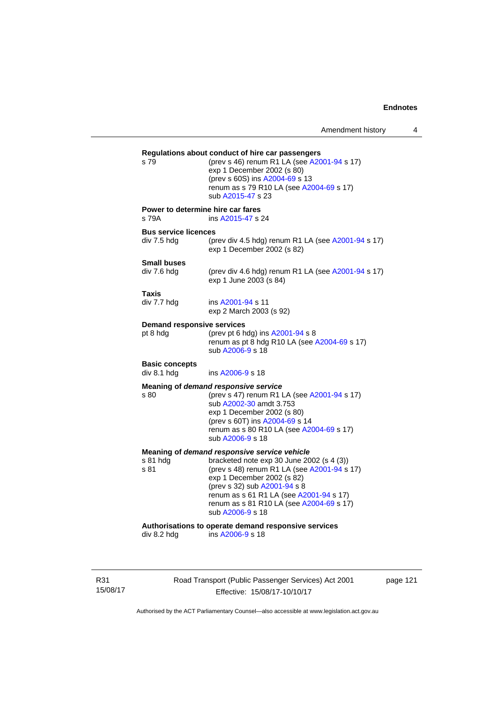### **Regulations about conduct of hire car passengers**  s 79 (prev s 46) renum R1 LA (see [A2001-94](http://www.legislation.act.gov.au/a/2001-94) s 17) exp 1 December 2002 (s 80) (prev s 60S) ins [A2004-69](http://www.legislation.act.gov.au/a/2004-69) s 13 renum as s 79 R10 LA (see [A2004-69](http://www.legislation.act.gov.au/a/2004-69) s 17) sub [A2015-47](http://www.legislation.act.gov.au/a/2015-47) s 23 **Power to determine hire car fares**  s 79A ins [A2015-47](http://www.legislation.act.gov.au/a/2015-47) s 24 **Bus service licences**  div 7.5 hdg (prev div 4.5 hdg) renum R1 LA (see [A2001-94](http://www.legislation.act.gov.au/a/2001-94) s 17) exp 1 December 2002 (s 82) **Small buses**  (prev div 4.6 hdg) renum R1 LA (see  $A2001-94$  s 17) exp 1 June 2003 (s 84) **Taxis**  div 7.7 hdg ins [A2001-94](http://www.legislation.act.gov.au/a/2001-94) s 11 exp 2 March 2003 (s 92) **Demand responsive services**  pt 8 hdg  $($ prev pt 6 hdg) ins [A2001-94](http://www.legislation.act.gov.au/a/2001-94) s 8 renum as pt 8 hdg R10 LA (see [A2004-69](http://www.legislation.act.gov.au/a/2004-69) s 17) sub [A2006-9](http://www.legislation.act.gov.au/a/2006-9) s 18 **Basic concepts**  div 8.1 hdg ins [A2006-9](http://www.legislation.act.gov.au/a/2006-9) s 18 **Meaning of** *demand responsive service* s 80 (prev s 47) renum R1 LA (see [A2001-94](http://www.legislation.act.gov.au/a/2001-94) s 17) sub [A2002-30](http://www.legislation.act.gov.au/a/2002-30) amdt 3.753 exp 1 December 2002 (s 80) (prev s 60T) ins [A2004-69](http://www.legislation.act.gov.au/a/2004-69) s 14 renum as s 80 R10 LA (see [A2004-69](http://www.legislation.act.gov.au/a/2004-69) s 17) sub [A2006-9](http://www.legislation.act.gov.au/a/2006-9) s 18 **Meaning of** *demand responsive service vehicle* s 81 hdg bracketed note exp 30 June 2002 (s 4 (3)) s 81 (prev s 48) renum R1 LA (see [A2001-94](http://www.legislation.act.gov.au/a/2001-94) s 17) exp 1 December 2002 (s 82) (prev s 32) sub [A2001-94](http://www.legislation.act.gov.au/a/2001-94) s 8 renum as s 61 R1 LA (see [A2001-94](http://www.legislation.act.gov.au/a/2001-94) s 17) renum as s 81 R10 LA (see [A2004-69](http://www.legislation.act.gov.au/a/2004-69) s 17) sub [A2006-9](http://www.legislation.act.gov.au/a/2006-9) s 18 **Authorisations to operate demand responsive services**   $ins A2006-9 s 18$  $ins A2006-9 s 18$  $ins A2006-9 s 18$

R31 15/08/17 Road Transport (Public Passenger Services) Act 2001 Effective: 15/08/17-10/10/17

page 121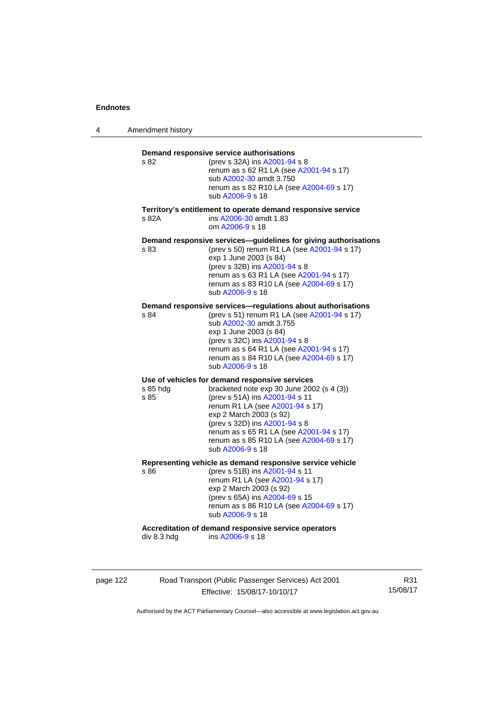4 Amendment history

| s 82             | Demand responsive service authorisations<br>(prev s 32A) ins A2001-94 s 8<br>renum as s 62 R1 LA (see A2001-94 s 17)<br>sub A2002-30 amdt 3.750<br>renum as s 82 R10 LA (see A2004-69 s 17)<br>sub A2006-9 s 18                                                                                                                           |
|------------------|-------------------------------------------------------------------------------------------------------------------------------------------------------------------------------------------------------------------------------------------------------------------------------------------------------------------------------------------|
| s 82A            | Territory's entitlement to operate demand responsive service<br>ins A2006-30 amdt 1.83<br>om A2006-9 s 18                                                                                                                                                                                                                                 |
| s 83             | Demand responsive services-guidelines for giving authorisations<br>(prev s 50) renum R1 LA (see A2001-94 s 17)<br>exp 1 June 2003 (s 84)<br>(prev s 32B) ins A2001-94 s 8<br>renum as s 63 R1 LA (see A2001-94 s 17)<br>renum as s 83 R10 LA (see A2004-69 s 17)<br>sub A2006-9 s 18                                                      |
| s 84             | Demand responsive services-regulations about authorisations<br>(prev s 51) renum R1 LA (see A2001-94 s 17)<br>sub A2002-30 amdt 3.755<br>exp 1 June 2003 (s 84)<br>(prev s 32C) ins A2001-94 s 8<br>renum as s 64 R1 LA (see A2001-94 s 17)<br>renum as s 84 R10 LA (see A2004-69 s 17)<br>sub A2006-9 s 18                               |
| s 85 hdg<br>s 85 | Use of vehicles for demand responsive services<br>bracketed note $exp 30$ June 2002 (s 4 (3))<br>(prev s 51A) ins A2001-94 s 11<br>renum R1 LA (see A2001-94 s 17)<br>exp 2 March 2003 (s 92)<br>(prev s 32D) ins A2001-94 s 8<br>renum as s 65 R1 LA (see A2001-94 s 17)<br>renum as s 85 R10 LA (see A2004-69 s 17)<br>sub A2006-9 s 18 |
| s 86             | Representing vehicle as demand responsive service vehicle<br>(prev s 51B) ins A2001-94 s 11<br>renum R1 LA (see A2001-94 s 17)<br>exp 2 March 2003 (s 92)<br>(prev s 65A) ins A2004-69 s 15<br>renum as s 86 R10 LA (see A2004-69 s 17)<br>sub A2006-9 s 18                                                                               |
| div 8.3 hdg      | Accreditation of demand responsive service operators<br>ins A2006-9 s 18                                                                                                                                                                                                                                                                  |

page 122 Road Transport (Public Passenger Services) Act 2001 Effective: 15/08/17-10/10/17

R31 15/08/17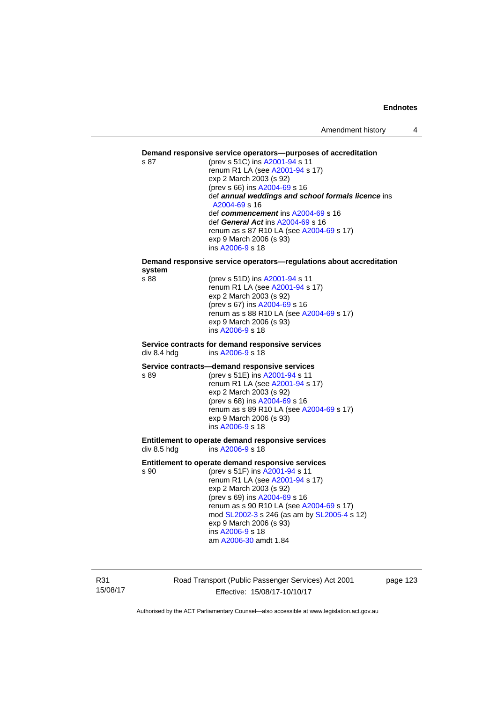#### **Demand responsive service operators—purposes of accreditation**

s 87 (prev s 51C) ins [A2001-94](http://www.legislation.act.gov.au/a/2001-94) s 11 renum R1 LA (see [A2001-94](http://www.legislation.act.gov.au/a/2001-94) s 17) exp 2 March 2003 (s 92) (prev s 66) ins [A2004-69](http://www.legislation.act.gov.au/a/2004-69) s 16 def *annual weddings and school formals licence* ins [A2004-69](http://www.legislation.act.gov.au/a/2004-69) s 16 def *commencement* ins [A2004-69](http://www.legislation.act.gov.au/a/2004-69) s 16 def *General Act* ins [A2004-69](http://www.legislation.act.gov.au/a/2004-69) s 16 renum as s 87 R10 LA (see [A2004-69](http://www.legislation.act.gov.au/a/2004-69) s 17) exp 9 March 2006 (s 93) ins [A2006-9](http://www.legislation.act.gov.au/a/2006-9) s 18

# **Demand responsive service operators—regulations about accreditation system**

(prev s 51D) ins [A2001-94](http://www.legislation.act.gov.au/a/2001-94) s 11 renum R1 LA (see [A2001-94](http://www.legislation.act.gov.au/a/2001-94) s 17) exp 2 March 2003 (s 92) (prev s 67) ins [A2004-69](http://www.legislation.act.gov.au/a/2004-69) s 16 renum as s 88 R10 LA (see [A2004-69](http://www.legislation.act.gov.au/a/2004-69) s 17) exp 9 March 2006 (s 93) ins [A2006-9](http://www.legislation.act.gov.au/a/2006-9) s 18

#### **Service contracts for demand responsive services**  div 8.4 hdg ins [A2006-9](http://www.legislation.act.gov.au/a/2006-9) s 18

#### **Service contracts—demand responsive services**

s 89 (prev s 51E) ins [A2001-94](http://www.legislation.act.gov.au/a/2001-94) s 11 renum R1 LA (see [A2001-94](http://www.legislation.act.gov.au/a/2001-94) s 17) exp 2 March 2003 (s 92) (prev s 68) ins [A2004-69](http://www.legislation.act.gov.au/a/2004-69) s 16 renum as s 89 R10 LA (see [A2004-69](http://www.legislation.act.gov.au/a/2004-69) s 17) exp 9 March 2006 (s 93) ins [A2006-9](http://www.legislation.act.gov.au/a/2006-9) s 18

#### **Entitlement to operate demand responsive services**  div 8.5 hdg ins [A2006-9](http://www.legislation.act.gov.au/a/2006-9) s 18

#### **Entitlement to operate demand responsive services**

s 90 (prev s 51F) ins [A2001-94](http://www.legislation.act.gov.au/a/2001-94) s 11 renum R1 LA (see [A2001-94](http://www.legislation.act.gov.au/a/2001-94) s 17) exp 2 March 2003 (s 92) (prev s 69) ins [A2004-69](http://www.legislation.act.gov.au/a/2004-69) s 16 renum as s 90 R10 LA (see [A2004-69](http://www.legislation.act.gov.au/a/2004-69) s 17) mod [SL2002-3](http://www.legislation.act.gov.au/sl/2002-3) s 246 (as am by [SL2005-4](http://www.legislation.act.gov.au/sl/2005-4) s 12) exp 9 March 2006 (s 93) ins [A2006-9](http://www.legislation.act.gov.au/a/2006-9) s 18 am [A2006-30](http://www.legislation.act.gov.au/a/2006-30) amdt 1.84

R31 15/08/17 Road Transport (Public Passenger Services) Act 2001 Effective: 15/08/17-10/10/17

page 123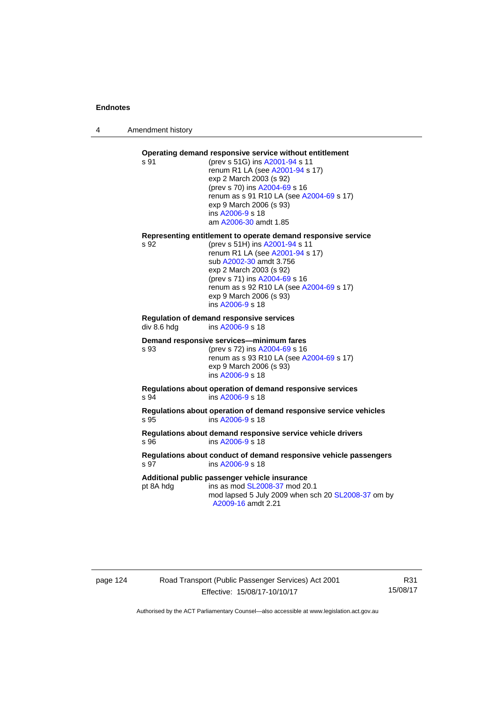4 Amendment history

# **Operating demand responsive service without entitlement**

s 91 (prev s 51G) ins [A2001-94](http://www.legislation.act.gov.au/a/2001-94) s 11 renum R1 LA (see [A2001-94](http://www.legislation.act.gov.au/a/2001-94) s 17) exp 2 March 2003 (s 92) (prev s 70) ins [A2004-69](http://www.legislation.act.gov.au/a/2004-69) s 16 renum as s 91 R10 LA (see [A2004-69](http://www.legislation.act.gov.au/a/2004-69) s 17) exp 9 March 2006 (s 93) ins [A2006-9](http://www.legislation.act.gov.au/a/2006-9) s 18 am [A2006-30](http://www.legislation.act.gov.au/a/2006-30) amdt 1.85

#### **Representing entitlement to operate demand responsive service**

s 92 (prev s 51H) ins [A2001-94](http://www.legislation.act.gov.au/a/2001-94) s 11 renum R1 LA (see [A2001-94](http://www.legislation.act.gov.au/a/2001-94) s 17) sub [A2002-30](http://www.legislation.act.gov.au/a/2002-30) amdt 3.756 exp 2 March 2003 (s 92) (prev s 71) ins [A2004-69](http://www.legislation.act.gov.au/a/2004-69) s 16 renum as s 92 R10 LA (see [A2004-69](http://www.legislation.act.gov.au/a/2004-69) s 17) exp 9 March 2006 (s 93) ins [A2006-9](http://www.legislation.act.gov.au/a/2006-9) s 18

# **Regulation of demand responsive services**

div 8.6 hdg ins [A2006-9](http://www.legislation.act.gov.au/a/2006-9) s 18

#### **Demand responsive services—minimum fares**

s 93 (prev s 72) ins [A2004-69](http://www.legislation.act.gov.au/a/2004-69) s 16 renum as s 93 R10 LA (see [A2004-69](http://www.legislation.act.gov.au/a/2004-69) s 17) exp 9 March 2006 (s 93) ins [A2006-9](http://www.legislation.act.gov.au/a/2006-9) s 18

**Regulations about operation of demand responsive services**  s 94 ins [A2006-9](http://www.legislation.act.gov.au/a/2006-9) s 18

**Regulations about operation of demand responsive service vehicles**  s 95 ins [A2006-9](http://www.legislation.act.gov.au/a/2006-9) s 18

**Regulations about demand responsive service vehicle drivers**  s 96 ins [A2006-9](http://www.legislation.act.gov.au/a/2006-9) s 18

#### **Regulations about conduct of demand responsive vehicle passengers**  ins [A2006-9](http://www.legislation.act.gov.au/a/2006-9) s 18

**Additional public passenger vehicle insurance** 

pt 8A hdg ins as mod [SL2008-37](http://www.legislation.act.gov.au/sl/2008-37) mod 20.1 mod lapsed 5 July 2009 when sch 20 [SL2008-37](http://www.legislation.act.gov.au/sl/2008-37) om by [A2009-16](http://www.legislation.act.gov.au/a/2009-16) amdt 2.21

### page 124 Road Transport (Public Passenger Services) Act 2001 Effective: 15/08/17-10/10/17

R31 15/08/17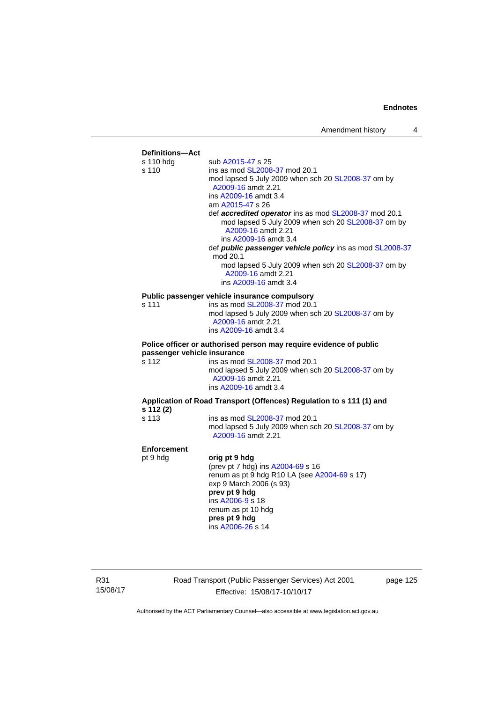

R31 15/08/17 Road Transport (Public Passenger Services) Act 2001 Effective: 15/08/17-10/10/17

page 125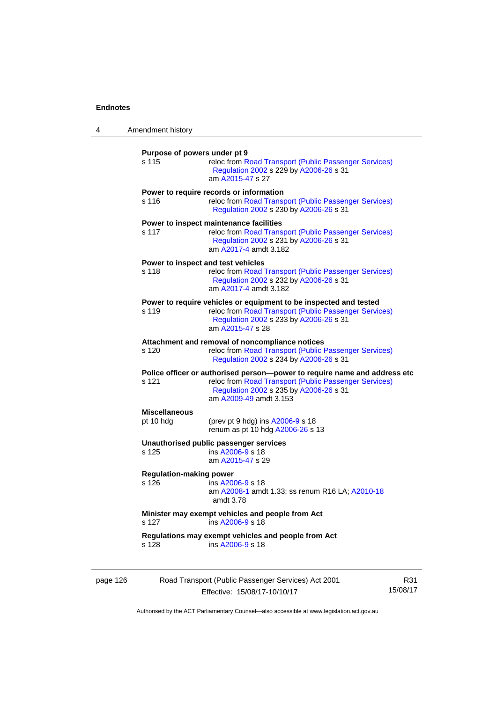| 4        | Amendment history                       |                                                                                                                                                                                                         |                 |
|----------|-----------------------------------------|---------------------------------------------------------------------------------------------------------------------------------------------------------------------------------------------------------|-----------------|
|          | Purpose of powers under pt 9<br>s 115   | reloc from Road Transport (Public Passenger Services)<br>Regulation 2002 s 229 by A2006-26 s 31<br>am A2015-47 s 27                                                                                     |                 |
|          | s 116                                   | Power to require records or information<br>reloc from Road Transport (Public Passenger Services)<br>Regulation 2002 s 230 by A2006-26 s 31                                                              |                 |
|          | s 117                                   | Power to inspect maintenance facilities<br>reloc from Road Transport (Public Passenger Services)<br>Regulation 2002 s 231 by A2006-26 s 31<br>am A2017-4 amdt 3.182                                     |                 |
|          | s 118                                   | Power to inspect and test vehicles<br>reloc from Road Transport (Public Passenger Services)<br>Regulation 2002 s 232 by A2006-26 s 31<br>am A2017-4 amdt 3.182                                          |                 |
|          | s 119                                   | Power to require vehicles or equipment to be inspected and tested<br>reloc from Road Transport (Public Passenger Services)<br>Regulation 2002 s 233 by A2006-26 s 31<br>am A2015-47 s 28                |                 |
|          | s 120                                   | Attachment and removal of noncompliance notices<br>reloc from Road Transport (Public Passenger Services)<br>Regulation 2002 s 234 by A2006-26 s 31                                                      |                 |
|          | s 121                                   | Police officer or authorised person--power to require name and address etc<br>reloc from Road Transport (Public Passenger Services)<br>Regulation 2002 s 235 by A2006-26 s 31<br>am A2009-49 amdt 3.153 |                 |
|          | <b>Miscellaneous</b><br>pt 10 hdg       | (prev pt 9 hdg) ins A2006-9 s 18<br>renum as pt 10 hdg A2006-26 s 13                                                                                                                                    |                 |
|          | s 125                                   | Unauthorised public passenger services<br>ins A2006-9 s 18<br>am A2015-47 s 29                                                                                                                          |                 |
|          | <b>Regulation-making power</b><br>s 126 | ins A2006-9 s 18<br>am A2008-1 amdt 1.33; ss renum R16 LA; A2010-18<br>amdt 3.78                                                                                                                        |                 |
|          | s 127                                   | Minister may exempt vehicles and people from Act<br>ins A2006-9 s 18                                                                                                                                    |                 |
|          | s 128                                   | Regulations may exempt vehicles and people from Act<br>ins A2006-9 s 18                                                                                                                                 |                 |
| page 126 |                                         | Road Transport (Public Passenger Services) Act 2001<br>Effective: 15/08/17-10/10/17                                                                                                                     | R31<br>15/08/17 |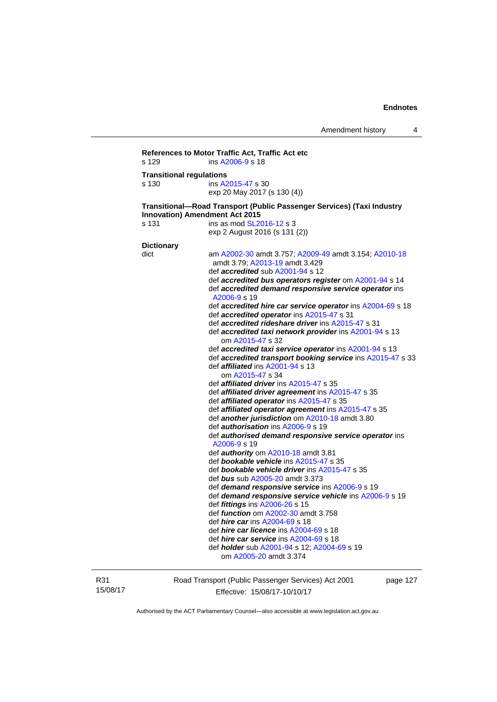```
References to Motor Traffic Act, Traffic Act etc 
s 129 ins A2006-9 s 18 
Transitional regulations 
s 130 ins A2015-47 s 30 
                   exp 20 May 2017 (s 130 (4)) 
Transitional—Road Transport (Public Passenger Services) (Taxi Industry 
Innovation) Amendment Act 2015 
s 131 ins as mod SL2016-12 s 3
                   exp 2 August 2016 (s 131 (2)) 
Dictionary 
dict am A2002-30 amdt 3.757; A2009-49 amdt 3.154; A2010-18
                    amdt 3.79; A2013-19 amdt 3.429 
                    def accredited sub A2001-94 s 12 
                    def accredited bus operators register om A2001-94 s 14 
                    def accredited demand responsive service operator ins 
                    A2006-9 s 19 
                    def accredited hire car service operator ins A2004-69 s 18 
                    def accredited operator ins A2015-47 s 31 
                    def accredited rideshare driver ins A2015-47 s 31 
                    def accredited taxi network provider ins A2001-94 s 13 
                        om A2015-47 s 32 
                    def accredited taxi service operator ins A2001-94 s 13 
                    def accredited transport booking service ins A2015-47 s 33 
                    def affiliated ins A2001-94 s 13 
                       om A2015-47 s 34 
                    def affiliated driver ins A2015-47 s 35 
                    def affiliated driver agreement ins A2015-47 s 35 
                    def affiliated operator ins A2015-47 s 35 
                    def affiliated operator agreement ins A2015-47 s 35 
                    def another jurisdiction om A2010-18 amdt 3.80 
                    def authorisation ins A2006-9 s 19 
                    def authorised demand responsive service operator ins 
                    A2006-9 s 19 
                    def authority om A2010-18 amdt 3.81 
                    def bookable vehicle ins A2015-47 s 35 
                    def bookable vehicle driver ins A2015-47 s 35 
                    def bus sub A2005-20 amdt 3.373 
                    def demand responsive service ins A2006-9 s 19 
                    def demand responsive service vehicle ins A2006-9 s 19 
                    def fittings ins A2006-26 s 15 
                    def function om A2002-30 amdt 3.758 
                    def hire car ins A2004-69 s 18 
                    def hire car licence ins A2004-69 s 18 
                    def hire car service ins A2004-69 s 18 
                    def holder sub A2001-94 s 12; A2004-69 s 19 
                       om A2005-20 amdt 3.374
```
R31 15/08/17 Road Transport (Public Passenger Services) Act 2001 Effective: 15/08/17-10/10/17

page 127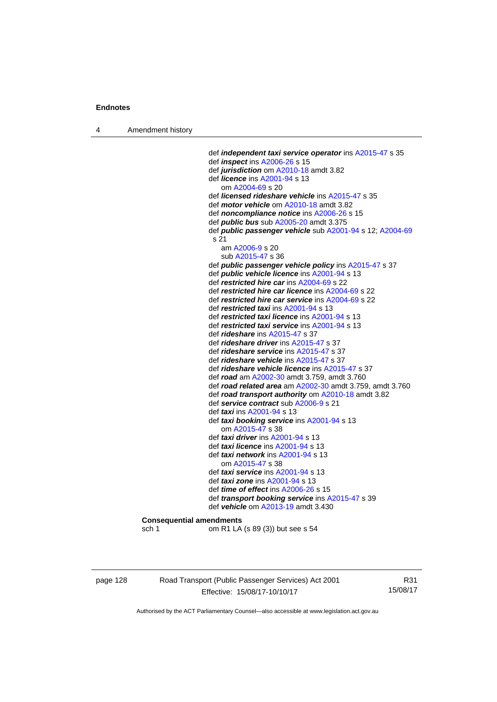4 Amendment history

 def *independent taxi service operator* ins [A2015-47](http://www.legislation.act.gov.au/a/2015-47) s 35 def *inspect* ins [A2006-26](http://www.legislation.act.gov.au/a/2006-26) s 15 def *jurisdiction* om [A2010-18](http://www.legislation.act.gov.au/a/2010-18) amdt 3.82 def *licence* ins [A2001-94](http://www.legislation.act.gov.au/a/2001-94) s 13 om [A2004-69](http://www.legislation.act.gov.au/a/2004-69) s 20 def *licensed rideshare vehicle* ins [A2015-47](http://www.legislation.act.gov.au/a/2015-47) s 35 def *motor vehicle* om [A2010-18](http://www.legislation.act.gov.au/a/2010-18) amdt 3.82 def *noncompliance notice* ins [A2006-26](http://www.legislation.act.gov.au/a/2006-26) s 15 def *public bus* sub [A2005-20](http://www.legislation.act.gov.au/a/2005-20) amdt 3.375 def *public passenger vehicle* sub [A2001-94](http://www.legislation.act.gov.au/a/2001-94) s 12; [A2004-69](http://www.legislation.act.gov.au/a/2004-69) s 21 am [A2006-9](http://www.legislation.act.gov.au/a/2006-9) s 20 sub [A2015-47](http://www.legislation.act.gov.au/a/2015-47) s 36 def *public passenger vehicle policy* ins [A2015-47](http://www.legislation.act.gov.au/a/2015-47) s 37 def *public vehicle licence* ins [A2001-94](http://www.legislation.act.gov.au/a/2001-94) s 13 def *restricted hire car* ins [A2004-69](http://www.legislation.act.gov.au/a/2004-69) s 22 def *restricted hire car licence* ins [A2004-69](http://www.legislation.act.gov.au/a/2004-69) s 22 def *restricted hire car service* ins [A2004-69](http://www.legislation.act.gov.au/a/2004-69) s 22 def *restricted taxi* ins [A2001-94](http://www.legislation.act.gov.au/a/2001-94) s 13 def *restricted taxi licence* ins [A2001-94](http://www.legislation.act.gov.au/a/2001-94) s 13 def *restricted taxi service* ins [A2001-94](http://www.legislation.act.gov.au/a/2001-94) s 13 def *rideshare* ins [A2015-47](http://www.legislation.act.gov.au/a/2015-47) s 37 def *rideshare driver* ins [A2015-47](http://www.legislation.act.gov.au/a/2015-47) s 37 def *rideshare service* ins [A2015-47](http://www.legislation.act.gov.au/a/2015-47) s 37 def *rideshare vehicle* ins [A2015-47](http://www.legislation.act.gov.au/a/2015-47) s 37 def *rideshare vehicle licence* ins [A2015-47](http://www.legislation.act.gov.au/a/2015-47) s 37 def *road* am [A2002-30](http://www.legislation.act.gov.au/a/2002-30) amdt 3.759, amdt 3.760 def *road related area* am [A2002-30](http://www.legislation.act.gov.au/a/2002-30) amdt 3.759, amdt 3.760 def *road transport authority* om [A2010-18](http://www.legislation.act.gov.au/a/2010-18) amdt 3.82 def *service contract* sub [A2006-9](http://www.legislation.act.gov.au/a/2006-9) s 21 def *taxi* ins [A2001-94](http://www.legislation.act.gov.au/a/2001-94) s 13 def *taxi booking service* ins [A2001-94](http://www.legislation.act.gov.au/a/2001-94) s 13 om [A2015-47](http://www.legislation.act.gov.au/a/2015-47) s 38 def *taxi driver* ins [A2001-94](http://www.legislation.act.gov.au/a/2001-94) s 13 def *taxi licence* ins [A2001-94](http://www.legislation.act.gov.au/a/2001-94) s 13 def *taxi network* ins [A2001-94](http://www.legislation.act.gov.au/a/2001-94) s 13 om [A2015-47](http://www.legislation.act.gov.au/a/2015-47) s 38 def *taxi service* ins [A2001-94](http://www.legislation.act.gov.au/a/2001-94) s 13 def *taxi zone* ins [A2001-94](http://www.legislation.act.gov.au/a/2001-94) s 13 def *time of effect* ins [A2006-26](http://www.legislation.act.gov.au/a/2006-26) s 15 def *transport booking service* ins [A2015-47](http://www.legislation.act.gov.au/a/2015-47) s 39 def *vehicle* om [A2013-19](http://www.legislation.act.gov.au/a/2013-19) amdt 3.430 **Consequential amendments**  sch 1 om R1 LA (s 89 (3)) but see s 54

page 128 Road Transport (Public Passenger Services) Act 2001 Effective: 15/08/17-10/10/17

R31 15/08/17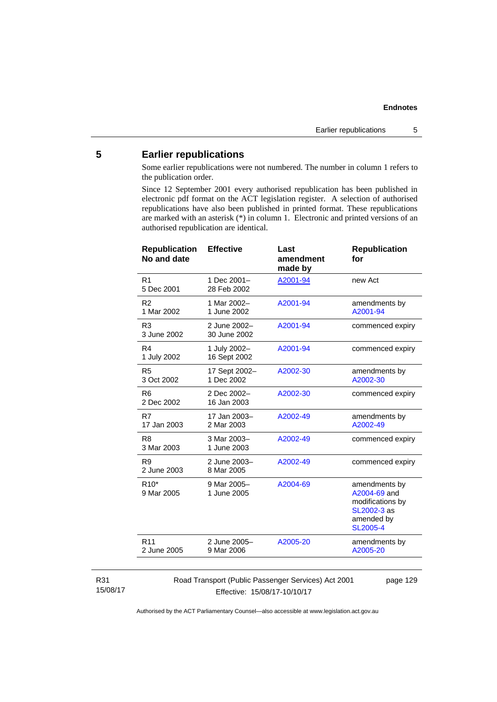## **5 Earlier republications**

Some earlier republications were not numbered. The number in column 1 refers to the publication order.

Since 12 September 2001 every authorised republication has been published in electronic pdf format on the ACT legislation register. A selection of authorised republications have also been published in printed format. These republications are marked with an asterisk (\*) in column 1. Electronic and printed versions of an authorised republication are identical.

| <b>Republication</b><br>No and date | <b>Effective</b>             | Last<br>amendment<br>made by | <b>Republication</b><br>for                                                                       |
|-------------------------------------|------------------------------|------------------------------|---------------------------------------------------------------------------------------------------|
| R <sub>1</sub><br>5 Dec 2001        | 1 Dec 2001-<br>28 Feb 2002   | A2001-94                     | new Act                                                                                           |
| R <sub>2</sub><br>1 Mar 2002        | 1 Mar 2002-<br>1 June 2002   | A2001-94                     | amendments by<br>A2001-94                                                                         |
| R <sub>3</sub><br>3 June 2002       | 2 June 2002-<br>30 June 2002 | A2001-94                     | commenced expiry                                                                                  |
| R <sub>4</sub><br>1 July 2002       | 1 July 2002-<br>16 Sept 2002 | A2001-94                     | commenced expiry                                                                                  |
| R <sub>5</sub><br>3 Oct 2002        | 17 Sept 2002-<br>1 Dec 2002  | A2002-30                     | amendments by<br>A2002-30                                                                         |
| R <sub>6</sub><br>2 Dec 2002        | 2 Dec 2002-<br>16 Jan 2003   | A2002-30                     | commenced expiry                                                                                  |
| R7<br>17 Jan 2003                   | 17 Jan 2003-<br>2 Mar 2003   | A2002-49                     | amendments by<br>A2002-49                                                                         |
| R <sub>8</sub><br>3 Mar 2003        | 3 Mar 2003-<br>1 June 2003   | A2002-49                     | commenced expiry                                                                                  |
| R <sub>9</sub><br>2 June 2003       | 2 June 2003-<br>8 Mar 2005   | A2002-49                     | commenced expiry                                                                                  |
| $R10*$<br>9 Mar 2005                | 9 Mar 2005-<br>1 June 2005   | A2004-69                     | amendments by<br>A2004-69 and<br>modifications by<br>SL2002-3 as<br>amended by<br><b>SL2005-4</b> |
| R <sub>11</sub><br>2 June 2005      | 2 June 2005-<br>9 Mar 2006   | A2005-20                     | amendments by<br>A2005-20                                                                         |
|                                     |                              |                              |                                                                                                   |

#### R31 15/08/17

Road Transport (Public Passenger Services) Act 2001 Effective: 15/08/17-10/10/17

page 129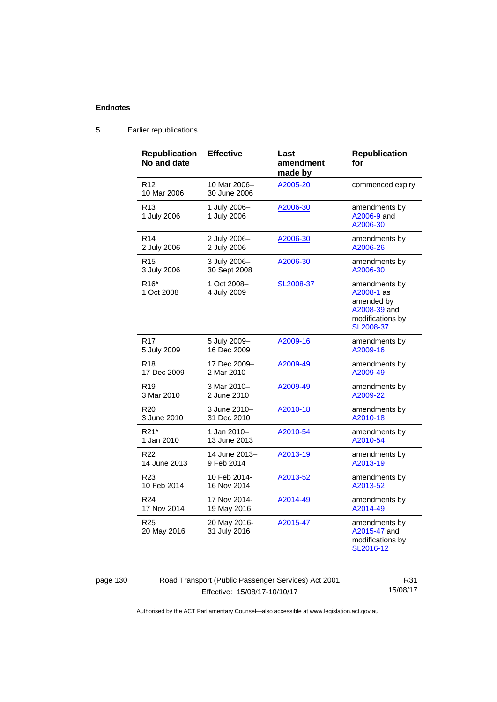| <b>Republication</b><br>No and date | <b>Effective</b>             | Last<br>amendment<br>made by | <b>Republication</b><br>for                                                                |
|-------------------------------------|------------------------------|------------------------------|--------------------------------------------------------------------------------------------|
| R <sub>12</sub><br>10 Mar 2006      | 10 Mar 2006-<br>30 June 2006 | A2005-20                     | commenced expiry                                                                           |
| R <sub>13</sub><br>1 July 2006      | 1 July 2006-<br>1 July 2006  | A2006-30                     | amendments by<br>A2006-9 and<br>A2006-30                                                   |
| R <sub>14</sub>                     | 2 July 2006-                 | A2006-30                     | amendments by                                                                              |
| 2 July 2006                         | 2 July 2006                  |                              | A2006-26                                                                                   |
| R <sub>15</sub>                     | 3 July 2006-                 | A2006-30                     | amendments by                                                                              |
| 3 July 2006                         | 30 Sept 2008                 |                              | A2006-30                                                                                   |
| R <sub>16</sub> *<br>1 Oct 2008     | 1 Oct 2008-<br>4 July 2009   | SL2008-37                    | amendments by<br>A2008-1 as<br>amended by<br>A2008-39 and<br>modifications by<br>SL2008-37 |
| R <sub>17</sub>                     | 5 July 2009-                 | A2009-16                     | amendments by                                                                              |
| 5 July 2009                         | 16 Dec 2009                  |                              | A2009-16                                                                                   |
| R <sub>18</sub>                     | 17 Dec 2009-                 | A2009-49                     | amendments by                                                                              |
| 17 Dec 2009                         | 2 Mar 2010                   |                              | A2009-49                                                                                   |
| R <sub>19</sub>                     | 3 Mar 2010-                  | A2009-49                     | amendments by                                                                              |
| 3 Mar 2010                          | 2 June 2010                  |                              | A2009-22                                                                                   |
| R <sub>20</sub>                     | 3 June 2010-                 | A2010-18                     | amendments by                                                                              |
| 3 June 2010                         | 31 Dec 2010                  |                              | A2010-18                                                                                   |
| R21*                                | 1 Jan 2010-                  | A2010-54                     | amendments by                                                                              |
| 1 Jan 2010                          | 13 June 2013                 |                              | A2010-54                                                                                   |
| R <sub>22</sub>                     | 14 June 2013-                | A2013-19                     | amendments by                                                                              |
| 14 June 2013                        | 9 Feb 2014                   |                              | A2013-19                                                                                   |
| R23                                 | 10 Feb 2014-                 | A2013-52                     | amendments by                                                                              |
| 10 Feb 2014                         | 16 Nov 2014                  |                              | A2013-52                                                                                   |
| R <sub>24</sub>                     | 17 Nov 2014-                 | A2014-49                     | amendments by                                                                              |
| 17 Nov 2014                         | 19 May 2016                  |                              | A2014-49                                                                                   |
| R <sub>25</sub><br>20 May 2016      | 20 May 2016-<br>31 July 2016 | A2015-47                     | amendments by<br>A2015-47 and<br>modifications by<br>SL2016-12                             |

### 5 Earlier republications

page 130 Road Transport (Public Passenger Services) Act 2001 Effective: 15/08/17-10/10/17

R31 15/08/17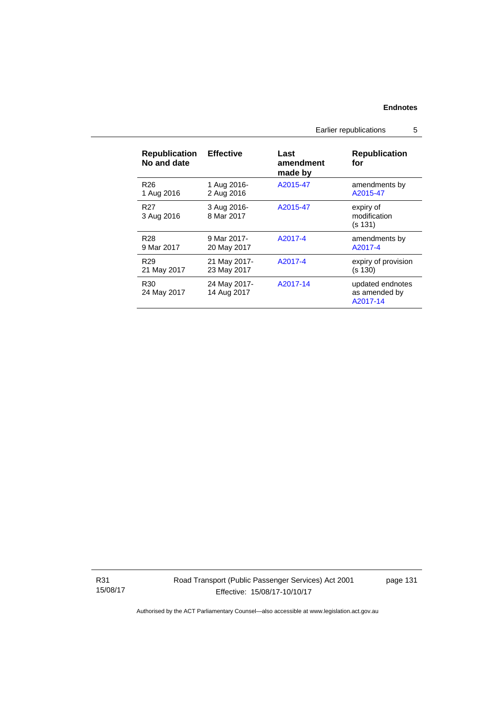Earlier republications 5

| <b>Republication</b><br>No and date | <b>Effective</b>            | Last<br>amendment<br>made by | <b>Republication</b><br>for                   |
|-------------------------------------|-----------------------------|------------------------------|-----------------------------------------------|
| R <sub>26</sub>                     | 1 Aug 2016-                 | A2015-47                     | amendments by                                 |
| 1 Aug 2016                          | 2 Aug 2016                  |                              | A2015-47                                      |
| R <sub>27</sub><br>3 Aug 2016       | 3 Aug 2016-<br>8 Mar 2017   | A2015-47                     | expiry of<br>modification<br>(s 131)          |
| R <sub>28</sub>                     | 9 Mar 2017-                 | A2017-4                      | amendments by                                 |
| 9 Mar 2017                          | 20 May 2017                 |                              | A2017-4                                       |
| R <sub>29</sub>                     | 21 May 2017-                | A2017-4                      | expiry of provision                           |
| 21 May 2017                         | 23 May 2017                 |                              | (s 130)                                       |
| R <sub>30</sub><br>24 May 2017      | 24 May 2017-<br>14 Aug 2017 | A2017-14                     | updated endnotes<br>as amended by<br>A2017-14 |

R31 15/08/17 Road Transport (Public Passenger Services) Act 2001 Effective: 15/08/17-10/10/17

page 131